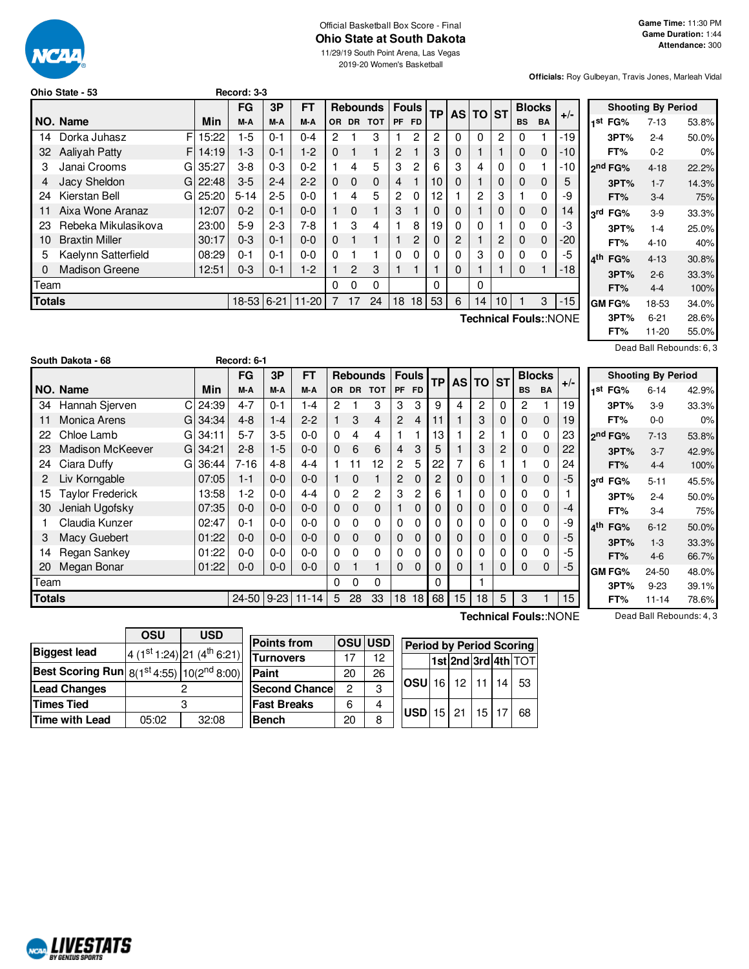### Official Basketball Box Score - Final **Ohio State at South Dakota**

11/29/19 South Point Arena, Las Vegas 2019-20 Women's Basketball

**Officials:** Roy Gulbeyan, Travis Jones, Marleah Vidal

|               | Record: 3-3<br>Ohio State - 53 |             |              |         |         |                |                 |                |                |                |                 |    |          |    |               |             |                       |
|---------------|--------------------------------|-------------|--------------|---------|---------|----------------|-----------------|----------------|----------------|----------------|-----------------|----|----------|----|---------------|-------------|-----------------------|
|               |                                |             | FG           | 3P      | FT      |                | <b>Rebounds</b> |                | <b>Fouls</b>   |                | <b>TP</b>       |    | AS TO ST |    | <b>Blocks</b> |             | $+/-$                 |
|               | NO. Name                       | Min         | M-A          | M-A     | M-A     | OR.            | <b>DR</b>       | <b>TOT</b>     | PF             | <b>FD</b>      |                 |    |          |    | <b>BS</b>     | <b>BA</b>   |                       |
| 14            | Dorka Juhasz                   | FI<br>15:22 | $1-5$        | $0 - 1$ | $0 - 4$ | $\overline{2}$ |                 | 3              |                | 2              | 2               | 0  | $\Omega$ | 2  | 0             |             | -19                   |
| 32            | <b>Aalivah Patty</b>           | 14:19<br>FΙ | $1 - 3$      | $0 - 1$ | $1-2$   | $\Omega$       |                 | 1              | $\overline{2}$ |                | 3               | 0  |          |    | 0             | $\mathbf 0$ | $-10$                 |
| 3             | Janai Crooms                   | 35:27<br>GI | $3 - 8$      | $0 - 3$ | $0 - 2$ |                | 4               | 5              | 3              | 2              | 6               | 3  | 4        | 0  | 0             | 1           | -10                   |
| 4             | Jacy Sheldon                   | 22:48<br>GI | $3-5$        | $2 - 4$ | $2 - 2$ | $\Omega$       | 0               | $\mathbf{0}$   | 4              |                | 10 <sub>1</sub> | 0  |          | 0  | 0             | $\mathbf 0$ | 5                     |
| 24            | Kierstan Bell                  | G125:20     | $5 - 14$     | $2 - 5$ | $0 - 0$ |                | 4               | 5              | $\overline{2}$ | $\Omega$       | 12              |    | 2        | 3  |               | $\mathbf 0$ | -9                    |
|               | Aixa Wone Aranaz               | 12:07       | $0 - 2$      | $0 - 1$ | $0 - 0$ |                | 0               | 1              | 3              |                | 0               | 0  |          | 0  | 0             | $\mathbf 0$ | 14                    |
| 23            | Rebeka Mikulasikova            | 23:00       | $5-9$        | $2 - 3$ | 7-8     |                | 3               | 4              |                | 8              | 19              | 0  | 0        |    | 0             | 0           | -3                    |
| 10            | <b>Braxtin Miller</b>          | 30:17       | $0 - 3$      | $0 - 1$ | $0 - 0$ | $\Omega$       |                 | $\blacksquare$ |                | $\overline{c}$ | 0               | 2  |          | 2  | 0             | $\mathbf 0$ | $-20$                 |
| 5             | Kaelynn Satterfield            | 08:29       | $0 - 1$      | $0 - 1$ | $0 - 0$ | $\Omega$       |                 |                | 0              | $\Omega$       | 0               | O. | 3        | 0  | 0             | $\Omega$    | -5                    |
| 0             | <b>Madison Greene</b>          | 12:51       | $0 - 3$      | $0 - 1$ | $1-2$   |                | 2               | 3              |                |                |                 | 0  |          |    | 0             | 1           | $-18$                 |
|               | Team                           |             |              |         |         | 0              | 0               | 0              |                |                | 0               |    | 0        |    |               |             |                       |
| <b>Totals</b> |                                |             | $18-53$ 6-21 |         | $11-20$ |                | 17              | 24             | 18             | 18             | 53              | 6  | 14       | 10 |               | 3           | $-15$                 |
|               |                                |             |              |         |         |                |                 |                |                |                |                 |    |          |    |               |             | Technical Fouls::NONE |

|     |                     | <b>Shooting By Period</b> |       |
|-----|---------------------|---------------------------|-------|
|     | 1 <sup>st</sup> FG% | $7 - 13$                  | 53.8% |
|     | 3PT%                | $2 - 4$                   | 50.0% |
|     | FT%                 | $0 - 2$                   | 0%    |
|     | ond FG%             | $4 - 18$                  | 22.2% |
|     | 3PT%                | $1 - 7$                   | 14.3% |
|     | FT%                 | $3 - 4$                   | 75%   |
| ام, | FG%                 | $3-9$                     | 33.3% |
|     | 3PT%                | $1 - 4$                   | 25.0% |
|     | FT%                 | $4 - 10$                  | 40%   |
| ⊿th | FG%                 | $4 - 13$                  | 30.8% |
|     | 3PT%                | $2 - 6$                   | 33.3% |
|     | FT%                 | $4 - 4$                   | 100%  |
|     | GM FG%              | 18-53                     | 34.0% |
|     | 3PT%                | $6 - 21$                  | 28.6% |
|     | FT%                 | 11-20                     | 55.0% |

Dead Ball Rebounds: 6, 3

|               | South Dakota - 68       |             | Record: 6-1 |            |           |           |                |                 |                |              |           |           |             |             |              |               |       |                   |
|---------------|-------------------------|-------------|-------------|------------|-----------|-----------|----------------|-----------------|----------------|--------------|-----------|-----------|-------------|-------------|--------------|---------------|-------|-------------------|
|               |                         |             | <b>FG</b>   | 3P         | <b>FT</b> |           |                | <b>Rebounds</b> |                | <b>Fouls</b> | <b>TP</b> | <b>AS</b> | <b>TO</b>   | <b>ST</b>   |              | <b>Blocks</b> |       | S                 |
|               | NO. Name                | Min         | M-A         | M-A        | M-A       | <b>OR</b> | <b>DR</b>      | <b>TOT</b>      | <b>PF</b>      | <b>FD</b>    |           |           |             |             | <b>BS</b>    | <b>BA</b>     | $+/-$ | 1 <sup>st</sup> F |
| 34            | Hannah Sjerven          | C<br>24:39  | $4 - 7$     | $0 - 1$    | $1 - 4$   | 2         |                | 3               | 3              | 3            | 9         | 4         | 2           | 0           | $\mathbf{2}$ |               | 19    | 31                |
| 11            | Monica Arens            | 34:34<br>GI | $4 - 8$     | $1 - 4$    | $2 - 2$   |           | 3              | 4               | 2              | 4            | 11        |           | 3           | 0           | 0            | 0             | 19    | F                 |
| 22            | Chloe Lamb              | G<br>34:11  | $5 - 7$     | $3-5$      | $0 - 0$   | 0         | 4              | 4               |                |              | 13        |           | 2           |             | 0            | $\Omega$      | 23    | <sub>2</sub> nd F |
| 23            | <b>Madison McKeever</b> | 34:21<br>GI | $2 - 8$     | $1-5$      | $0 - 0$   | 0         | 6              | 6               | $\overline{4}$ | 3            | 5         |           | 3           | 2           | 0            | 0             | 22    | 3 <sub>l</sub>    |
| 24            | Ciara Duffy             | 36:44<br>G  | 7-16        | $4 - 8$    | $4 - 4$   |           | 11             | 12              | 2              | 5            | 22        | 7         | 6           |             |              | 0             | 24    | F                 |
| 2             | Liv Korngable           | 07:05       | $1 - 1$     | $0-0$      | $0 - 0$   |           | 0              |                 | 2              | 0            | 2         | 0         | $\mathbf 0$ |             | 0            | $\mathbf{0}$  | -5    | 3rd F             |
| 15            | <b>Taylor Frederick</b> | 13:58       | 1-2         | $0-0$      | $4 - 4$   | $\Omega$  | $\overline{c}$ | $\overline{2}$  | 3              | 2            | 6         |           | 0           | 0           | 0            | $\Omega$      |       | 31                |
| 30            | Jeniah Ugofsky          | 07:35       | $0 - 0$     | $0-0$      | $0 - 0$   | 0         | $\mathbf 0$    | $\mathbf 0$     |                | 0            | 0         | 0         | $\mathbf 0$ | $\mathbf 0$ | 0            | 0             | -4    | F                 |
|               | Claudia Kunzer          | 02:47       | $0 - 1$     | $0 - 0$    | $0 - 0$   | 0         | 0              | $\Omega$        | 0              | 0            | 0         | 0         | 0           | $\Omega$    | 0            | $\Omega$      | -9    | $4^{\text{th}}$ F |
| 3             | Macy Guebert            | 01:22       | $0 - 0$     | $0-0$      | $0 - 0$   | 0         | $\Omega$       | $\mathbf 0$     | 0              | 0            | 0         | 0         | 0           | 0           | 0            | 0             | -5    | 3 <sub>l</sub>    |
| 14            | Regan Sankey            | 01:22       | $0-0$       | 0-0        | $0 - 0$   | 0         | 0              | 0               | 0              | 0            | 0         | 0         | 0           | 0           | 0            | 0             | -5    | F                 |
| 20            | Megan Bonar             | 01:22       | $0-0$       | $0-0$      | $0 - 0$   | 0         |                |                 | $\Omega$       | $\Omega$     | 0         | 0         |             | 0           | 0            | $\Omega$      | -5    | <b>GMF</b>        |
| Team          |                         |             |             |            |           | 0         | 0              | 0               |                |              | 0         |           |             |             |              |               |       | 31                |
| <b>Totals</b> |                         |             |             | 24-50 9-23 | $11 - 14$ | 5         | 28             | 33              | 18             | 18           | 68        | 15        | 18          | 5           | 3            |               | 15    | F                 |

|            |                     | <b>Shooting By Period</b> |       |
|------------|---------------------|---------------------------|-------|
| 1st        | FG%                 | 6-14                      | 42.9% |
|            | 3PT%                | 3-9                       | 33.3% |
|            | FT%                 | 0-0                       | 0%    |
|            | ን <sup>nd</sup> FG% | $7 - 13$                  | 53.8% |
|            | 3PT%                | $3 - 7$                   | 42.9% |
|            | FT%                 | 4-4                       | 100%  |
| اrd<br>FG% |                     | 5-11                      | 45.5% |
|            | 3PT%                | $2 - 4$                   | 50.0% |
|            | FT%                 | 3-4                       | 75%   |
| ⊿th        | FG%                 | $6 - 12$                  | 50.0% |
|            | 3PT%                | $1 - 3$                   | 33.3% |
|            | FT%                 | $4-6$                     | 66.7% |
|            | GM FG%              | 24-50                     | 48.0% |
|            | 3PT%                | 9-23                      | 39.1% |
|            | FT%                 | 11-14                     | 78.6% |

|                                                   | OSU   | USD                                    |  |  |  |
|---------------------------------------------------|-------|----------------------------------------|--|--|--|
| <b>Biggest lead</b>                               |       | 4 (1st 1:24) 21 (4 <sup>th</sup> 6:21) |  |  |  |
| Best Scoring Run $ 8(1^{st}4:55) 10(2^{nd}8:00) $ |       |                                        |  |  |  |
| <b>Lead Changes</b>                               |       |                                        |  |  |  |
| <b>Times Tied</b>                                 |       |                                        |  |  |  |
| <b>Time with Lead</b>                             | 05:02 | 32:08                                  |  |  |  |

| <b>Points from</b>    |    | OSU USD |
|-----------------------|----|---------|
| <b>Turnovers</b>      | 17 | 12      |
| Paint                 | 20 | 26      |
| <b>Second Chancel</b> | 2  | з       |
| <b>Fast Breaks</b>    | հ  |         |
| Bench                 | 20 | R       |

**Technical Fouls:**:NONE

Dead Ball Rebounds: 4, 3

| <b>Period by Period Scoring</b><br>1st 2nd 3rd 4th TOT |  |  |  |       |     |  |  |  |  |  |  |  |
|--------------------------------------------------------|--|--|--|-------|-----|--|--|--|--|--|--|--|
|                                                        |  |  |  |       |     |  |  |  |  |  |  |  |
| <b>OSU</b> 16 12 11                                    |  |  |  | 14    | -53 |  |  |  |  |  |  |  |
| $USD$ 15 $21$                                          |  |  |  | 15 17 | 68  |  |  |  |  |  |  |  |

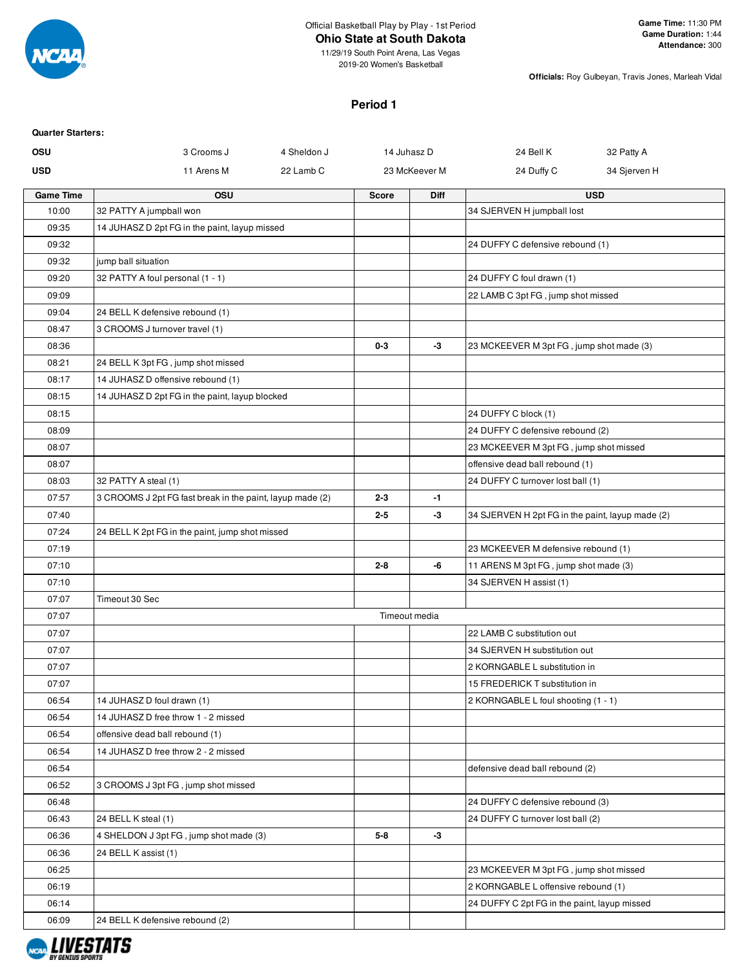

# **Ohio State at South Dakota**

11/29/19 South Point Arena, Las Vegas 2019-20 Women's Basketball

**Officials:** Roy Gulbeyan, Travis Jones, Marleah Vidal

#### **Period 1**

| <b>Quarter Starters:</b> |                                                                                     |             |              |               |                                                  |              |
|--------------------------|-------------------------------------------------------------------------------------|-------------|--------------|---------------|--------------------------------------------------|--------------|
| <b>OSU</b>               | 3 Crooms J                                                                          | 4 Sheldon J | 14 Juhasz D  |               | 24 Bell K                                        | 32 Patty A   |
| <b>USD</b>               | 11 Arens M                                                                          | 22 Lamb C   |              | 23 McKeever M | 24 Duffy C                                       | 34 Sjerven H |
| <b>Game Time</b>         | <b>OSU</b>                                                                          |             | <b>Score</b> | <b>Diff</b>   |                                                  | <b>USD</b>   |
| 10:00                    | 32 PATTY A jumpball won                                                             |             |              |               | 34 SJERVEN H jumpball lost                       |              |
| 09:35                    | 14 JUHASZ D 2pt FG in the paint, layup missed                                       |             |              |               |                                                  |              |
| 09:32                    |                                                                                     |             |              |               | 24 DUFFY C defensive rebound (1)                 |              |
| 09:32                    | jump ball situation                                                                 |             |              |               |                                                  |              |
| 09:20                    | 32 PATTY A foul personal (1 - 1)                                                    |             |              |               | 24 DUFFY C foul drawn (1)                        |              |
| 09:09                    |                                                                                     |             |              |               | 22 LAMB C 3pt FG, jump shot missed               |              |
| 09:04                    | 24 BELL K defensive rebound (1)                                                     |             |              |               |                                                  |              |
| 08:47                    | 3 CROOMS J turnover travel (1)                                                      |             |              |               |                                                  |              |
| 08:36                    |                                                                                     |             | $0 - 3$      | -3            | 23 MCKEEVER M 3pt FG, jump shot made (3)         |              |
| 08:21                    | 24 BELL K 3pt FG, jump shot missed                                                  |             |              |               |                                                  |              |
| 08:17                    | 14 JUHASZ D offensive rebound (1)<br>14 JUHASZ D 2pt FG in the paint, layup blocked |             |              |               |                                                  |              |
| 08:15<br>08:15           |                                                                                     |             |              |               | 24 DUFFY C block (1)                             |              |
| 08:09                    |                                                                                     |             |              |               | 24 DUFFY C defensive rebound (2)                 |              |
| 08:07                    |                                                                                     |             |              |               | 23 MCKEEVER M 3pt FG, jump shot missed           |              |
| 08:07                    |                                                                                     |             |              |               | offensive dead ball rebound (1)                  |              |
| 08:03                    | 32 PATTY A steal (1)                                                                |             |              |               | 24 DUFFY C turnover lost ball (1)                |              |
| 07:57                    | 3 CROOMS J 2pt FG fast break in the paint, layup made (2)                           |             | $2 - 3$      | $-1$          |                                                  |              |
| 07:40                    |                                                                                     |             | $2 - 5$      | $-3$          | 34 SJERVEN H 2pt FG in the paint, layup made (2) |              |
| 07:24                    | 24 BELL K 2pt FG in the paint, jump shot missed                                     |             |              |               |                                                  |              |
| 07:19                    |                                                                                     |             |              |               | 23 MCKEEVER M defensive rebound (1)              |              |
| 07:10                    |                                                                                     |             | $2 - 8$      | -6            | 11 ARENS M 3pt FG, jump shot made (3)            |              |
| 07:10                    |                                                                                     |             |              |               | 34 SJERVEN H assist (1)                          |              |
| 07:07                    | Timeout 30 Sec                                                                      |             |              |               |                                                  |              |
| 07:07                    |                                                                                     |             |              | Timeout media |                                                  |              |
| 07:07                    |                                                                                     |             |              |               | 22 LAMB C substitution out                       |              |
| 07:07                    |                                                                                     |             |              |               | 34 SJERVEN H substitution out                    |              |
| 07:07                    |                                                                                     |             |              |               | 2 KORNGABLE L substitution in                    |              |
| 07:07                    |                                                                                     |             |              |               | 15 FREDERICK T substitution in                   |              |
| 06:54                    | 14 JUHASZ D foul drawn (1)                                                          |             |              |               | 2 KORNGABLE L foul shooting (1 - 1)              |              |
| 06:54                    | 14 JUHASZ D free throw 1 - 2 missed                                                 |             |              |               |                                                  |              |
| 06:54                    | offensive dead ball rebound (1)                                                     |             |              |               |                                                  |              |
| 06:54                    | 14 JUHASZ D free throw 2 - 2 missed                                                 |             |              |               |                                                  |              |
| 06:54                    |                                                                                     |             |              |               | defensive dead ball rebound (2)                  |              |
| 06:52                    | 3 CROOMS J 3pt FG, jump shot missed                                                 |             |              |               |                                                  |              |
| 06:48                    |                                                                                     |             |              |               | 24 DUFFY C defensive rebound (3)                 |              |
| 06:43                    | 24 BELL K steal (1)                                                                 |             |              |               | 24 DUFFY C turnover lost ball (2)                |              |
| 06:36                    | 4 SHELDON J 3pt FG, jump shot made (3)                                              |             | $5 - 8$      | -3            |                                                  |              |
| 06:36                    | 24 BELL K assist (1)                                                                |             |              |               |                                                  |              |
| 06:25                    |                                                                                     |             |              |               | 23 MCKEEVER M 3pt FG, jump shot missed           |              |
| 06:19                    |                                                                                     |             |              |               | 2 KORNGABLE L offensive rebound (1)              |              |
| 06:14                    |                                                                                     |             |              |               | 24 DUFFY C 2pt FG in the paint, layup missed     |              |
| 06:09                    | 24 BELL K defensive rebound (2)                                                     |             |              |               |                                                  |              |

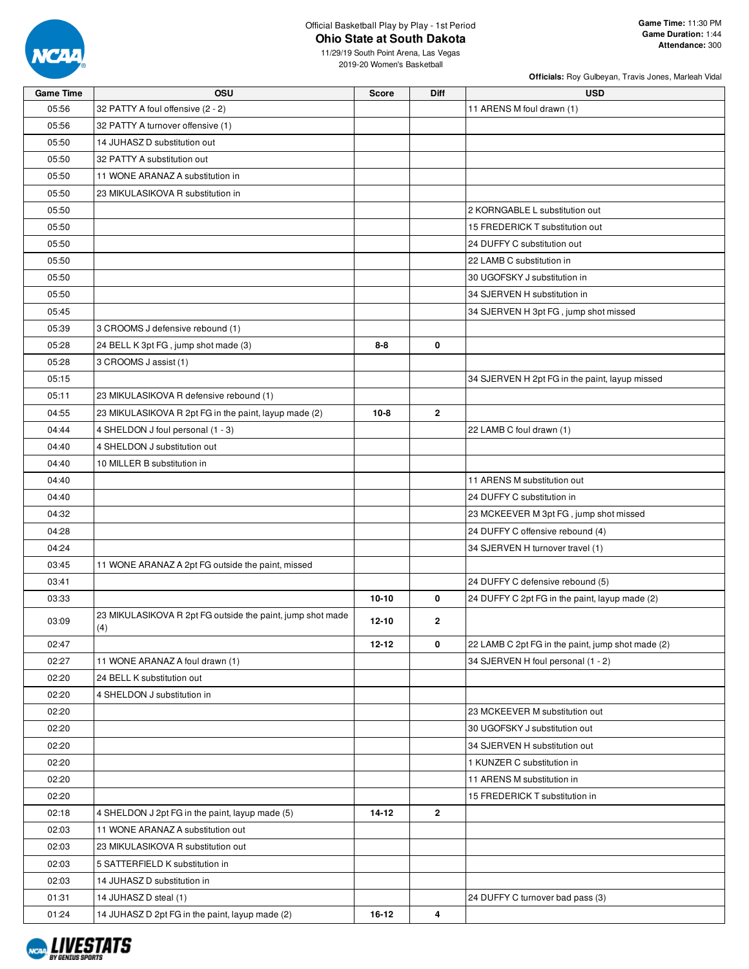

#### Official Basketball Play by Play - 1st Period **Ohio State at South Dakota**

**Officials:** Roy Gulbeyan, Travis Jones, Marleah Vidal

11/29/19 South Point Arena, Las Vegas 2019-20 Women's Basketball

| <b>Game Time</b> | OSU                                                               | <b>Score</b> | Diff                    | <b>USD</b>                                        |
|------------------|-------------------------------------------------------------------|--------------|-------------------------|---------------------------------------------------|
| 05:56            | 32 PATTY A foul offensive (2 - 2)                                 |              |                         | 11 ARENS M foul drawn (1)                         |
| 05:56            | 32 PATTY A turnover offensive (1)                                 |              |                         |                                                   |
| 05:50            | 14 JUHASZ D substitution out                                      |              |                         |                                                   |
| 05:50            | 32 PATTY A substitution out                                       |              |                         |                                                   |
| 05:50            | 11 WONE ARANAZ A substitution in                                  |              |                         |                                                   |
| 05:50            | 23 MIKULASIKOVA R substitution in                                 |              |                         |                                                   |
| 05:50            |                                                                   |              |                         | 2 KORNGABLE L substitution out                    |
| 05:50            |                                                                   |              |                         | 15 FREDERICK T substitution out                   |
| 05:50            |                                                                   |              |                         | 24 DUFFY C substitution out                       |
| 05:50            |                                                                   |              |                         | 22 LAMB C substitution in                         |
| 05:50            |                                                                   |              |                         | 30 UGOFSKY J substitution in                      |
| 05:50            |                                                                   |              |                         | 34 SJERVEN H substitution in                      |
|                  |                                                                   |              |                         |                                                   |
| 05:45            |                                                                   |              |                         | 34 SJERVEN H 3pt FG, jump shot missed             |
| 05:39            | 3 CROOMS J defensive rebound (1)                                  |              |                         |                                                   |
| 05:28            | 24 BELL K 3pt FG, jump shot made (3)                              | $8 - 8$      | 0                       |                                                   |
| 05:28            | 3 CROOMS J assist (1)                                             |              |                         |                                                   |
| 05:15            |                                                                   |              |                         | 34 SJERVEN H 2pt FG in the paint, layup missed    |
| 05:11            | 23 MIKULASIKOVA R defensive rebound (1)                           |              |                         |                                                   |
| 04:55            | 23 MIKULASIKOVA R 2pt FG in the paint, layup made (2)             | $10 - 8$     | $\mathbf{2}$            |                                                   |
| 04:44            | 4 SHELDON J foul personal (1 - 3)                                 |              |                         | 22 LAMB C foul drawn (1)                          |
| 04:40            | 4 SHELDON J substitution out                                      |              |                         |                                                   |
| 04:40            | 10 MILLER B substitution in                                       |              |                         |                                                   |
| 04:40            |                                                                   |              |                         | 11 ARENS M substitution out                       |
| 04:40            |                                                                   |              |                         | 24 DUFFY C substitution in                        |
| 04:32            |                                                                   |              |                         | 23 MCKEEVER M 3pt FG, jump shot missed            |
| 04:28            |                                                                   |              |                         | 24 DUFFY C offensive rebound (4)                  |
| 04:24            |                                                                   |              |                         | 34 SJERVEN H turnover travel (1)                  |
| 03:45            | 11 WONE ARANAZ A 2pt FG outside the paint, missed                 |              |                         |                                                   |
| 03:41            |                                                                   |              |                         | 24 DUFFY C defensive rebound (5)                  |
| 03:33            |                                                                   | $10 - 10$    | 0                       | 24 DUFFY C 2pt FG in the paint, layup made (2)    |
| 03:09            | 23 MIKULASIKOVA R 2pt FG outside the paint, jump shot made<br>(4) | $12 - 10$    | 2                       |                                                   |
| 02:47            |                                                                   | $12 - 12$    | 0                       | 22 LAMB C 2pt FG in the paint, jump shot made (2) |
| 02:27            | 11 WONE ARANAZ A foul drawn (1)                                   |              |                         | 34 SJERVEN H foul personal (1 - 2)                |
| 02:20            | 24 BELL K substitution out                                        |              |                         |                                                   |
| 02:20            | 4 SHELDON J substitution in                                       |              |                         |                                                   |
| 02:20            |                                                                   |              |                         | 23 MCKEEVER M substitution out                    |
| 02:20            |                                                                   |              |                         | 30 UGOFSKY J substitution out                     |
| 02:20            |                                                                   |              |                         | 34 SJERVEN H substitution out                     |
| 02:20            |                                                                   |              |                         | 1 KUNZER C substitution in                        |
|                  |                                                                   |              |                         |                                                   |
| 02:20            |                                                                   |              |                         | 11 ARENS M substitution in                        |
| 02:20            |                                                                   |              |                         | 15 FREDERICK T substitution in                    |
| 02:18            | 4 SHELDON J 2pt FG in the paint, layup made (5)                   | 14-12        | $\mathbf{2}$            |                                                   |
| 02:03            | 11 WONE ARANAZ A substitution out                                 |              |                         |                                                   |
| 02:03            | 23 MIKULASIKOVA R substitution out                                |              |                         |                                                   |
| 02:03            | 5 SATTERFIELD K substitution in                                   |              |                         |                                                   |
| 02:03            | 14 JUHASZ D substitution in                                       |              |                         |                                                   |
| 01:31            | 14 JUHASZ D steal (1)                                             |              |                         | 24 DUFFY C turnover bad pass (3)                  |
| 01:24            | 14 JUHASZ D 2pt FG in the paint, layup made (2)                   | $16 - 12$    | $\overline{\mathbf{4}}$ |                                                   |

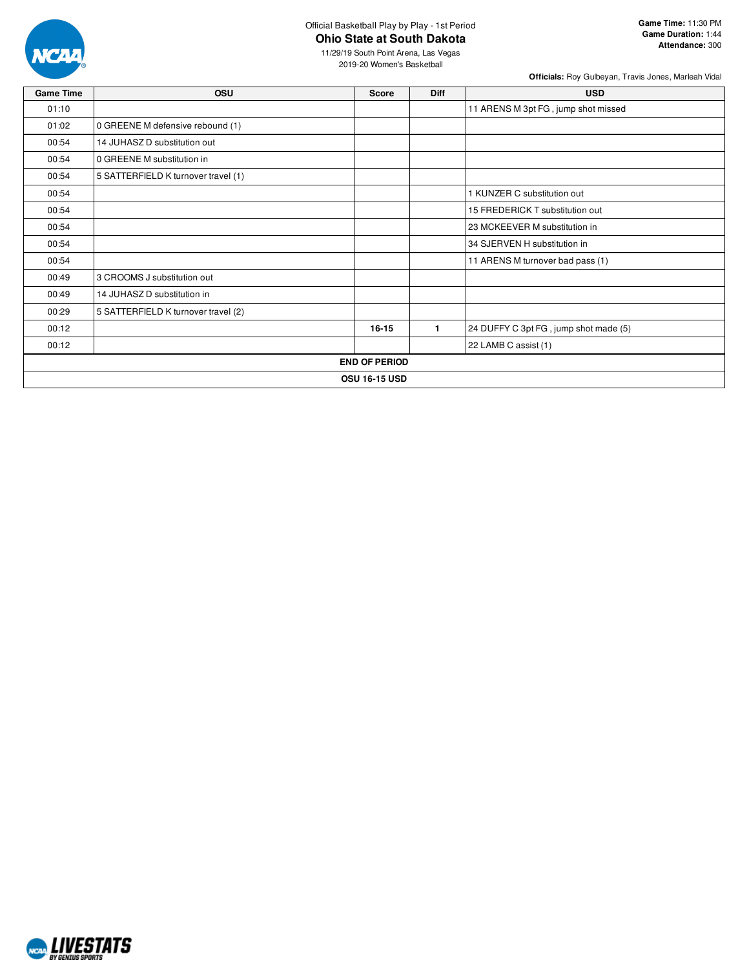

#### Official Basketball Play by Play - 1st Period **Ohio State at South Dakota**

11/29/19 South Point Arena, Las Vegas

**Officials:** Roy Gulbeyan, Travis Jones, Marleah Vidal

| <b>Game Time</b> | <b>OSU</b>                          | Score                | <b>Diff</b>    | <b>USD</b>                            |
|------------------|-------------------------------------|----------------------|----------------|---------------------------------------|
| 01:10            |                                     |                      |                | 11 ARENS M 3pt FG, jump shot missed   |
| 01:02            | 0 GREENE M defensive rebound (1)    |                      |                |                                       |
| 00:54            | 14 JUHASZ D substitution out        |                      |                |                                       |
| 00:54            | 0 GREENE M substitution in          |                      |                |                                       |
| 00:54            | 5 SATTERFIELD K turnover travel (1) |                      |                |                                       |
| 00:54            |                                     |                      |                | 1 KUNZER C substitution out           |
| 00:54            |                                     |                      |                | 15 FREDERICK T substitution out       |
| 00:54            |                                     |                      |                | 23 MCKEEVER M substitution in         |
| 00:54            |                                     |                      |                | 34 SJERVEN H substitution in          |
| 00:54            |                                     |                      |                | 11 ARENS M turnover bad pass (1)      |
| 00:49            | 3 CROOMS J substitution out         |                      |                |                                       |
| 00:49            | 14 JUHASZ D substitution in         |                      |                |                                       |
| 00:29            | 5 SATTERFIELD K turnover travel (2) |                      |                |                                       |
| 00:12            |                                     | $16 - 15$            | $\blacksquare$ | 24 DUFFY C 3pt FG, jump shot made (5) |
| 00:12            |                                     |                      |                | 22 LAMB C assist (1)                  |
|                  |                                     | <b>END OF PERIOD</b> |                |                                       |
|                  |                                     | <b>OSU 16-15 USD</b> |                |                                       |

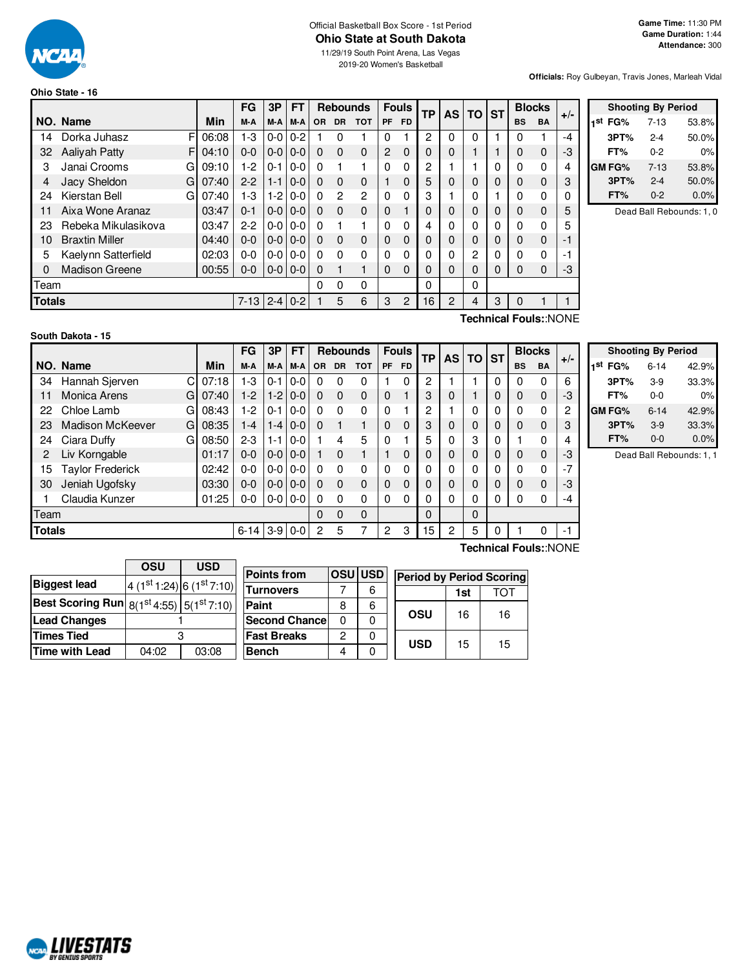

# Official Basketball Box Score - 1st Period **Ohio State at South Dakota**

11/29/19 South Point Arena, Las Vegas 2019-20 Women's Basketball

**Officials:** Roy Gulbeyan, Travis Jones, Marleah Vidal

| Ohio State - 16 |  |
|-----------------|--|
|-----------------|--|

|               |                           |          | FG      | 3Р            | FТ      | <b>Fouls</b><br><b>Rebounds</b> |           | ТP           |                | <b>AS</b><br><b>TO</b> | <b>ST</b> | <b>Blocks</b> |          | $+/-$    |           |             |          |  |
|---------------|---------------------------|----------|---------|---------------|---------|---------------------------------|-----------|--------------|----------------|------------------------|-----------|---------------|----------|----------|-----------|-------------|----------|--|
|               | NO. Name                  | Min      | M-A     | M-A           | M-A     | 0R                              | <b>DR</b> | <b>TOT</b>   | <b>PF</b>      | FD.                    |           |               |          |          | <b>BS</b> | <b>BA</b>   |          |  |
| 14            | F<br>Dorka Juhasz         | 06:08    | $1-3$   | 0-0           | $0 - 2$ |                                 | 0         |              | 0              |                        | 2         | 0             | $\Omega$ |          |           |             | -4       |  |
| 32            | <b>Aalivah Patty</b><br>F | 04:10    | $0 - 0$ | $0-0$         | $0 - 0$ | $\Omega$                        | $\Omega$  | 0            | $\overline{2}$ | $\Omega$               | 0         | 0             |          |          | 0         | $\mathbf 0$ | -3       |  |
| 3             | Janai Crooms<br>G         | 09:10    | $1-2$   | $0 - 1$       | $0 - 0$ | $\Omega$                        |           |              | $\Omega$       | 0                      | 2         |               |          | $\Omega$ | 0         | $\Omega$    | 4        |  |
| 4             | Jacy Sheldon<br>G         | 07:40    | $2 - 2$ | $1 - 1$       | $0 - 0$ | $\Omega$                        | $\Omega$  | 0            |                | 0                      | 5         | 0             | $\Omega$ | $\Omega$ | 0         | $\mathbf 0$ | 3        |  |
| 24            | Kierstan Bell<br>G        | 07:40    | $1-3$   | $1 - 2$       | $0 - 0$ | $\Omega$                        | 2         | 2            | 0              | 0                      | 3         |               | 0        |          | O         | 0           | $\Omega$ |  |
| 11            | Aixa Wone Aranaz          | 03:47    | $0 - 1$ | $0-0$         | $0 - 0$ | $\Omega$                        | $\Omega$  | $\Omega$     | 0              |                        | 0         | 0             | $\Omega$ | $\Omega$ | $\Omega$  | $\mathbf 0$ | 5        |  |
| 23            | Rebeka Mikulasikova       | 03:47    | $2 - 2$ | $0-0$         | $0-0$   | $\Omega$                        |           |              | 0              | 0                      | 4         | 0             | 0        | 0        |           | 0           | 5        |  |
| 10            | <b>Braxtin Miller</b>     | 04:40    | 0-0     | $0-0$         | $0 - 0$ | $\Omega$                        | $\Omega$  | 0            | 0              | 0                      | 0         | 0             | $\Omega$ | $\Omega$ | 0         | $\mathbf 0$ | -1       |  |
| 5             | Kaelynn Satterfield       | 02:03    | $0 - 0$ | $0-0$         | $0 - 0$ | $\Omega$                        | 0         | 0            | 0              | 0                      | 0         | 0             | 2        | 0        | 0         | 0           | -1       |  |
| 0             | <b>Madison Greene</b>     | 00:55    | $0-0$   | $0 - 0 0 - 0$ |         | $\Omega$                        |           |              | 0              | $\Omega$               | 0         | 0             | $\Omega$ | $\Omega$ | $\Omega$  | $\mathbf 0$ | -3       |  |
| Team          |                           |          |         |               |         | $\Omega$                        | 0         | $\mathbf{0}$ |                |                        | 0         |               | $\Omega$ |          |           |             |          |  |
| <b>Totals</b> |                           | $7 - 13$ |         | $2 - 4$ 0-2   |         | 5                               | 6         | 3            | 2              | 16                     | 2         | 4             | 3        |          |           |             |          |  |

| <b>Shooting By Period</b> |              |          |       |  |  |  |  |  |  |  |
|---------------------------|--------------|----------|-------|--|--|--|--|--|--|--|
| ⊣st                       | FG%          | 7-13     | 53.8% |  |  |  |  |  |  |  |
|                           | 3PT%         | $2 - 4$  | 50.0% |  |  |  |  |  |  |  |
|                           | FT%          | $0 - 2$  | 0%    |  |  |  |  |  |  |  |
|                           | <b>GMFG%</b> | $7 - 13$ | 53.8% |  |  |  |  |  |  |  |
|                           | 3PT%         | $2 - 4$  | 50.0% |  |  |  |  |  |  |  |
|                           | FT%          | $0 - 2$  | 0.0%  |  |  |  |  |  |  |  |

Dead Ball Rebounds: 1, 0

|  | South Dakota - 15 |  |  |  |
|--|-------------------|--|--|--|
|--|-------------------|--|--|--|

**Technical Fouls:**:NONE

|               |                              |       | FG       | 3P      | <b>FT</b> |          | <b>Rebounds</b> |          |          | <b>Fouls</b> | ТP | <b>AS</b> | <b>TO</b>   | <b>ST</b> |              | <b>Blocks</b> | $+/-$ |
|---------------|------------------------------|-------|----------|---------|-----------|----------|-----------------|----------|----------|--------------|----|-----------|-------------|-----------|--------------|---------------|-------|
|               | NO. Name                     | Min   | M-A      | M-A     | M-A       | OR.      | <b>DR</b>       | тот      | PF       | <b>FD</b>    |    |           |             |           | <b>BS</b>    | <b>BA</b>     |       |
| 34            | Hannah Sjerven<br>C          | 07:18 | 1-3      | $0 - 1$ | $0 - 0$   | 0        | 0               | 0        |          | 0            | 2  |           |             | 0         | 0            | 0             | 6     |
| 11            | Monica Arens<br>G            | 07:40 | $1-2$    | $1-2$   | $0 - 0$   | $\Omega$ | $\Omega$        | 0        | $\Omega$ |              | 3  | 0         |             | 0         | $\mathbf 0$  | 0             | -3    |
| 22            | Chloe Lamb<br>G              | 08:43 | $1-2$    | $0 - 1$ | $0 - 0$   | 0        | $\Omega$        | 0        | $\Omega$ |              | 2  |           | 0           | 0         | $\mathbf{0}$ | 0             | 2     |
| 23            | <b>Madison McKeever</b><br>G | 08:35 | $1 - 4$  | $1 - 4$ | $0 - 0$   | 0        |                 |          | 0        | $\Omega$     | 3  | 0         | 0           | 0         | $\Omega$     | 0             | 3     |
| 24            | Ciara Duffy<br>G             | 08:50 | $2-3$    | $1 - 1$ | $0 - 0$   |          | 4               | 5        | 0        |              | 5  | 0         | 3           | 0         |              | 0             | 4     |
| 2             | Liv Korngable                | 01:17 | $0 - 0$  | $0-0$   | $0 - 0$   |          | $\Omega$        |          |          | $\Omega$     | 0  | 0         | 0           | 0         | $\mathbf 0$  | 0             | -3    |
| 15            | <b>Taylor Frederick</b>      | 02:42 | $0 - 0$  | $0 - 0$ | $0 - 0$   | 0        | $\Omega$        | 0        | $\Omega$ | $\Omega$     | 0  | 0         | 0           | 0         | $\mathbf{0}$ | $\Omega$      | $-7$  |
| 30            | Jeniah Ugofsky               | 03:30 | 0-0      | $0 - 0$ | $0-0$     | 0        | $\Omega$        | 0        | $\Omega$ | $\Omega$     | 0  | 0         | 0           | 0         | $\Omega$     | $\mathbf{0}$  | -3    |
|               | Claudia Kunzer               | 01:25 | 0-0      | $0 - 0$ | $0 - 0$   | 0        | $\Omega$        | 0        | $\Omega$ | $\Omega$     | 0  | 0         | 0           | 0         | $\mathbf{0}$ | 0             | -4    |
| Team          |                              |       |          |         |           | 0        | $\Omega$        | $\Omega$ |          |              | 0  |           | $\mathbf 0$ |           |              |               |       |
| <b>Totals</b> |                              |       | $6 - 14$ | $3-9$   | $0 - 0$   | 2        | 5               |          | 2        | 3            | 15 | 2         | 5           |           |              | 0             | -1    |

| <b>Shooting By Period</b> |          |       |  |  |  |  |  |  |  |  |
|---------------------------|----------|-------|--|--|--|--|--|--|--|--|
| 1st FG%                   | 6-14     | 42.9% |  |  |  |  |  |  |  |  |
| 3PT%                      | $3-9$    | 33.3% |  |  |  |  |  |  |  |  |
| FT%                       | $0 - 0$  | 0%    |  |  |  |  |  |  |  |  |
| <b>GM FG%</b>             | $6 - 14$ | 42.9% |  |  |  |  |  |  |  |  |
| 3PT%                      | $3-9$    | 33.3% |  |  |  |  |  |  |  |  |
| FT%                       | $0 - 0$  | 0.0%  |  |  |  |  |  |  |  |  |

Dead Ball Rebounds: 1, 1

|       |       | <b>Points from</b> |                                                                                 |                      |                |                   |                                             |
|-------|-------|--------------------|---------------------------------------------------------------------------------|----------------------|----------------|-------------------|---------------------------------------------|
|       |       | <b>Turnovers</b>   |                                                                                 | 6                    |                | 1st               | ТОТ                                         |
|       |       | <b>Paint</b>       | 8                                                                               | 6                    |                |                   |                                             |
|       |       |                    | 0                                                                               |                      |                |                   | 16                                          |
|       |       | <b>Fast Breaks</b> | 2                                                                               |                      |                |                   |                                             |
| 04:02 | 03:08 | <b>Bench</b>       | 4                                                                               |                      |                |                   | 15                                          |
|       | OSU   | <b>USD</b>         | $(1st 1:24)$ 6 $(1st 7:10)$<br>Best Scoring Run $8(1^{st}4:55)$ $5(1^{st}7:10)$ | <b>Second Chance</b> | <b>OSU USD</b> | OSU<br><b>USD</b> | <b>Period by Period Scoring</b><br>16<br>15 |

**Technical Fouls:**:NONE

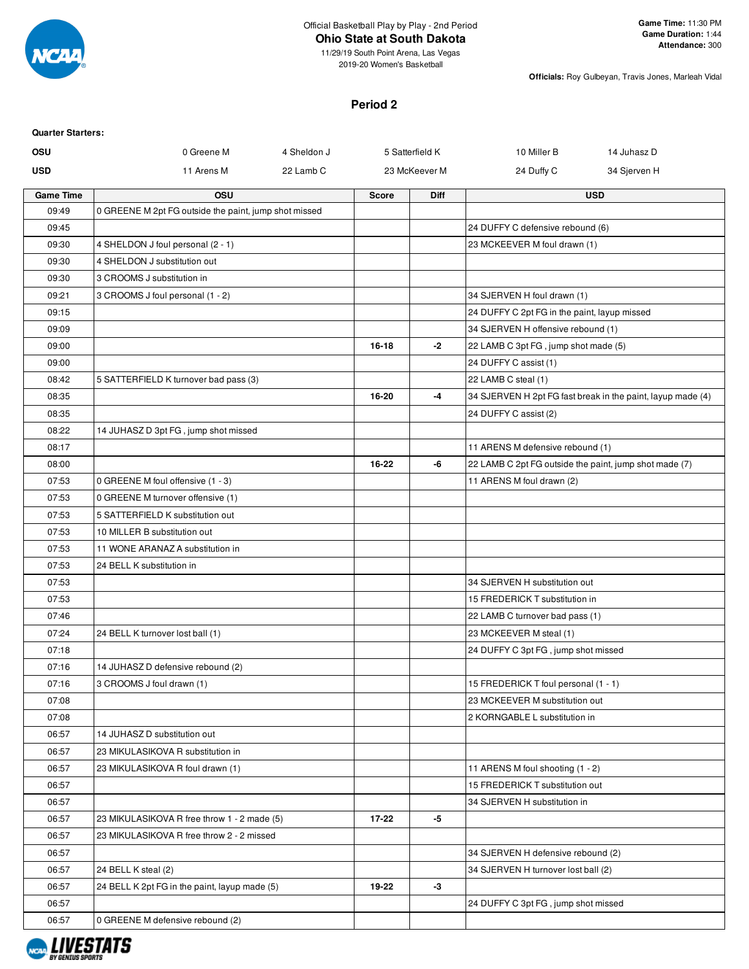

**Officials:** Roy Gulbeyan, Travis Jones, Marleah Vidal

## **Period 2**

| <b>Quarter Starters:</b> |                                                       |             |              |                 |                                                        |                                                             |
|--------------------------|-------------------------------------------------------|-------------|--------------|-----------------|--------------------------------------------------------|-------------------------------------------------------------|
| <b>OSU</b>               | 0 Greene M                                            | 4 Sheldon J |              | 5 Satterfield K | 10 Miller B                                            | 14 Juhasz D                                                 |
| <b>USD</b>               | 11 Arens M                                            | 22 Lamb C   |              | 23 McKeever M   | 24 Duffy C                                             | 34 Sjerven H                                                |
| <b>Game Time</b>         | OSU                                                   |             | <b>Score</b> | <b>Diff</b>     |                                                        | <b>USD</b>                                                  |
| 09:49                    | 0 GREENE M 2pt FG outside the paint, jump shot missed |             |              |                 |                                                        |                                                             |
| 09:45                    |                                                       |             |              |                 | 24 DUFFY C defensive rebound (6)                       |                                                             |
| 09:30                    | 4 SHELDON J foul personal (2 - 1)                     |             |              |                 | 23 MCKEEVER M foul drawn (1)                           |                                                             |
| 09:30                    | 4 SHELDON J substitution out                          |             |              |                 |                                                        |                                                             |
| 09:30                    | 3 CROOMS J substitution in                            |             |              |                 |                                                        |                                                             |
| 09:21                    | 3 CROOMS J foul personal (1 - 2)                      |             |              |                 | 34 SJERVEN H foul drawn (1)                            |                                                             |
| 09:15                    |                                                       |             |              |                 | 24 DUFFY C 2pt FG in the paint, layup missed           |                                                             |
| 09:09                    |                                                       |             |              |                 | 34 SJERVEN H offensive rebound (1)                     |                                                             |
| 09:00                    |                                                       |             | $16 - 18$    | $-2$            | 22 LAMB C 3pt FG, jump shot made (5)                   |                                                             |
| 09:00                    |                                                       |             |              |                 | 24 DUFFY C assist (1)                                  |                                                             |
| 08:42                    | 5 SATTERFIELD K turnover bad pass (3)                 |             |              |                 | 22 LAMB C steal (1)                                    |                                                             |
| 08:35                    |                                                       |             | 16-20        | $-4$            |                                                        | 34 SJERVEN H 2pt FG fast break in the paint, layup made (4) |
| 08:35                    |                                                       |             |              |                 | 24 DUFFY C assist (2)                                  |                                                             |
| 08:22                    | 14 JUHASZ D 3pt FG, jump shot missed                  |             |              |                 |                                                        |                                                             |
| 08:17                    |                                                       |             |              |                 | 11 ARENS M defensive rebound (1)                       |                                                             |
| 08:00                    |                                                       |             | 16-22        | -6              | 22 LAMB C 2pt FG outside the paint, jump shot made (7) |                                                             |
| 07:53                    | 0 GREENE M foul offensive (1 - 3)                     |             |              |                 | 11 ARENS M foul drawn (2)                              |                                                             |
| 07:53                    | 0 GREENE M turnover offensive (1)                     |             |              |                 |                                                        |                                                             |
| 07:53                    | 5 SATTERFIELD K substitution out                      |             |              |                 |                                                        |                                                             |
| 07:53                    | 10 MILLER B substitution out                          |             |              |                 |                                                        |                                                             |
| 07:53                    | 11 WONE ARANAZ A substitution in                      |             |              |                 |                                                        |                                                             |
| 07:53                    | 24 BELL K substitution in                             |             |              |                 |                                                        |                                                             |
| 07:53                    |                                                       |             |              |                 | 34 SJERVEN H substitution out                          |                                                             |
| 07:53                    |                                                       |             |              |                 | 15 FREDERICK T substitution in                         |                                                             |
| 07:46                    |                                                       |             |              |                 | 22 LAMB C turnover bad pass (1)                        |                                                             |
| 07:24                    | 24 BELL K turnover lost ball (1)                      |             |              |                 | 23 MCKEEVER M steal (1)                                |                                                             |
| 07:18                    |                                                       |             |              |                 | 24 DUFFY C 3pt FG, jump shot missed                    |                                                             |
| 07:16                    | 14 JUHASZ D defensive rebound (2)                     |             |              |                 |                                                        |                                                             |
| 07:16                    | 3 CROOMS J foul drawn (1)                             |             |              |                 | 15 FREDERICK T foul personal (1 - 1)                   |                                                             |
| 07:08                    |                                                       |             |              |                 | 23 MCKEEVER M substitution out                         |                                                             |
| 07:08                    |                                                       |             |              |                 | 2 KORNGABLE L substitution in                          |                                                             |
| 06:57                    | 14 JUHASZ D substitution out                          |             |              |                 |                                                        |                                                             |
| 06:57                    | 23 MIKULASIKOVA R substitution in                     |             |              |                 |                                                        |                                                             |
| 06:57                    | 23 MIKULASIKOVA R foul drawn (1)                      |             |              |                 | 11 ARENS M foul shooting (1 - 2)                       |                                                             |
| 06:57                    |                                                       |             |              |                 | 15 FREDERICK T substitution out                        |                                                             |
| 06:57                    |                                                       |             |              |                 | 34 SJERVEN H substitution in                           |                                                             |
| 06:57                    | 23 MIKULASIKOVA R free throw 1 - 2 made (5)           |             | 17-22        | -5              |                                                        |                                                             |
| 06:57                    | 23 MIKULASIKOVA R free throw 2 - 2 missed             |             |              |                 |                                                        |                                                             |
| 06:57                    |                                                       |             |              |                 | 34 SJERVEN H defensive rebound (2)                     |                                                             |
| 06:57                    | 24 BELL K steal (2)                                   |             | 19-22        | $-3$            | 34 SJERVEN H turnover lost ball (2)                    |                                                             |
| 06:57                    | 24 BELL K 2pt FG in the paint, layup made (5)         |             |              |                 |                                                        |                                                             |
| 06:57                    |                                                       |             |              |                 | 24 DUFFY C 3pt FG, jump shot missed                    |                                                             |
| 06:57                    | 0 GREENE M defensive rebound (2)                      |             |              |                 |                                                        |                                                             |

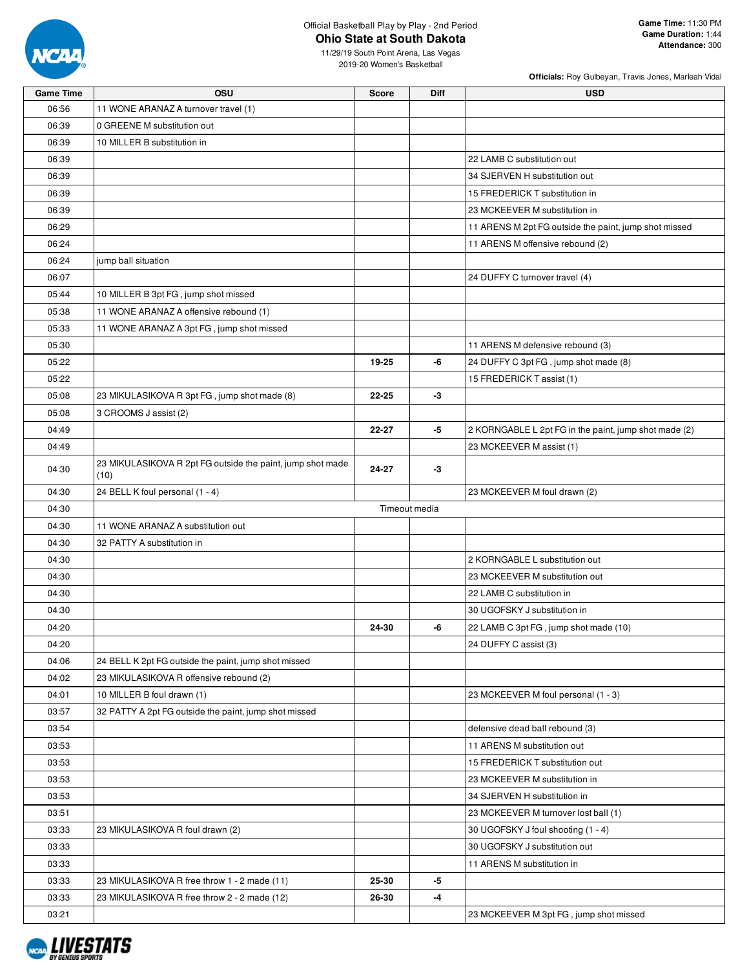

### Official Basketball Play by Play - 2nd Period **Ohio State at South Dakota**

11/29/19 South Point Arena, Las Vegas 2019-20 Women's Basketball

|                  |                                                            |               |             | Officials: Roy Gulbeyan, Travis Jones, Marleah Vidal  |
|------------------|------------------------------------------------------------|---------------|-------------|-------------------------------------------------------|
| <b>Game Time</b> | OSU                                                        | Score         | <b>Diff</b> | <b>USD</b>                                            |
| 06:56            | 11 WONE ARANAZ A turnover travel (1)                       |               |             |                                                       |
| 06:39            | 0 GREENE M substitution out                                |               |             |                                                       |
| 06:39            | 10 MILLER B substitution in                                |               |             |                                                       |
| 06:39            |                                                            |               |             | 22 LAMB C substitution out                            |
| 06:39            |                                                            |               |             | 34 SJERVEN H substitution out                         |
| 06:39            |                                                            |               |             | 15 FREDERICK T substitution in                        |
| 06:39            |                                                            |               |             | 23 MCKEEVER M substitution in                         |
| 06:29            |                                                            |               |             | 11 ARENS M 2pt FG outside the paint, jump shot missed |
| 06:24            |                                                            |               |             | 11 ARENS M offensive rebound (2)                      |
| 06:24            | jump ball situation                                        |               |             |                                                       |
| 06:07            |                                                            |               |             | 24 DUFFY C turnover travel (4)                        |
| 05:44            | 10 MILLER B 3pt FG, jump shot missed                       |               |             |                                                       |
| 05:38            | 11 WONE ARANAZ A offensive rebound (1)                     |               |             |                                                       |
| 05:33            | 11 WONE ARANAZ A 3pt FG, jump shot missed                  |               |             |                                                       |
| 05:30            |                                                            |               |             | 11 ARENS M defensive rebound (3)                      |
| 05:22            |                                                            | 19-25         | -6          | 24 DUFFY C 3pt FG, jump shot made (8)                 |
| 05:22            |                                                            |               |             | 15 FREDERICK T assist (1)                             |
| 05:08            | 23 MIKULASIKOVA R 3pt FG, jump shot made (8)               | 22-25         | -3          |                                                       |
| 05:08            | 3 CROOMS J assist (2)                                      |               |             |                                                       |
| 04:49            |                                                            | 22-27         | -5          | 2 KORNGABLE L 2pt FG in the paint, jump shot made (2) |
| 04:49            |                                                            |               |             | 23 MCKEEVER M assist (1)                              |
|                  | 23 MIKULASIKOVA R 2pt FG outside the paint, jump shot made |               |             |                                                       |
| 04:30            | (10)                                                       | 24-27         | -3          |                                                       |
| 04:30            | 24 BELL K foul personal (1 - 4)                            |               |             | 23 MCKEEVER M foul drawn (2)                          |
| 04:30            |                                                            | Timeout media |             |                                                       |
| 04:30            | 11 WONE ARANAZ A substitution out                          |               |             |                                                       |
| 04:30            | 32 PATTY A substitution in                                 |               |             |                                                       |
| 04:30            |                                                            |               |             | 2 KORNGABLE L substitution out                        |
| 04:30            |                                                            |               |             | 23 MCKEEVER M substitution out                        |
| 04:30            |                                                            |               |             | 22 LAMB C substitution in                             |
| 04:30            |                                                            |               |             | 30 UGOFSKY J substitution in                          |
| 04:20            |                                                            | 24-30         | -6          | 22 LAMB C 3pt FG, jump shot made (10)                 |
| 04:20            |                                                            |               |             | 24 DUFFY C assist (3)                                 |
| 04:06            | 24 BELL K 2pt FG outside the paint, jump shot missed       |               |             |                                                       |
| 04:02            | 23 MIKULASIKOVA R offensive rebound (2)                    |               |             |                                                       |
| 04:01            | 10 MILLER B foul drawn (1)                                 |               |             | 23 MCKEEVER M foul personal (1 - 3)                   |
| 03:57            | 32 PATTY A 2pt FG outside the paint, jump shot missed      |               |             |                                                       |
| 03:54            |                                                            |               |             | defensive dead ball rebound (3)                       |
| 03:53            |                                                            |               |             | 11 ARENS M substitution out                           |
| 03:53            |                                                            |               |             | 15 FREDERICK T substitution out                       |
| 03:53            |                                                            |               |             | 23 MCKEEVER M substitution in                         |
| 03:53            |                                                            |               |             | 34 SJERVEN H substitution in                          |
| 03:51            |                                                            |               |             | 23 MCKEEVER M turnover lost ball (1)                  |
| 03:33            | 23 MIKULASIKOVA R foul drawn (2)                           |               |             | 30 UGOFSKY J foul shooting (1 - 4)                    |
| 03:33            |                                                            |               |             | 30 UGOFSKY J substitution out                         |
| 03:33            |                                                            |               |             | 11 ARENS M substitution in                            |
| 03:33            | 23 MIKULASIKOVA R free throw 1 - 2 made (11)               | 25-30         | -5          |                                                       |
| 03:33            | 23 MIKULASIKOVA R free throw 2 - 2 made (12)               | 26-30         | -4          |                                                       |
| 03:21            |                                                            |               |             | 23 MCKEEVER M 3pt FG, jump shot missed                |
|                  |                                                            |               |             |                                                       |

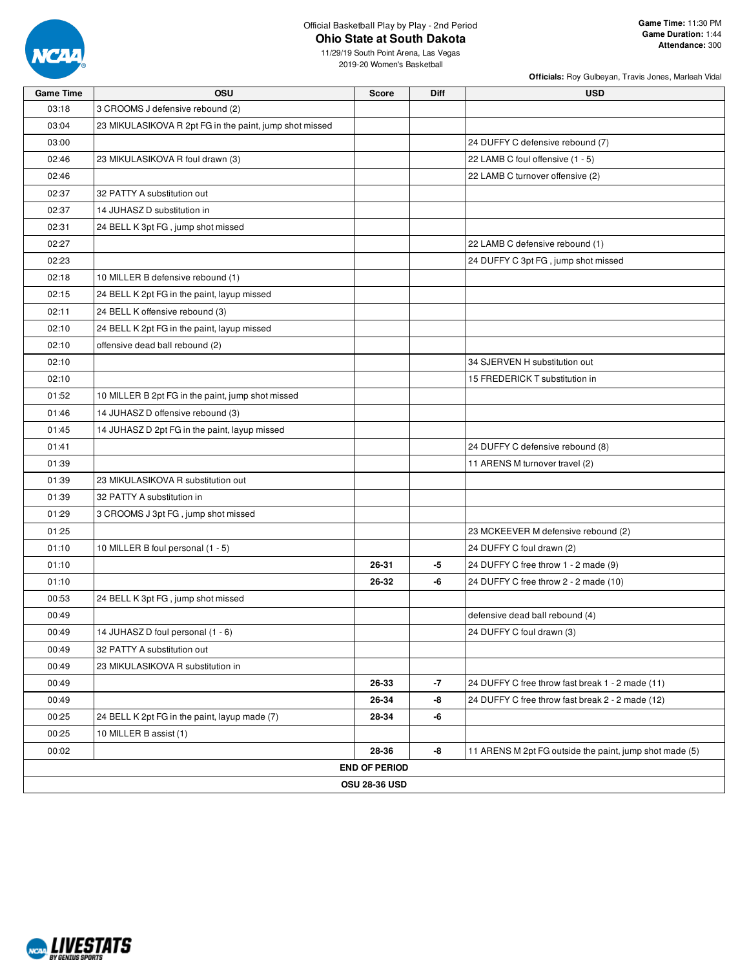

#### Official Basketball Play by Play - 2nd Period **Ohio State at South Dakota**

**Officials:** Roy Gulbeyan, Travis Jones, Marleah Vidal

11/29/19 South Point Arena, Las Vegas 2019-20 Women's Basketball

| <b>Game Time</b> | OSU                                                     | <b>Score</b>         | <b>Diff</b> | <b>USD</b>                                              |
|------------------|---------------------------------------------------------|----------------------|-------------|---------------------------------------------------------|
| 03:18            | 3 CROOMS J defensive rebound (2)                        |                      |             |                                                         |
| 03:04            | 23 MIKULASIKOVA R 2pt FG in the paint, jump shot missed |                      |             |                                                         |
| 03:00            |                                                         |                      |             | 24 DUFFY C defensive rebound (7)                        |
| 02:46            | 23 MIKULASIKOVA R foul drawn (3)                        |                      |             | 22 LAMB C foul offensive (1 - 5)                        |
| 02:46            |                                                         |                      |             | 22 LAMB C turnover offensive (2)                        |
| 02:37            | 32 PATTY A substitution out                             |                      |             |                                                         |
| 02:37            | 14 JUHASZ D substitution in                             |                      |             |                                                         |
| 02:31            | 24 BELL K 3pt FG, jump shot missed                      |                      |             |                                                         |
| 02:27            |                                                         |                      |             | 22 LAMB C defensive rebound (1)                         |
| 02:23            |                                                         |                      |             | 24 DUFFY C 3pt FG, jump shot missed                     |
| 02:18            | 10 MILLER B defensive rebound (1)                       |                      |             |                                                         |
| 02:15            | 24 BELL K 2pt FG in the paint, layup missed             |                      |             |                                                         |
| 02:11            | 24 BELL K offensive rebound (3)                         |                      |             |                                                         |
| 02:10            | 24 BELL K 2pt FG in the paint, layup missed             |                      |             |                                                         |
| 02:10            | offensive dead ball rebound (2)                         |                      |             |                                                         |
| 02:10            |                                                         |                      |             | 34 SJERVEN H substitution out                           |
| 02:10            |                                                         |                      |             | 15 FREDERICK T substitution in                          |
| 01:52            | 10 MILLER B 2pt FG in the paint, jump shot missed       |                      |             |                                                         |
| 01:46            | 14 JUHASZ D offensive rebound (3)                       |                      |             |                                                         |
| 01:45            | 14 JUHASZ D 2pt FG in the paint, layup missed           |                      |             |                                                         |
| 01:41            |                                                         |                      |             | 24 DUFFY C defensive rebound (8)                        |
| 01:39            |                                                         |                      |             | 11 ARENS M turnover travel (2)                          |
| 01:39            | 23 MIKULASIKOVA R substitution out                      |                      |             |                                                         |
| 01:39            | 32 PATTY A substitution in                              |                      |             |                                                         |
| 01:29            | 3 CROOMS J 3pt FG, jump shot missed                     |                      |             |                                                         |
| 01:25            |                                                         |                      |             | 23 MCKEEVER M defensive rebound (2)                     |
| 01:10            | 10 MILLER B foul personal (1 - 5)                       |                      |             | 24 DUFFY C foul drawn (2)                               |
| 01:10            |                                                         | 26-31                | -5          | 24 DUFFY C free throw 1 - 2 made (9)                    |
| 01:10            |                                                         | 26-32                | -6          | 24 DUFFY C free throw 2 - 2 made (10)                   |
| 00:53            | 24 BELL K 3pt FG, jump shot missed                      |                      |             |                                                         |
| 00:49            |                                                         |                      |             | defensive dead ball rebound (4)                         |
| 00:49            | 14 JUHASZ D foul personal (1 - 6)                       |                      |             | 24 DUFFY C foul drawn (3)                               |
| 00:49            | 32 PATTY A substitution out                             |                      |             |                                                         |
| 00:49            | 23 MIKULASIKOVA R substitution in                       |                      |             |                                                         |
| 00:49            |                                                         | 26-33                | $-7$        | 24 DUFFY C free throw fast break 1 - 2 made (11)        |
| 00:49            |                                                         | 26-34                | -8          | 24 DUFFY C free throw fast break 2 - 2 made (12)        |
| 00:25            | 24 BELL K 2pt FG in the paint, layup made (7)           | 28-34                | -6          |                                                         |
| 00:25            | 10 MILLER B assist (1)                                  |                      |             |                                                         |
| 00:02            |                                                         | 28-36                | -8          | 11 ARENS M 2pt FG outside the paint, jump shot made (5) |
|                  |                                                         | <b>END OF PERIOD</b> |             |                                                         |
|                  |                                                         | <b>OSU 28-36 USD</b> |             |                                                         |

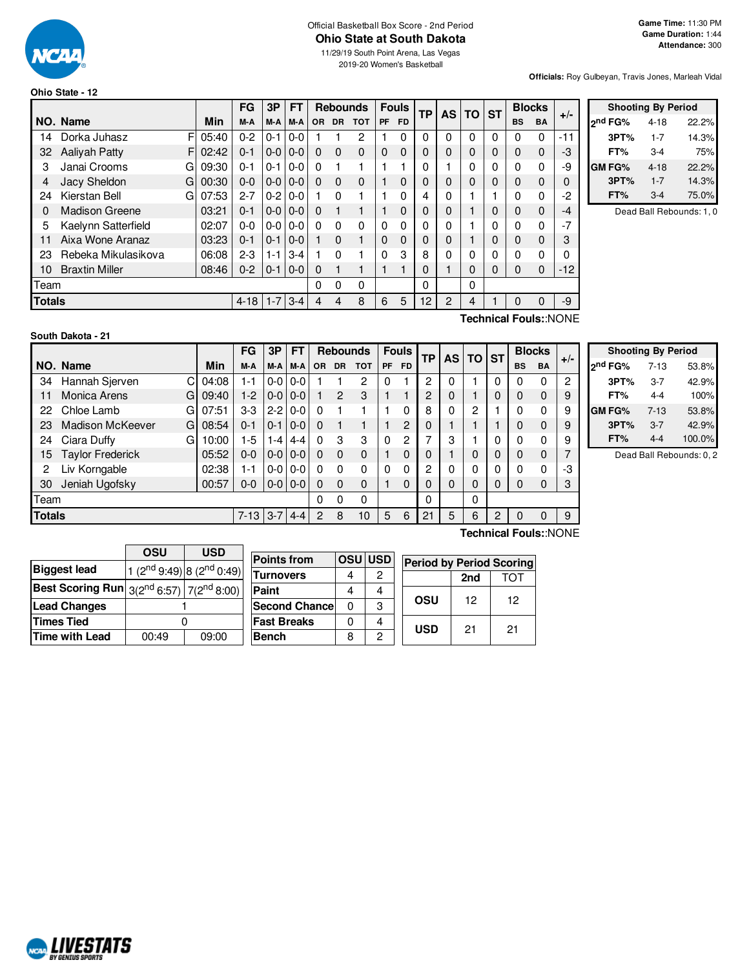

#### Official Basketball Box Score - 2nd Period **Ohio State at South Dakota**

11/29/19 South Point Arena, Las Vegas 2019-20 Women's Basketball

**Officials:** Roy Gulbeyan, Travis Jones, Marleah Vidal

# **Ohio State - 12**

|               |                       |            | FG       | 3P      | FТ              |           |           | <b>Rebounds</b> |           | <b>Fouls</b> | ТP | <b>AS</b> | TO | <b>ST</b> |           | <b>Blocks</b> | $+/-$ |  |
|---------------|-----------------------|------------|----------|---------|-----------------|-----------|-----------|-----------------|-----------|--------------|----|-----------|----|-----------|-----------|---------------|-------|--|
|               | NO. Name              | Min        | M-A      | M-A     | M-A             | <b>OR</b> | <b>DR</b> | <b>TOT</b>      | <b>PF</b> | <b>FD</b>    |    |           |    |           | <b>BS</b> | <b>BA</b>     |       |  |
| 14            | F<br>Dorka Juhasz     | 05:40      | $0 - 2$  | $0 - 1$ | $0-0$           |           |           | 2               |           | 0            | 0  | 0         | 0  | 0         | 0         | $\Omega$      | -11   |  |
| 32            | Aaliyah Patty         | F<br>02:42 | $0 - 1$  | $0-0$   | $0 - 0$         | 0         | $\Omega$  | $\mathbf{0}$    | 0         | $\Omega$     | 0  | 0         | 0  | 0         | $\Omega$  | $\mathbf 0$   | -3    |  |
| 3             | Janai Crooms<br>G     | 09:30      | $0 - 1$  | $0 - 1$ | $0-0$           | 0         |           |                 |           |              | 0  |           | 0  | 0         | 0         | $\Omega$      | -9    |  |
| 4             | Jacy Sheldon<br>G     | 00:30      | $0 - 0$  |         | $0 - 0 0 - 0$   | $\Omega$  | $\Omega$  | $\mathbf{0}$    |           | $\Omega$     | 0  | 0         | 0  | 0         | 0         | 0             | 0     |  |
| 24            | Kierstan Bell<br>G    | 07:53      | $2 - 7$  | $0 - 2$ | $0 - 0$         |           | $\Omega$  |                 |           | 0            | 4  | 0         |    |           | 0         | $\Omega$      | -2    |  |
| $\Omega$      | <b>Madison Greene</b> | 03:21      | $0 - 1$  |         | $0 - 0 0 - 0$   | $\Omega$  |           |                 |           | $\Omega$     | 0  | $\Omega$  |    | 0         | $\Omega$  | $\Omega$      | $-4$  |  |
| 5             | Kaelynn Satterfield   | 02:07      | $0 - 0$  |         | $0 - 0 1 0 - 0$ | 0         | 0         | 0               | 0         | 0            | 0  | 0         |    | 0         | 0         | $\Omega$      | $-7$  |  |
| 11            | Aixa Wone Aranaz      | 03:23      | $0 - 1$  | $0 - 1$ | $0 - 0$         |           | $\Omega$  |                 | 0         | 0            | 0  | 0         |    | 0         | 0         | $\Omega$      | 3     |  |
| 23            | Rebeka Mikulasikova   | 06:08      | $2 - 3$  | $1 - 1$ | $3 - 4$         |           | $\Omega$  |                 | 0         | 3            | 8  | 0         | 0  | 0         | 0         | 0             | 0     |  |
| 10            | <b>Braxtin Miller</b> | 08:46      | $0 - 2$  | $0 - 1$ | $0 - 0$         | $\Omega$  |           |                 |           | ۹            | 0  |           | 0  | 0         | $\Omega$  | $\mathbf 0$   | $-12$ |  |
| Team          |                       |            |          |         |                 | 0         | 0         | 0               |           |              | 0  |           | 0  |           |           |               |       |  |
| <b>Totals</b> |                       |            | $4 - 18$ | $1 - 7$ | $3 - 4$         | 4         | 4         | 8               | 6         | 5            | 12 | 2         | 4  |           | 0         | 0             | -9    |  |

|               | <b>Shooting By Period</b> |       |
|---------------|---------------------------|-------|
| ond FG%       | 4-18                      | 22.2% |
| 3PT%          | $1 - 7$                   | 14.3% |
| FT%           | 3-4                       | 75%   |
| <b>GM FG%</b> | $4 - 18$                  | 22.2% |
| 3PT%          | $1 - 7$                   | 14.3% |
| FT%           | $3-4$                     | 75.0% |

Dead Ball Rebounds: 1, 0

#### **South Dakota - 21**

**Technical Fouls:**:NONE

|               |                          |       | FG       | 3Р      | FТ            |              | <b>Rebounds</b> |            |    | <b>Fouls</b> | ТP | <b>AS</b> | TO | <b>ST</b> | <b>Blocks</b> |             | $+/-$ |
|---------------|--------------------------|-------|----------|---------|---------------|--------------|-----------------|------------|----|--------------|----|-----------|----|-----------|---------------|-------------|-------|
|               | NO. Name                 | Min   | M-A      | M-A     | M-A           | <b>OR</b>    | DR .            | <b>TOT</b> | PF | <b>FD</b>    |    |           |    |           | <b>BS</b>     | <b>BA</b>   |       |
| 34            | Hannah Sjerven<br>С      | 04:08 | 1-1      | $0-0$   | $0 - 0$       |              |                 | 2          | 0  |              | 2  |           |    | 0         | 0             | 0           | 2     |
| 11            | <b>Monica Arens</b><br>G | 09:40 | $1-2$    | $0-0$   | $0-0$         |              | $\mathbf{P}$    | 3          |    |              | 2  | 0         |    | 0         | 0             | $\mathbf 0$ | 9     |
| 22            | Chloe Lamb<br>G          | 07:51 | $3-3$    | $2-2$   | $0 - 0$       | <sup>0</sup> |                 |            |    | 0            | 8  | 0         | 2  |           | 0             | 0           | 9     |
| 23            | Madison McKeever<br>G    | 08:54 | $0 - 1$  | $0 - 1$ | $0-0$         | $\Omega$     | 1               |            |    | 2            | 0  |           |    |           | 0             | $\mathbf 0$ | 9     |
| 24            | Ciara Duffy<br>G         | 10:00 | $1-5$    | $1 - 4$ | 4-4           | $\Omega$     | 3               | 3          | 0  | 2            | 7  | 3         |    | 0         | 0             | $\Omega$    | 9     |
| 15            | <b>Taylor Frederick</b>  | 05:52 | $0 - 0$  | $0-0$   | $0-0$         | 0            | $\Omega$        | $\Omega$   |    | 0            | 0  |           | 0  | 0         | 0             | $\mathbf 0$ |       |
| 2             | Liv Korngable            | 02:38 | 1-1      | $0-0$   | $0 - 0$       | <sup>0</sup> | $\Omega$        | $\Omega$   | 0  | 0            | 2  | 0         | 0  | 0         | 0             | 0           | -3    |
| 30            | Jeniah Ugofsky           | 00:57 | $0 - 0$  |         | $0 - 0 0 - 0$ | $\Omega$     | $\Omega$        | $\Omega$   |    | 0            | 0  | 0         | 0  | 0         | 0             | 0           | 3     |
| Team          |                          |       |          |         |               | $\Omega$     | $\Omega$        | 0          |    |              | 0  |           | 0  |           |               |             |       |
| <b>Totals</b> |                          |       | $7 - 13$ | $3-7$   | $4 - 4$       | 2            | 8               | 10         | 5  | 6            | 21 | 5         | 6  | 2         | 0             | 0           | 9     |
|               |                          |       |          |         |               |              |                 |            |    |              |    |           |    |           |               |             |       |

| <b>Shooting By Period</b> |         |        |  |  |  |  |  |  |  |  |  |
|---------------------------|---------|--------|--|--|--|--|--|--|--|--|--|
| 2 <sup>nd</sup> FG%       | 7-13    | 53.8%  |  |  |  |  |  |  |  |  |  |
| 3PT%                      | 3-7     | 42.9%  |  |  |  |  |  |  |  |  |  |
| FT%                       | 4-4     | 100%   |  |  |  |  |  |  |  |  |  |
| GM FG%                    | $7-13$  | 53.8%  |  |  |  |  |  |  |  |  |  |
| 3PT%                      | $3 - 7$ | 42.9%  |  |  |  |  |  |  |  |  |  |
| FT%                       | 4-4     | 100.0% |  |  |  |  |  |  |  |  |  |

Dead Ball Rebounds: 0, 2

|                                                             | OSU   | <b>USD</b>                        | Ρr  |  |  |
|-------------------------------------------------------------|-------|-----------------------------------|-----|--|--|
| <b>Biggest lead</b>                                         |       | 1 $(2^{nd}9:49)$ 8 $(2^{nd}0:49)$ | ΓL, |  |  |
| <b>Best Scoring Run</b> $3(2^{nd} 6:57)$ 7( $2^{nd} 8:00$ ) |       |                                   | Pε  |  |  |
| <b>Lead Changes</b>                                         |       |                                   |     |  |  |
| <b>Times Tied</b>                                           |       |                                   | ۵Ē  |  |  |
| <b>Time with Lead</b>                                       | 00:49 | 09:00                             | B٤  |  |  |

|    | <b>Points from</b>    | <b>OSUIUSD</b> |   | <b>Period by Period Scoring</b> |     |     |  |  |
|----|-----------------------|----------------|---|---------------------------------|-----|-----|--|--|
| 9) | <b>Turnovers</b>      |                | 2 |                                 | 2nd | TOT |  |  |
| )) | Paint                 |                |   |                                 |     |     |  |  |
|    | <b>Second Chancel</b> |                | 3 | OSU                             | 12  | 12  |  |  |
|    | <b>Fast Breaks</b>    |                |   | <b>USD</b>                      | 21  |     |  |  |
|    | <b>Bench</b>          |                | っ |                                 |     | 21  |  |  |

**Technical Fouls:**:NONE

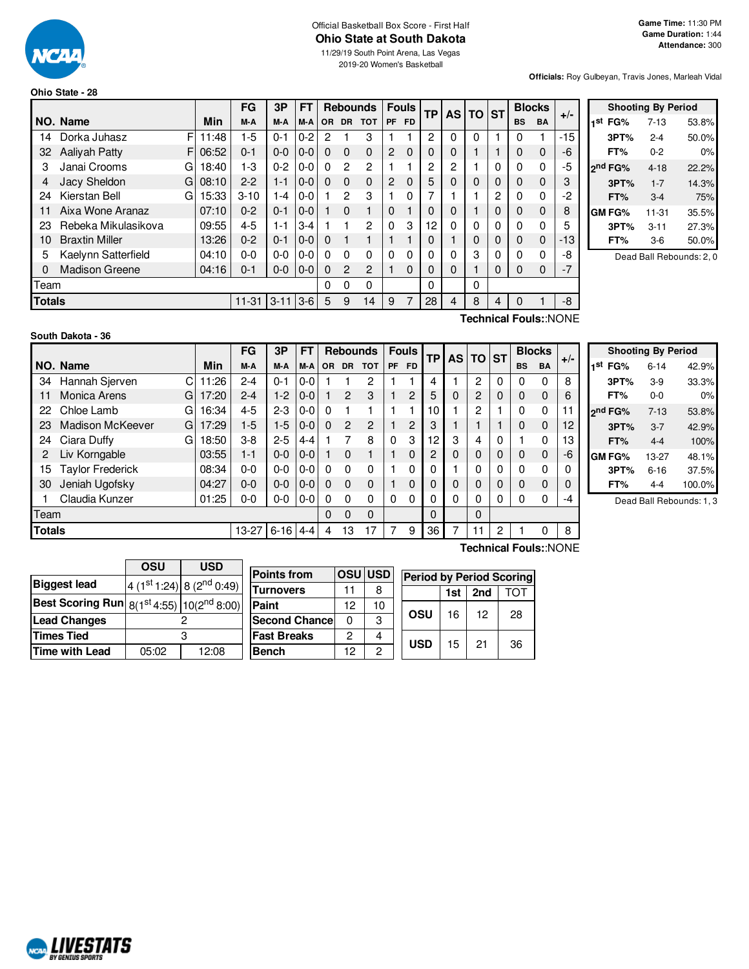

#### Official Basketball Box Score - First Half **Ohio State at South Dakota** 11/29/19 South Point Arena, Las Vegas

2019-20 Women's Basketball

**Officials:** Roy Gulbeyan, Travis Jones, Marleah Vidal

#### **Ohio State - 28**

|      |                                                   |    |       | FG       | 3P      | <b>FT</b> |                | <b>Rebounds</b> |              |           |           |          |          | <b>Fouls</b> |          | <b>TP</b> | <b>AS</b>   | ΤO    | <b>ST</b> | <b>Blocks</b> |  | $+/-$ |
|------|---------------------------------------------------|----|-------|----------|---------|-----------|----------------|-----------------|--------------|-----------|-----------|----------|----------|--------------|----------|-----------|-------------|-------|-----------|---------------|--|-------|
|      | NO. Name                                          |    | Min   | M-A      | M-A     | M-A       | <b>OR</b>      | <b>DR</b>       | <b>TOT</b>   | <b>PF</b> | <b>FD</b> |          |          |              |          | <b>BS</b> | <b>BA</b>   |       |           |               |  |       |
| 14   | Dorka Juhasz                                      | F  | 11:48 | $1-5$    | $0 - 1$ | $0 - 2$   | $\overline{2}$ |                 | 3            |           |           | 2        | $\Omega$ | $\Omega$     |          | 0         |             | $-15$ |           |               |  |       |
| 32   | <b>Aalivah Patty</b>                              | F. | 06:52 | $0 - 1$  | $0-0$   | $0-0$     | 0              | $\Omega$        | $\Omega$     | 2         | $\Omega$  | $\Omega$ | $\Omega$ |              |          | 0         | $\mathbf 0$ | -6    |           |               |  |       |
| 3    | Janai Crooms                                      | G  | 18:40 | 1-3      | $0 - 2$ | $0 - 0$   | 0              | 2               | 2            |           |           | 2        | 2        |              | 0        | 0         | 0           | $-5$  |           |               |  |       |
| 4    | Jacy Sheldon                                      | G  | 08:10 | $2 - 2$  | $1 - 1$ | $0-0$     | 0              | $\Omega$        | $\Omega$     | 2         | $\Omega$  | 5        | 0        | $\Omega$     | 0        | 0         | $\mathbf 0$ | 3     |           |               |  |       |
| 24   | Kierstan Bell                                     | G  | 15:33 | $3 - 10$ | 1-4     | $0-0$     |                | 2               | 3            |           | $\Omega$  | 7        |          |              | 2        | 0         | 0           | $-2$  |           |               |  |       |
| 11   | Aixa Wone Aranaz                                  |    | 07:10 | $0 - 2$  | $0 - 1$ | $0-0$     |                | $\Omega$        |              | $\Omega$  |           | $\Omega$ | 0        |              | $\Omega$ | 0         | $\mathbf 0$ | 8     |           |               |  |       |
| 23   | Rebeka Mikulasikova                               |    | 09:55 | 4-5      | 1-1     | $3 - 4$   |                |                 | 2            | $\Omega$  | 3         | 12       | O        | $\Omega$     | 0        | 0         | $\mathbf 0$ | 5     |           |               |  |       |
| 10   | <b>Braxtin Miller</b>                             |    | 13:26 | $0 - 2$  | $0 - 1$ | $0-0$     | $\Omega$       |                 |              |           |           | 0        |          | 0            | 0        | 0         | $\mathbf 0$ | $-13$ |           |               |  |       |
| 5    | Kaelynn Satterfield                               |    | 04:10 | $0 - 0$  | $0-0$   | $0 - 0$   | 0              | 0               | $\mathbf{0}$ | 0         | 0         | 0        | 0        | 3            | 0        | 0         | 0           | -8    |           |               |  |       |
| 0    | <b>Madison Greene</b>                             |    | 04:16 | $0 - 1$  | $0-0$   | $0-0$     | $\Omega$       | $\overline{c}$  | 2            |           | $\Omega$  | $\Omega$ | 0        |              | 0        | 0         | $\Omega$    | $-7$  |           |               |  |       |
| Team |                                                   |    |       |          |         |           | 0              | 0               | 0            |           |           | $\Omega$ |          | $\Omega$     |          |           |             |       |           |               |  |       |
|      | <b>Totals</b><br>$11 - 31$<br>$3 - 11$<br>$ 3-6 $ |    |       |          |         |           |                |                 | 14           | 9         | 7         | 28       | 4        | 8            | 4        | 0         |             | -8    |           |               |  |       |
|      |                                                   |    |       |          |         |           |                |                 |              |           |           |          |          |              |          |           |             |       |           |               |  |       |

| <b>Shooting By Period</b> |                     |           |       |  |  |  |  |  |  |  |  |  |
|---------------------------|---------------------|-----------|-------|--|--|--|--|--|--|--|--|--|
| 1st                       | FG%                 | $7-13$    | 53.8% |  |  |  |  |  |  |  |  |  |
|                           | 3PT%                | $2 - 4$   | 50.0% |  |  |  |  |  |  |  |  |  |
|                           | FT%                 | $0 - 2$   | 0%    |  |  |  |  |  |  |  |  |  |
|                           | 2 <sup>nd</sup> FG% | $4 - 18$  | 22.2% |  |  |  |  |  |  |  |  |  |
|                           | 3PT%                | $1 - 7$   | 14.3% |  |  |  |  |  |  |  |  |  |
|                           | FT%                 | $3-4$     | 75%   |  |  |  |  |  |  |  |  |  |
|                           | GM FG%              | $11 - 31$ | 35.5% |  |  |  |  |  |  |  |  |  |
|                           | 3PT%                | $3 - 11$  | 27.3% |  |  |  |  |  |  |  |  |  |
|                           | FT%                 | 3-6       | 50.0% |  |  |  |  |  |  |  |  |  |

Dead Ball Rebounds: 2, 0

#### **South Dakota - 36**

C $11:26$ G 17:20 G 16:34 G 17:29 G  $18:50$ **NO. Name Min FG 3P FT Rebounds Fouls TP AS TO ST**  $\begin{bmatrix} \mathsf{FG} & \mathsf{3P} & \mathsf{FT} \\ \mathsf{M-A} & \mathsf{M-A} & \mathsf{OR} & \mathsf{DR} & \mathsf{TOT} \end{bmatrix}$   $\begin{bmatrix} \mathsf{FO} & \mathsf{FP} \\ \mathsf{PF} & \mathsf{FD} \end{bmatrix}$   $\begin{bmatrix} \mathsf{TS} & \mathsf{DT} \\ \mathsf{AS} & \mathsf{DT} \end{bmatrix}$   $\begin{bmatrix} \mathsf{BlockS} \\ \mathsf{BS} & \mathsf{BA} \end{bmatrix}$  +/-34 Hannah Sjerven  $C|11:26$  2-4 0-1 0-0 1 1 2 1 1 4 1 2 0 0 8 11 Monica Arens G | 17:20 | 2-4 | 1-2 | 0-0 | 1 | 2 | 3 | 1 | 2 | 5 | 0 | 2 | 0 | 0 | 0 | 6 22 Chloe Lamb G | 16:34 | 4-5 | 2-3 | 0-0 | 0 1 1 1 1 1 1 1 10 | 1 | 2 | 1 | 0 0 | 11 23 Madison McKeever G | 17:29 | 1-5 | 1-5 | 0-0 | 0 2 2 | 1 2 | 3 | 1 | 1 | 1 | 0 0 | 12 24 Ciara Duffy G | 18:50 | 3-8 | 2-5 | 4-4 | 1  $\,$  7  $\,$  8 | 0  $\,$  3 | 12 | 3 | 4 | 0 | 1  $\,$  0 | 13 2 Liv Korngable 03:55 1-1 0-0 0-0 1 0 1 1 0 2 0 0 0 0 0 -6 15 Taylor Frederick 08:34 0-0 0-0 0-0 0 0 0 1 0 0 1 0 0 0 0 0 30 Jeniah Ugofsky  $\begin{bmatrix} 04:27 & 0 & 0 & 0 & 0 & 0 & 0 & 0 & 0 & 1 & 0 & 0 & 0 & 0 & 0 & 0 & 0 & 0 \end{bmatrix}$ 1 Claudia Kunzer 01:25 0-0 0-0 0-0 0 0 0 0 0 0 0 0 0 0 0 -4 Team 0 0 0 0 0 **Totals** 13-27 6-16 4-4 4 13 17 2 3 36 7 11 2 1 0 8

**Technical Fouls:**:NONE

Г

|     |         | <b>Shooting By Period</b> |        |
|-----|---------|---------------------------|--------|
| 1st | FG%     | $6 - 14$                  | 42.9%  |
|     | 3PT%    | $3-9$                     | 33.3%  |
|     | FT%     | 0-0                       | 0%     |
|     | 2nd FG% | $7-13$                    | 53.8%  |
|     | 3PT%    | $3 - 7$                   | 42.9%  |
|     | FT%     | $4 - 4$                   | 100%   |
|     | GM FG%  | 13-27                     | 48.1%  |
|     | 3PT%    | $6 - 16$                  | 37.5%  |
|     | FT%     | $4-4$                     | 100.0% |

Dead Ball Rebounds: 1, 3

|                                                           | <b>OSU</b> | <b>USD</b>                                        |  |  |  |  |
|-----------------------------------------------------------|------------|---------------------------------------------------|--|--|--|--|
| <b>Biggest lead</b>                                       |            | 4 (1 <sup>st</sup> 1:24) 8 (2 <sup>nd</sup> 0:49) |  |  |  |  |
| Best Scoring Run $8(1^{st}4:55)$ 10(2 <sup>nd</sup> 8:00) |            |                                                   |  |  |  |  |
| <b>Lead Changes</b>                                       |            |                                                   |  |  |  |  |
| <b>Times Tied</b>                                         | з          |                                                   |  |  |  |  |
| Time with Lead                                            | 05:02      | 12:08                                             |  |  |  |  |

| <b>Points from</b>   |     | <b>OSUIUSD</b> | <b>Period by Period Scoring</b> |     |     |    |  |  |  |  |  |
|----------------------|-----|----------------|---------------------------------|-----|-----|----|--|--|--|--|--|
| <b>Turnovers</b>     | 11  | 8              |                                 | 1st | 2nd |    |  |  |  |  |  |
| Paint                | 12. | 10             |                                 |     |     |    |  |  |  |  |  |
| <b>Second Chance</b> | O   | 3              | OSU                             | 16  | 12  | 28 |  |  |  |  |  |
| <b>Fast Breaks</b>   | 2   |                | <b>USD</b>                      | 15  | 21  |    |  |  |  |  |  |
| <b>Bench</b>         | 12  | 2              |                                 |     |     | 36 |  |  |  |  |  |

**Technical Fouls:**:NONE

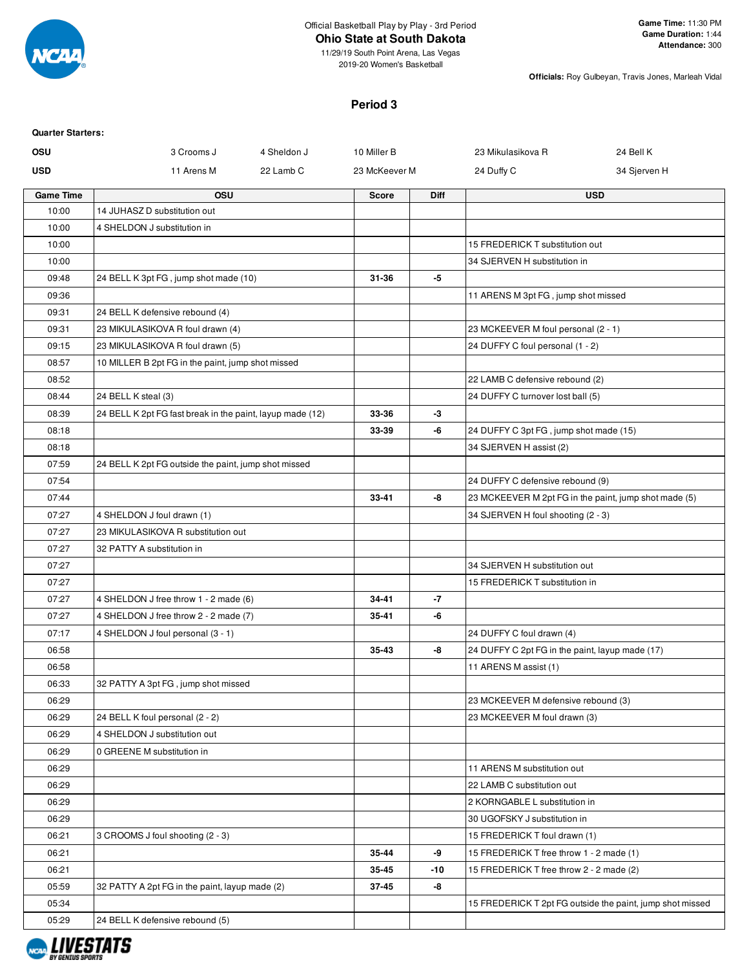

# **Ohio State at South Dakota**

11/29/19 South Point Arena, Las Vegas 2019-20 Women's Basketball

**Officials:** Roy Gulbeyan, Travis Jones, Marleah Vidal

#### **Period 3**

| <b>Quarter Starters:</b> |                                                           |               |             |                                                                              |                                                           |
|--------------------------|-----------------------------------------------------------|---------------|-------------|------------------------------------------------------------------------------|-----------------------------------------------------------|
| <b>OSU</b>               | 3 Crooms J<br>4 Sheldon J                                 | 10 Miller B   |             | 23 Mikulasikova R                                                            | 24 Bell K                                                 |
| <b>USD</b>               | 11 Arens M<br>22 Lamb C                                   | 23 McKeever M |             | 24 Duffy C                                                                   | 34 Sjerven H                                              |
| <b>Game Time</b>         | <b>OSU</b>                                                | <b>Score</b>  | <b>Diff</b> |                                                                              | <b>USD</b>                                                |
| 10:00                    | 14 JUHASZ D substitution out                              |               |             |                                                                              |                                                           |
| 10:00                    | 4 SHELDON J substitution in                               |               |             |                                                                              |                                                           |
| 10:00                    |                                                           |               |             | 15 FREDERICK T substitution out                                              |                                                           |
| 10:00                    |                                                           |               |             | 34 SJERVEN H substitution in                                                 |                                                           |
| 09:48                    | 24 BELL K 3pt FG, jump shot made (10)                     | 31-36         | -5          |                                                                              |                                                           |
| 09:36                    |                                                           |               |             | 11 ARENS M 3pt FG, jump shot missed                                          |                                                           |
| 09:31                    | 24 BELL K defensive rebound (4)                           |               |             |                                                                              |                                                           |
| 09:31                    | 23 MIKULASIKOVA R foul drawn (4)                          |               |             | 23 MCKEEVER M foul personal (2 - 1)                                          |                                                           |
| 09:15                    | 23 MIKULASIKOVA R foul drawn (5)                          |               |             | 24 DUFFY C foul personal (1 - 2)                                             |                                                           |
| 08:57                    | 10 MILLER B 2pt FG in the paint, jump shot missed         |               |             |                                                                              |                                                           |
| 08:52                    |                                                           |               |             | 22 LAMB C defensive rebound (2)                                              |                                                           |
| 08:44                    | 24 BELL K steal (3)                                       |               |             | 24 DUFFY C turnover lost ball (5)                                            |                                                           |
| 08:39                    | 24 BELL K 2pt FG fast break in the paint, layup made (12) | 33-36         | -3          |                                                                              |                                                           |
| 08:18                    |                                                           | 33-39         | -6          | 24 DUFFY C 3pt FG, jump shot made (15)                                       |                                                           |
| 08:18                    |                                                           |               |             | 34 SJERVEN H assist (2)                                                      |                                                           |
| 07:59                    | 24 BELL K 2pt FG outside the paint, jump shot missed      |               |             |                                                                              |                                                           |
| 07:54                    |                                                           |               |             | 24 DUFFY C defensive rebound (9)                                             |                                                           |
| 07:44                    |                                                           | 33-41         | -8          | 23 MCKEEVER M 2pt FG in the paint, jump shot made (5)                        |                                                           |
| 07:27                    | 4 SHELDON J foul drawn (1)                                |               |             | 34 SJERVEN H foul shooting (2 - 3)                                           |                                                           |
| 07:27                    | 23 MIKULASIKOVA R substitution out                        |               |             |                                                                              |                                                           |
| 07:27                    | 32 PATTY A substitution in                                |               |             |                                                                              |                                                           |
| 07:27                    |                                                           |               |             | 34 SJERVEN H substitution out                                                |                                                           |
| 07:27                    |                                                           |               |             | 15 FREDERICK T substitution in                                               |                                                           |
| 07:27                    | 4 SHELDON J free throw 1 - 2 made (6)                     | 34-41         | -7          |                                                                              |                                                           |
| 07:27                    | 4 SHELDON J free throw 2 - 2 made (7)                     | 35-41         | -6          |                                                                              |                                                           |
| 07:17                    | 4 SHELDON J foul personal (3 - 1)                         |               |             | 24 DUFFY C foul drawn (4)<br>24 DUFFY C 2pt FG in the paint, layup made (17) |                                                           |
| 06:58<br>06:58           |                                                           | 35-43         | -8          | 11 ARENS M assist (1)                                                        |                                                           |
| 06:33                    | 32 PATTY A 3pt FG, jump shot missed                       |               |             |                                                                              |                                                           |
| 06:29                    |                                                           |               |             | 23 MCKEEVER M defensive rebound (3)                                          |                                                           |
| 06:29                    | 24 BELL K foul personal (2 - 2)                           |               |             | 23 MCKEEVER M foul drawn (3)                                                 |                                                           |
| 06:29                    | 4 SHELDON J substitution out                              |               |             |                                                                              |                                                           |
| 06:29                    | 0 GREENE M substitution in                                |               |             |                                                                              |                                                           |
| 06:29                    |                                                           |               |             | 11 ARENS M substitution out                                                  |                                                           |
| 06:29                    |                                                           |               |             | 22 LAMB C substitution out                                                   |                                                           |
| 06:29                    |                                                           |               |             | 2 KORNGABLE L substitution in                                                |                                                           |
| 06:29                    |                                                           |               |             | 30 UGOFSKY J substitution in                                                 |                                                           |
| 06:21                    | 3 CROOMS J foul shooting (2 - 3)                          |               |             | 15 FREDERICK T foul drawn (1)                                                |                                                           |
| 06:21                    |                                                           | 35-44         | -9          | 15 FREDERICK T free throw 1 - 2 made (1)                                     |                                                           |
| 06:21                    |                                                           | 35-45         | -10         | 15 FREDERICK T free throw 2 - 2 made (2)                                     |                                                           |
| 05:59                    | 32 PATTY A 2pt FG in the paint, layup made (2)            | 37-45         | -8          |                                                                              |                                                           |
| 05:34                    |                                                           |               |             |                                                                              | 15 FREDERICK T 2pt FG outside the paint, jump shot missed |
|                          |                                                           |               |             |                                                                              |                                                           |
| 05:29                    | 24 BELL K defensive rebound (5)                           |               |             |                                                                              |                                                           |

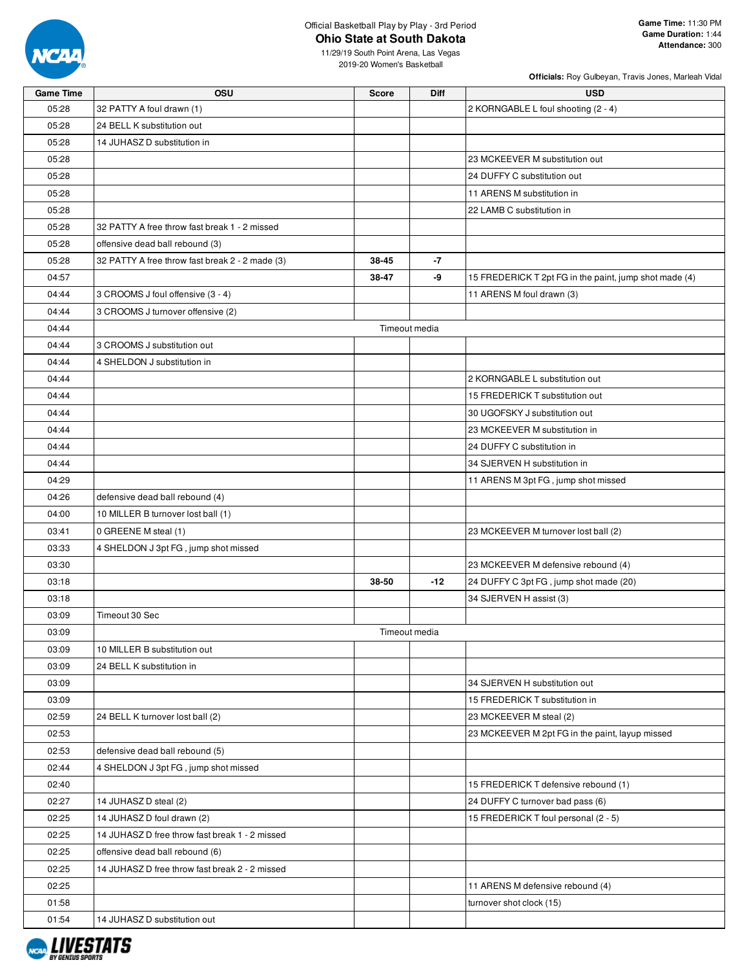

#### Official Basketball Play by Play - 3rd Period **Ohio State at South Dakota**

**Officials:** Roy Gulbeyan, Travis Jones, Marleah Vidal

11/29/19 South Point Arena, Las Vegas 2019-20 Women's Basketball

| <b>Game Time</b> | OSU                                             | <b>Score</b> | Diff          | <b>USD</b>                                                                 |
|------------------|-------------------------------------------------|--------------|---------------|----------------------------------------------------------------------------|
| 05:28            | 32 PATTY A foul drawn (1)                       |              |               | 2 KORNGABLE L foul shooting (2 - 4)                                        |
| 05:28            | 24 BELL K substitution out                      |              |               |                                                                            |
| 05:28            | 14 JUHASZ D substitution in                     |              |               |                                                                            |
| 05:28            |                                                 |              |               | 23 MCKEEVER M substitution out                                             |
| 05:28            |                                                 |              |               | 24 DUFFY C substitution out                                                |
| 05:28            |                                                 |              |               | 11 ARENS M substitution in                                                 |
| 05:28            |                                                 |              |               | 22 LAMB C substitution in                                                  |
| 05:28            | 32 PATTY A free throw fast break 1 - 2 missed   |              |               |                                                                            |
| 05:28            | offensive dead ball rebound (3)                 |              |               |                                                                            |
| 05:28            | 32 PATTY A free throw fast break 2 - 2 made (3) | 38-45        | -7            |                                                                            |
| 04:57            |                                                 | 38-47        | -9            | 15 FREDERICK T 2pt FG in the paint, jump shot made (4)                     |
| 04:44            | 3 CROOMS J foul offensive (3 - 4)               |              |               | 11 ARENS M foul drawn (3)                                                  |
| 04:44            | 3 CROOMS J turnover offensive (2)               |              |               |                                                                            |
| 04:44            |                                                 |              | Timeout media |                                                                            |
| 04:44            | 3 CROOMS J substitution out                     |              |               |                                                                            |
| 04:44            | 4 SHELDON J substitution in                     |              |               |                                                                            |
| 04:44            |                                                 |              |               | 2 KORNGABLE L substitution out                                             |
| 04:44            |                                                 |              |               | 15 FREDERICK T substitution out                                            |
| 04:44            |                                                 |              |               | 30 UGOFSKY J substitution out                                              |
| 04:44            |                                                 |              |               | 23 MCKEEVER M substitution in                                              |
| 04:44            |                                                 |              |               | 24 DUFFY C substitution in                                                 |
| 04:44            |                                                 |              |               | 34 SJERVEN H substitution in                                               |
| 04:29            |                                                 |              |               | 11 ARENS M 3pt FG, jump shot missed                                        |
| 04:26            | defensive dead ball rebound (4)                 |              |               |                                                                            |
| 04:00            | 10 MILLER B turnover lost ball (1)              |              |               |                                                                            |
| 03:41            | 0 GREENE M steal (1)                            |              |               | 23 MCKEEVER M turnover lost ball (2)                                       |
| 03:33            | 4 SHELDON J 3pt FG, jump shot missed            |              |               |                                                                            |
| 03:30            |                                                 |              |               | 23 MCKEEVER M defensive rebound (4)                                        |
| 03:18            |                                                 | 38-50        | $-12$         | 24 DUFFY C 3pt FG, jump shot made (20)                                     |
| 03:18            |                                                 |              |               | 34 SJERVEN H assist (3)                                                    |
| 03:09            | Timeout 30 Sec                                  |              |               |                                                                            |
| 03:09            |                                                 |              | Timeout media |                                                                            |
| 03:09            | 10 MILLER B substitution out                    |              |               |                                                                            |
| 03:09            |                                                 |              |               |                                                                            |
|                  | 24 BELL K substitution in                       |              |               |                                                                            |
| 03:09            |                                                 |              |               | 34 SJERVEN H substitution out                                              |
| 03:09            |                                                 |              |               | 15 FREDERICK T substitution in                                             |
| 02:59            | 24 BELL K turnover lost ball (2)                |              |               | 23 MCKEEVER M steal (2)<br>23 MCKEEVER M 2pt FG in the paint, layup missed |
| 02:53            |                                                 |              |               |                                                                            |
| 02:53            | defensive dead ball rebound (5)                 |              |               |                                                                            |
| 02:44            | 4 SHELDON J 3pt FG, jump shot missed            |              |               |                                                                            |
| 02:40            |                                                 |              |               | 15 FREDERICK T defensive rebound (1)                                       |
| 02:27            | 14 JUHASZ D steal (2)                           |              |               | 24 DUFFY C turnover bad pass (6)                                           |
| 02:25            | 14 JUHASZ D foul drawn (2)                      |              |               | 15 FREDERICK T foul personal (2 - 5)                                       |
| 02:25            | 14 JUHASZ D free throw fast break 1 - 2 missed  |              |               |                                                                            |
| 02:25            | offensive dead ball rebound (6)                 |              |               |                                                                            |
| 02:25            | 14 JUHASZ D free throw fast break 2 - 2 missed  |              |               |                                                                            |
| 02:25            |                                                 |              |               | 11 ARENS M defensive rebound (4)                                           |

01:58 turnover shot clock (15)



01:54 14 JUHASZ D substitution out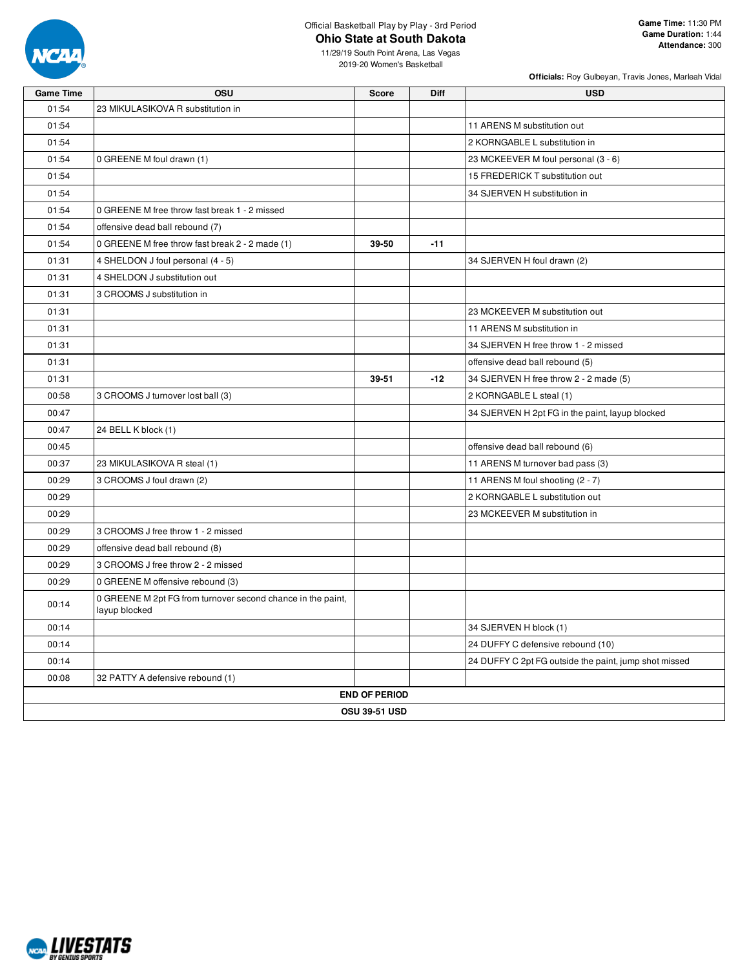

### Official Basketball Play by Play - 3rd Period **Ohio State at South Dakota**

**Officials:** Roy Gulbeyan, Travis Jones, Marleah Vidal

11/29/19 South Point Arena, Las Vegas 2019-20 Women's Basketball

| <b>Game Time</b> | <b>OSU</b>                                                                   | <b>Score</b>         | Diff  | <b>USD</b>                                            |  |  |  |  |
|------------------|------------------------------------------------------------------------------|----------------------|-------|-------------------------------------------------------|--|--|--|--|
| 01:54            | 23 MIKULASIKOVA R substitution in                                            |                      |       |                                                       |  |  |  |  |
| 01:54            |                                                                              |                      |       | 11 ARENS M substitution out                           |  |  |  |  |
| 01:54            |                                                                              |                      |       | 2 KORNGABLE L substitution in                         |  |  |  |  |
| 01:54            | 0 GREENE M foul drawn (1)                                                    |                      |       | 23 MCKEEVER M foul personal (3 - 6)                   |  |  |  |  |
| 01:54            |                                                                              |                      |       | 15 FREDERICK T substitution out                       |  |  |  |  |
| 01:54            |                                                                              |                      |       | 34 SJERVEN H substitution in                          |  |  |  |  |
| 01:54            | 0 GREENE M free throw fast break 1 - 2 missed                                |                      |       |                                                       |  |  |  |  |
| 01:54            | offensive dead ball rebound (7)                                              |                      |       |                                                       |  |  |  |  |
| 01:54            | 0 GREENE M free throw fast break 2 - 2 made (1)                              | 39-50                | $-11$ |                                                       |  |  |  |  |
| 01:31            | 4 SHELDON J foul personal (4 - 5)                                            |                      |       | 34 SJERVEN H foul drawn (2)                           |  |  |  |  |
| 01:31            | 4 SHELDON J substitution out                                                 |                      |       |                                                       |  |  |  |  |
| 01:31            | 3 CROOMS J substitution in                                                   |                      |       |                                                       |  |  |  |  |
| 01:31            |                                                                              |                      |       | 23 MCKEEVER M substitution out                        |  |  |  |  |
| 01:31            |                                                                              |                      |       | 11 ARENS M substitution in                            |  |  |  |  |
| 01:31            |                                                                              |                      |       | 34 SJERVEN H free throw 1 - 2 missed                  |  |  |  |  |
| 01:31            |                                                                              |                      |       | offensive dead ball rebound (5)                       |  |  |  |  |
| 01:31            |                                                                              | 39-51                | $-12$ | 34 SJERVEN H free throw 2 - 2 made (5)                |  |  |  |  |
| 00:58            | 3 CROOMS J turnover lost ball (3)                                            |                      |       | 2 KORNGABLE L steal (1)                               |  |  |  |  |
| 00:47            |                                                                              |                      |       | 34 SJERVEN H 2pt FG in the paint, layup blocked       |  |  |  |  |
| 00:47            | 24 BELL K block (1)                                                          |                      |       |                                                       |  |  |  |  |
| 00:45            |                                                                              |                      |       | offensive dead ball rebound (6)                       |  |  |  |  |
| 00:37            | 23 MIKULASIKOVA R steal (1)                                                  |                      |       | 11 ARENS M turnover bad pass (3)                      |  |  |  |  |
| 00:29            | 3 CROOMS J foul drawn (2)                                                    |                      |       | 11 ARENS M foul shooting (2 - 7)                      |  |  |  |  |
| 00:29            |                                                                              |                      |       | 2 KORNGABLE L substitution out                        |  |  |  |  |
| 00:29            |                                                                              |                      |       | 23 MCKEEVER M substitution in                         |  |  |  |  |
| 00:29            | 3 CROOMS J free throw 1 - 2 missed                                           |                      |       |                                                       |  |  |  |  |
| 00:29            | offensive dead ball rebound (8)                                              |                      |       |                                                       |  |  |  |  |
| 00:29            | 3 CROOMS J free throw 2 - 2 missed                                           |                      |       |                                                       |  |  |  |  |
| 00:29            | 0 GREENE M offensive rebound (3)                                             |                      |       |                                                       |  |  |  |  |
| 00:14            | 0 GREENE M 2pt FG from turnover second chance in the paint,<br>layup blocked |                      |       |                                                       |  |  |  |  |
| 00:14            |                                                                              |                      |       | 34 SJERVEN H block (1)                                |  |  |  |  |
| 00:14            |                                                                              |                      |       | 24 DUFFY C defensive rebound (10)                     |  |  |  |  |
| 00:14            |                                                                              |                      |       | 24 DUFFY C 2pt FG outside the paint, jump shot missed |  |  |  |  |
| 00:08            | 32 PATTY A defensive rebound (1)                                             |                      |       |                                                       |  |  |  |  |
|                  |                                                                              | <b>END OF PERIOD</b> |       |                                                       |  |  |  |  |
|                  |                                                                              | <b>OSU 39-51 USD</b> |       |                                                       |  |  |  |  |

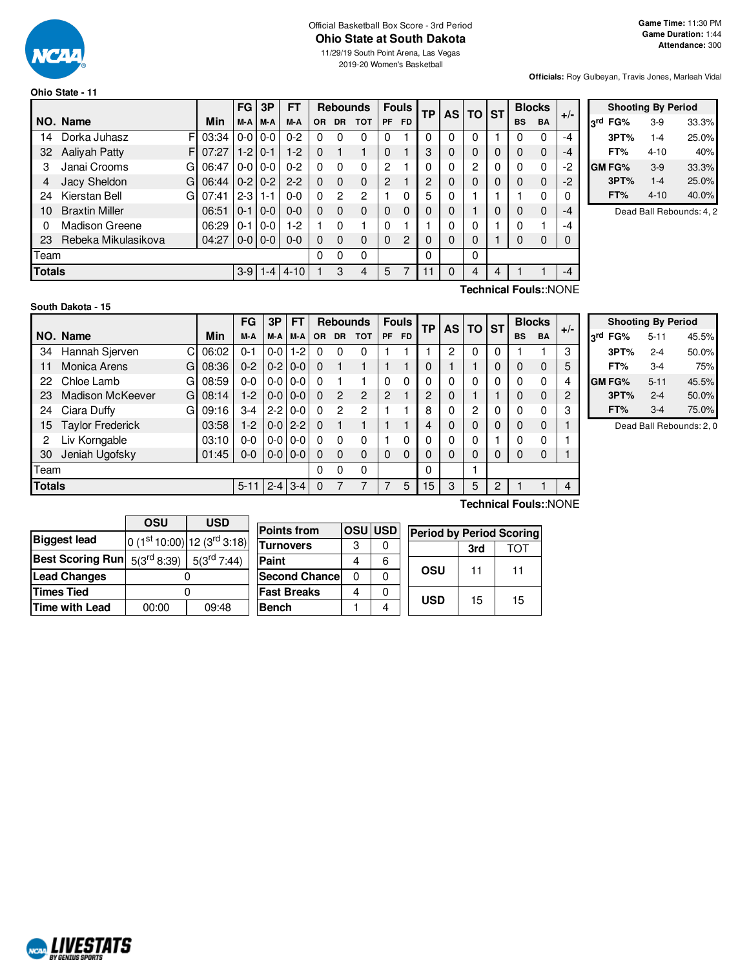

# Official Basketball Box Score - 3rd Period **Ohio State at South Dakota**

11/29/19 South Point Arena, Las Vegas 2019-20 Women's Basketball

**Officials:** Roy Gulbeyan, Travis Jones, Marleah Vidal

| Ohio State - 11 |  |  |  |  |
|-----------------|--|--|--|--|
|-----------------|--|--|--|--|

|               |                       |    |       | <b>FG</b>     | 3P              | <b>FT</b> |          | <b>Rebounds</b> |               |                | <b>Fouls</b> | ТP |   | AS TO ST |   |           | <b>Blocks</b>         | $+/-$ |
|---------------|-----------------------|----|-------|---------------|-----------------|-----------|----------|-----------------|---------------|----------------|--------------|----|---|----------|---|-----------|-----------------------|-------|
|               | NO. Name              |    | Min   | M-A           | M-A             | M-A       | OR.      | <b>DR</b>       | <b>TOT</b>    | <b>PF</b>      | <b>FD</b>    |    |   |          |   | <b>BS</b> | <b>BA</b>             |       |
| 14            | Dorka Juhasz          | F  | 03:34 | $0-0$         | $0 - 0$         | $0 - 2$   | $\Omega$ | 0               | 0             | 0              |              | 0  | 0 | 0        |   | 0         | 0                     | -4    |
| 32            | Aaliyah Patty         | F  | 07:27 | $1-2$         | $0 - 1$         | $1-2$     | 0        |                 |               | 0              |              | 3  | 0 | $\Omega$ | 0 | 0         | $\mathbf{0}$          | $-4$  |
| 3             | Janai Crooms          | G  | 06:47 | $0-0$         | $0 - 0$         | $0 - 2$   | 0        | 0               | $\Omega$      | 2              |              | 0  | 0 | 2        | 0 | 0         | 0                     | $-2$  |
| 4             | Jacy Sheldon          | G  | 06:44 |               | $0 - 2 1 0 - 2$ | $2 - 2$   | 0        | $\Omega$        | $\Omega$      | $\overline{c}$ |              | 2  | 0 | $\Omega$ | 0 | 0         | $\mathbf 0$           | $-2$  |
| 24            | Kierstan Bell         | Gı | 07:41 | $2 - 3$ 1 - 1 |                 | $0 - 0$   | 0        | 2               | $\mathcal{P}$ |                | 0            | 5  | 0 |          |   |           | $\Omega$              |       |
| 10            | <b>Braxtin Miller</b> |    | 06:51 | $0 - 11$      | $0 - 0$         | $0 - 0$   | 0        | 0               | $\Omega$      | 0              | 0            | 0  | 0 |          | 0 | 0         | $\mathbf{0}$          | $-4$  |
| $\Omega$      | Madison Greene        |    | 06:29 | 0-1           | $0 - 0$         | $1-2$     |          | 0               |               | 0              |              |    | 0 | 0        |   | 0         |                       | -4    |
| 23            | Rebeka Mikulasikova   |    | 04:27 |               | $0 - 0 0 - 0$   | $0 - 0$   | 0        | $\Omega$        | $\Omega$      | $\Omega$       | 2            | 0  | 0 | 0        |   | 0         | 0                     | 0     |
| Team          |                       |    |       |               |                 |           | 0        | 0               | 0             |                |              | 0  |   | 0        |   |           |                       |       |
| <b>Totals</b> |                       |    |       |               | $3-9$ 1-4       | $4 - 10$  |          | 3               | 4             | 5              | 7            | 11 | 0 | 4        | 4 |           |                       | $-4$  |
|               |                       |    |       |               |                 |           |          |                 |               |                |              |    |   |          |   |           | Technical Fouls::NONE |       |

|                 | <b>Shooting By Period</b> |          |       |  |  |  |  |  |  |  |  |  |
|-----------------|---------------------------|----------|-------|--|--|--|--|--|--|--|--|--|
| <sub>2</sub> rd | FG%                       | $3-9$    | 33.3% |  |  |  |  |  |  |  |  |  |
|                 | 3PT%                      | $1 - 4$  | 25.0% |  |  |  |  |  |  |  |  |  |
|                 | FT%                       | $4 - 10$ | 40%   |  |  |  |  |  |  |  |  |  |
|                 | GM FG%                    | $3-9$    | 33.3% |  |  |  |  |  |  |  |  |  |
|                 | 3PT%                      | $1 - 4$  | 25.0% |  |  |  |  |  |  |  |  |  |
|                 | FT%                       | $4 - 10$ | 40.0% |  |  |  |  |  |  |  |  |  |

Dead Ball Rebounds: 4, 2

## **South Dakota - 15**

NCAL LIVESTATS

|               |                              |          | FG      | 3P          | FT      |           | <b>Rebounds</b> |            |    | <b>Fouls</b> | ТP |   | AS TO ST |   | <b>Blocks</b> |             | $+/-$ |
|---------------|------------------------------|----------|---------|-------------|---------|-----------|-----------------|------------|----|--------------|----|---|----------|---|---------------|-------------|-------|
|               | NO. Name                     | Min      | M-A     | M-A         | M-A     | <b>OR</b> | <b>DR</b>       | <b>TOT</b> | PF | <b>FD</b>    |    |   |          |   | <b>BS</b>     | BA          |       |
| 34            | Hannah Sjerven<br>C          | 06:02    | 0-1     | $0 - 0$     | $1-2$   | 0         | 0               | 0          |    |              |    | 2 | 0        | 0 |               |             | 3     |
| 11            | <b>Monica Arens</b><br>G     | 08:36    | $0 - 2$ | $0-2$       | $0 - 0$ | 0         |                 |            |    |              | 0  |   |          | 0 | 0             | $\mathbf 0$ | 5     |
| 22            | Chloe Lamb<br>G              | 08:59    | 0-0     | $0-0$       | $0-0$   | O         |                 |            | 0  | 0            | 0  | 0 | 0        | 0 | 0             | 0           | 4     |
| 23            | <b>Madison McKeever</b><br>G | 08:14    | $1-2$   | $0 - 0$     | $0 - 0$ | 0         | 2               | 2          | 2  |              | 2  | 0 |          |   | 0             | $\mathbf 0$ | 2     |
| 24            | Ciara Duffy<br>G             | 09:16    | $3-4$   | $2 - 2$     | $0 - 0$ | 0         | $\overline{2}$  | 2          |    |              | 8  | 0 | 2        | 0 | 0             | $\Omega$    | 3     |
| 15            | <b>Taylor Frederick</b>      | 03:58    | $1-2$   | $0 - 0$     | $2 - 2$ | $\Omega$  |                 |            |    |              | 4  | 0 | 0        | 0 | 0             | $\mathbf 0$ |       |
| 2             | Liv Korngable                | 03:10    | $0-0$   | $0-0$       | $0-0$   | O         | 0               | 0          |    | 0            | 0  | 0 | 0        |   | 0             | 0           |       |
| 30            | Jeniah Ugofsky               | 01:45    | $0 - 0$ | $0 - 0$     | $0 - 0$ | 0         | $\Omega$        | 0          | 0  | 0            | 0  | 0 | 0        | 0 | 0             | 0           |       |
| Team          |                              |          |         |             |         | 0         | 0               | 0          |    |              | 0  |   |          |   |               |             |       |
| <b>Totals</b> |                              | $5 - 11$ |         | $2 - 4$ 3-4 | 0       |           |                 |            | 5  | 15           | 3  | 5 | 2        |   |               | 4           |       |

|         | <b>Shooting By Period</b> |       |
|---------|---------------------------|-------|
| 3rd FG% | $5 - 11$                  | 45.5% |
| 3PT%    | $2 - 4$                   | 50.0% |
| FT%     | $3-4$                     | 75%   |
| GM FG%  | $5 - 11$                  | 45.5% |
| 3PT%    | $2 - 4$                   | 50.0% |
| FT%     | $3-4$                     | 75.0% |

Dead Ball Rebounds: 2, 0

|                         | OSU              | <b>USD</b>                      |  |  |  |  |  |
|-------------------------|------------------|---------------------------------|--|--|--|--|--|
| <b>Biggest lead</b>     |                  | 0 $(1st 10:00)$ 12 $(3rd 3:18)$ |  |  |  |  |  |
| <b>Best Scoring Run</b> | $5(3^{rd} 8:39)$ | $5(3^{\text{rd}} 7:44)$         |  |  |  |  |  |
| <b>Lead Changes</b>     |                  |                                 |  |  |  |  |  |
| <b>Times Tied</b>       |                  |                                 |  |  |  |  |  |
| <b>Time with Lead</b>   | 00:00            | 09:48                           |  |  |  |  |  |

| <b>Points from</b>   |   | <b>OSUIUSD</b> |            | <b>Period by Period Scoring</b> |    |  |  |  |  |  |
|----------------------|---|----------------|------------|---------------------------------|----|--|--|--|--|--|
| <b>Turnovers</b>     | 3 |                |            | 3rd                             |    |  |  |  |  |  |
| Paint                |   | 6              |            |                                 |    |  |  |  |  |  |
| <b>Second Chance</b> | n |                | OSU        | 11                              | 11 |  |  |  |  |  |
| <b>Fast Breaks</b>   |   |                | <b>USD</b> |                                 | 15 |  |  |  |  |  |
| <b>Bench</b>         |   |                |            | 15                              |    |  |  |  |  |  |

**Technical Fouls:**:NONE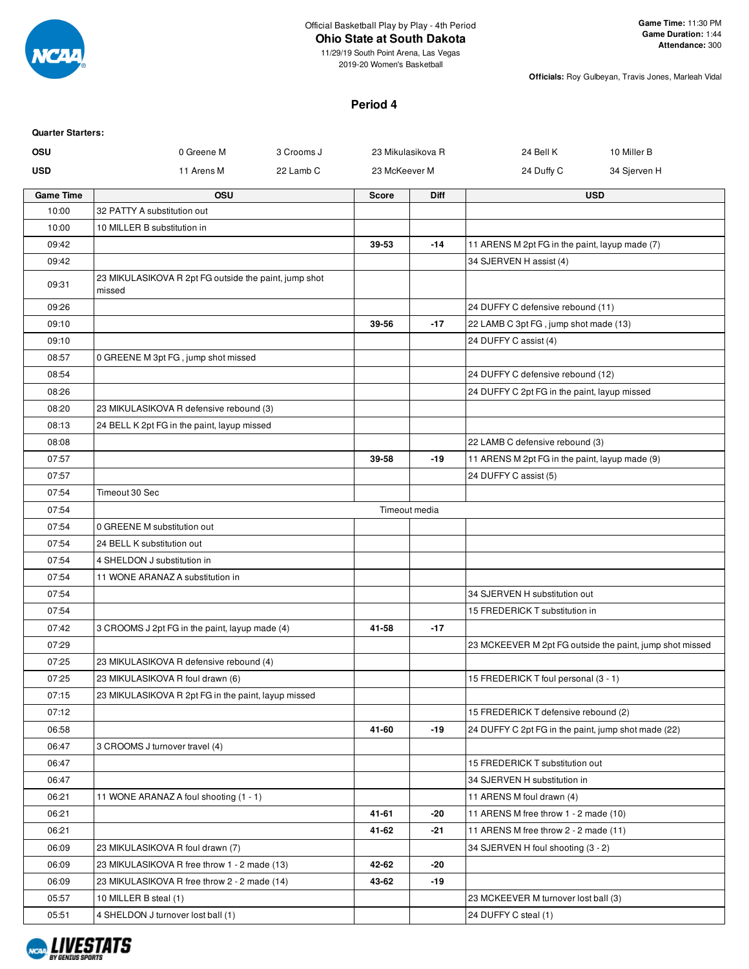

**Ohio State at South Dakota**

**Officials:** Roy Gulbeyan, Travis Jones, Marleah Vidal

#### **Period 4**

| <b>Quarter Starters:</b> |                                                                 |            |                   |       |                                                     |                                                          |
|--------------------------|-----------------------------------------------------------------|------------|-------------------|-------|-----------------------------------------------------|----------------------------------------------------------|
| OSU                      | 0 Greene M                                                      | 3 Crooms J | 23 Mikulasikova R |       | 24 Bell K                                           | 10 Miller B                                              |
| <b>USD</b>               | 11 Arens M                                                      | 22 Lamb C  | 23 McKeever M     |       | 24 Duffy C                                          | 34 Sjerven H                                             |
| <b>Game Time</b>         | <b>OSU</b>                                                      |            | <b>Score</b>      | Diff  |                                                     | <b>USD</b>                                               |
| 10:00                    | 32 PATTY A substitution out                                     |            |                   |       |                                                     |                                                          |
| 10:00                    | 10 MILLER B substitution in                                     |            |                   |       |                                                     |                                                          |
| 09:42                    |                                                                 |            | 39-53             | $-14$ | 11 ARENS M 2pt FG in the paint, layup made (7)      |                                                          |
| 09:42                    |                                                                 |            |                   |       | 34 SJERVEN H assist (4)                             |                                                          |
| 09:31                    | 23 MIKULASIKOVA R 2pt FG outside the paint, jump shot<br>missed |            |                   |       |                                                     |                                                          |
| 09:26                    |                                                                 |            |                   |       | 24 DUFFY C defensive rebound (11)                   |                                                          |
| 09:10                    |                                                                 |            | 39-56             | $-17$ | 22 LAMB C 3pt FG, jump shot made (13)               |                                                          |
| 09:10                    |                                                                 |            |                   |       | 24 DUFFY C assist (4)                               |                                                          |
| 08:57                    | 0 GREENE M 3pt FG, jump shot missed                             |            |                   |       |                                                     |                                                          |
| 08:54                    |                                                                 |            |                   |       | 24 DUFFY C defensive rebound (12)                   |                                                          |
| 08:26                    |                                                                 |            |                   |       | 24 DUFFY C 2pt FG in the paint, layup missed        |                                                          |
| 08:20                    | 23 MIKULASIKOVA R defensive rebound (3)                         |            |                   |       |                                                     |                                                          |
| 08:13                    | 24 BELL K 2pt FG in the paint, layup missed                     |            |                   |       |                                                     |                                                          |
| 08:08                    |                                                                 |            |                   |       | 22 LAMB C defensive rebound (3)                     |                                                          |
| 07:57                    |                                                                 |            | 39-58             | $-19$ | 11 ARENS M 2pt FG in the paint, layup made (9)      |                                                          |
| 07:57                    |                                                                 |            |                   |       | 24 DUFFY C assist (5)                               |                                                          |
| 07:54                    | Timeout 30 Sec                                                  |            |                   |       |                                                     |                                                          |
| 07:54                    |                                                                 |            | Timeout media     |       |                                                     |                                                          |
| 07:54                    | 0 GREENE M substitution out                                     |            |                   |       |                                                     |                                                          |
| 07:54                    | 24 BELL K substitution out                                      |            |                   |       |                                                     |                                                          |
| 07:54                    | 4 SHELDON J substitution in                                     |            |                   |       |                                                     |                                                          |
| 07:54                    | 11 WONE ARANAZ A substitution in                                |            |                   |       |                                                     |                                                          |
| 07:54                    |                                                                 |            |                   |       | 34 SJERVEN H substitution out                       |                                                          |
| 07:54                    |                                                                 |            |                   |       | 15 FREDERICK T substitution in                      |                                                          |
| 07:42                    | 3 CROOMS J 2pt FG in the paint, layup made (4)                  |            | 41-58             | $-17$ |                                                     |                                                          |
| 07:29                    |                                                                 |            |                   |       |                                                     | 23 MCKEEVER M 2pt FG outside the paint, jump shot missed |
| 07:25                    | 23 MIKULASIKOVA R defensive rebound (4)                         |            |                   |       |                                                     |                                                          |
| 07:25                    | 23 MIKULASIKOVA R foul drawn (6)                                |            |                   |       | 15 FREDERICK T foul personal (3 - 1)                |                                                          |
| 07:15                    | 23 MIKULASIKOVA R 2pt FG in the paint, layup missed             |            |                   |       |                                                     |                                                          |
| 07:12                    |                                                                 |            |                   |       | 15 FREDERICK T defensive rebound (2)                |                                                          |
| 06:58                    |                                                                 |            | 41-60             | $-19$ | 24 DUFFY C 2pt FG in the paint, jump shot made (22) |                                                          |
| 06:47                    | 3 CROOMS J turnover travel (4)                                  |            |                   |       |                                                     |                                                          |
| 06:47                    |                                                                 |            |                   |       | 15 FREDERICK T substitution out                     |                                                          |
| 06:47                    |                                                                 |            |                   |       | 34 SJERVEN H substitution in                        |                                                          |
| 06:21                    | 11 WONE ARANAZ A foul shooting (1 - 1)                          |            |                   |       | 11 ARENS M foul drawn (4)                           |                                                          |
| 06:21                    |                                                                 |            | 41-61             | -20   | 11 ARENS M free throw 1 - 2 made (10)               |                                                          |
| 06:21                    |                                                                 |            | 41-62             | -21   | 11 ARENS M free throw 2 - 2 made (11)               |                                                          |
| 06:09                    | 23 MIKULASIKOVA R foul drawn (7)                                |            |                   |       | 34 SJERVEN H foul shooting (3 - 2)                  |                                                          |
| 06:09                    | 23 MIKULASIKOVA R free throw 1 - 2 made (13)                    |            | 42-62             | -20   |                                                     |                                                          |
| 06:09                    | 23 MIKULASIKOVA R free throw 2 - 2 made (14)                    |            | 43-62             | $-19$ |                                                     |                                                          |
| 05:57                    | 10 MILLER B steal (1)                                           |            |                   |       | 23 MCKEEVER M turnover lost ball (3)                |                                                          |
| 05:51                    | 4 SHELDON J turnover lost ball (1)                              |            |                   |       | 24 DUFFY C steal (1)                                |                                                          |

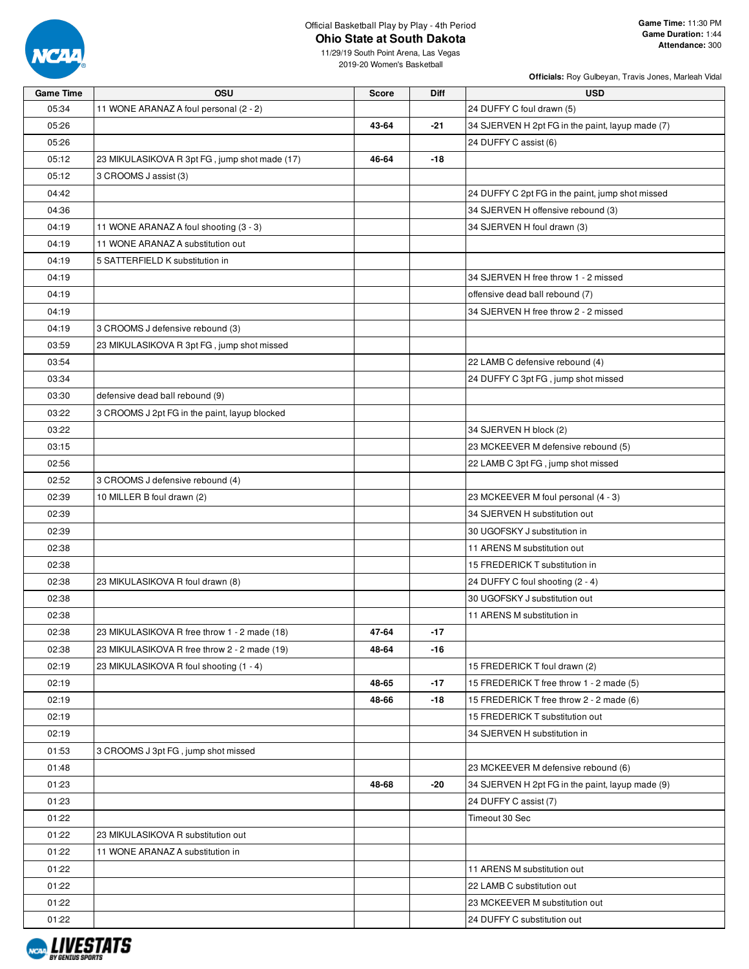

### Official Basketball Play by Play - 4th Period **Ohio State at South Dakota**

**Officials:** Roy Gulbeyan, Travis Jones, Marleah Vidal

11/29/19 South Point Arena, Las Vegas 2019-20 Women's Basketball

| <b>Game Time</b> | <b>OSU</b>                                    | <b>Score</b> | Diff  | <b>USD</b>                                       |
|------------------|-----------------------------------------------|--------------|-------|--------------------------------------------------|
| 05:34            | 11 WONE ARANAZ A foul personal (2 - 2)        |              |       | 24 DUFFY C foul drawn (5)                        |
| 05:26            |                                               | 43-64        | $-21$ | 34 SJERVEN H 2pt FG in the paint, layup made (7) |
| 05:26            |                                               |              |       | 24 DUFFY C assist (6)                            |
| 05:12            | 23 MIKULASIKOVA R 3pt FG, jump shot made (17) | 46-64        | -18   |                                                  |
| 05:12            | 3 CROOMS J assist (3)                         |              |       |                                                  |
| 04:42            |                                               |              |       | 24 DUFFY C 2pt FG in the paint, jump shot missed |
| 04:36            |                                               |              |       | 34 SJERVEN H offensive rebound (3)               |
| 04:19            | 11 WONE ARANAZ A foul shooting (3 - 3)        |              |       | 34 SJERVEN H foul drawn (3)                      |
| 04:19            | 11 WONE ARANAZ A substitution out             |              |       |                                                  |
| 04:19            | 5 SATTERFIELD K substitution in               |              |       |                                                  |
| 04:19            |                                               |              |       | 34 SJERVEN H free throw 1 - 2 missed             |
| 04:19            |                                               |              |       | offensive dead ball rebound (7)                  |
| 04:19            |                                               |              |       | 34 SJERVEN H free throw 2 - 2 missed             |
| 04:19            | 3 CROOMS J defensive rebound (3)              |              |       |                                                  |
| 03:59            | 23 MIKULASIKOVA R 3pt FG, jump shot missed    |              |       |                                                  |
| 03:54            |                                               |              |       | 22 LAMB C defensive rebound (4)                  |
| 03:34            |                                               |              |       | 24 DUFFY C 3pt FG, jump shot missed              |
| 03:30            | defensive dead ball rebound (9)               |              |       |                                                  |
| 03:22            | 3 CROOMS J 2pt FG in the paint, layup blocked |              |       |                                                  |
| 03:22            |                                               |              |       | 34 SJERVEN H block (2)                           |
| 03:15            |                                               |              |       | 23 MCKEEVER M defensive rebound (5)              |
| 02:56            |                                               |              |       | 22 LAMB C 3pt FG, jump shot missed               |
| 02:52            | 3 CROOMS J defensive rebound (4)              |              |       |                                                  |
| 02:39            | 10 MILLER B foul drawn (2)                    |              |       | 23 MCKEEVER M foul personal (4 - 3)              |
| 02:39            |                                               |              |       | 34 SJERVEN H substitution out                    |
| 02:39            |                                               |              |       | 30 UGOFSKY J substitution in                     |
| 02:38            |                                               |              |       | 11 ARENS M substitution out                      |
| 02:38            |                                               |              |       | 15 FREDERICK T substitution in                   |
| 02:38            | 23 MIKULASIKOVA R foul drawn (8)              |              |       | 24 DUFFY C foul shooting (2 - 4)                 |
| 02:38            |                                               |              |       | 30 UGOFSKY J substitution out                    |
| 02:38            |                                               |              |       | 11 ARENS M substitution in                       |
| 02:38            | 23 MIKULASIKOVA R free throw 1 - 2 made (18)  | 47-64        | $-17$ |                                                  |
| 02:38            | 23 MIKULASIKOVA R free throw 2 - 2 made (19)  | 48-64        | -16   |                                                  |
| 02:19            | 23 MIKULASIKOVA R foul shooting (1 - 4)       |              |       | 15 FREDERICK T foul drawn (2)                    |
| 02:19            |                                               | 48-65        | $-17$ | 15 FREDERICK T free throw 1 - 2 made (5)         |
| 02:19            |                                               | 48-66        | -18   | 15 FREDERICK T free throw 2 - 2 made (6)         |
| 02:19            |                                               |              |       | 15 FREDERICK T substitution out                  |
| 02:19            |                                               |              |       | 34 SJERVEN H substitution in                     |
| 01:53            | 3 CROOMS J 3pt FG, jump shot missed           |              |       |                                                  |
| 01:48            |                                               |              |       | 23 MCKEEVER M defensive rebound (6)              |
| 01:23            |                                               | 48-68        | -20   | 34 SJERVEN H 2pt FG in the paint, layup made (9) |
| 01:23            |                                               |              |       | 24 DUFFY C assist (7)                            |
| 01:22            |                                               |              |       | Timeout 30 Sec                                   |
| 01:22            | 23 MIKULASIKOVA R substitution out            |              |       |                                                  |
| 01:22            | 11 WONE ARANAZ A substitution in              |              |       |                                                  |
| 01:22            |                                               |              |       | 11 ARENS M substitution out                      |
| 01:22            |                                               |              |       | 22 LAMB C substitution out                       |
| 01:22            |                                               |              |       | 23 MCKEEVER M substitution out                   |
| 01:22            |                                               |              |       | 24 DUFFY C substitution out                      |

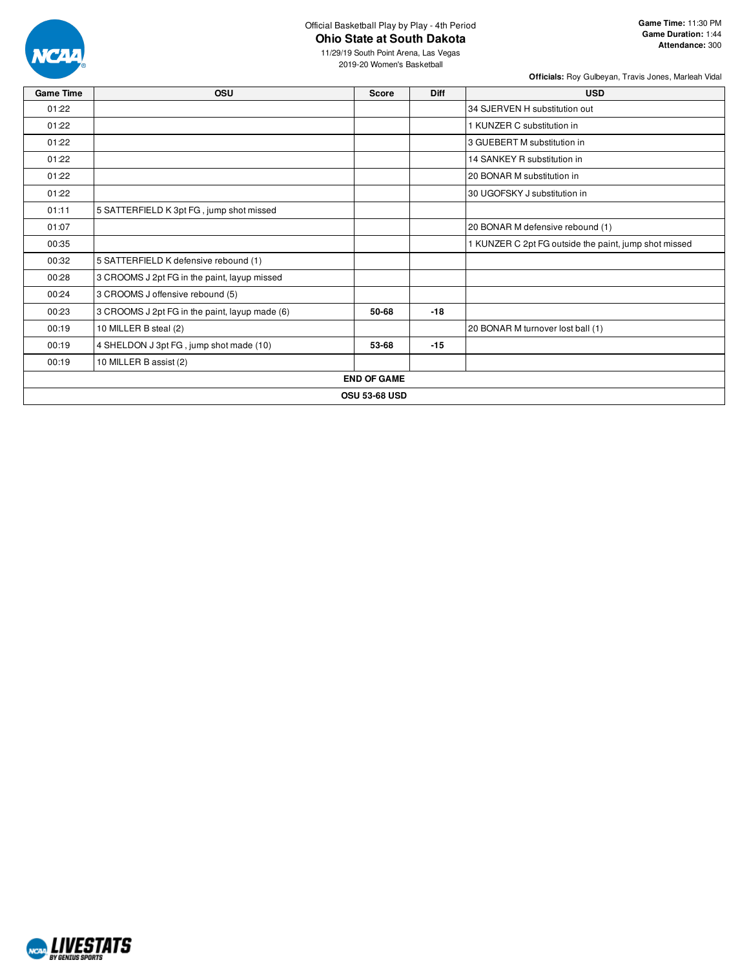

#### Official Basketball Play by Play - 4th Period **Ohio State at South Dakota**

**Officials:** Roy Gulbeyan, Travis Jones, Marleah Vidal

| <b>Game Time</b> | <b>OSU</b>                                     | Score                | <b>Diff</b> | <b>USD</b>                                            |
|------------------|------------------------------------------------|----------------------|-------------|-------------------------------------------------------|
| 01:22            |                                                |                      |             | 34 SJERVEN H substitution out                         |
| 01:22            |                                                |                      |             | 1 KUNZER C substitution in                            |
| 01:22            |                                                |                      |             | 3 GUEBERT M substitution in                           |
| 01:22            |                                                |                      |             | 14 SANKEY R substitution in                           |
| 01:22            |                                                |                      |             | 20 BONAR M substitution in                            |
| 01:22            |                                                |                      |             | 30 UGOFSKY J substitution in                          |
| 01:11            | 5 SATTERFIELD K 3pt FG, jump shot missed       |                      |             |                                                       |
| 01:07            |                                                |                      |             | 20 BONAR M defensive rebound (1)                      |
| 00:35            |                                                |                      |             | 1 KUNZER C 2pt FG outside the paint, jump shot missed |
| 00:32            | 5 SATTERFIELD K defensive rebound (1)          |                      |             |                                                       |
| 00:28            | 3 CROOMS J 2pt FG in the paint, layup missed   |                      |             |                                                       |
| 00:24            | 3 CROOMS J offensive rebound (5)               |                      |             |                                                       |
| 00:23            | 3 CROOMS J 2pt FG in the paint, layup made (6) | 50-68                | $-18$       |                                                       |
| 00:19            | 10 MILLER B steal (2)                          |                      |             | 20 BONAR M turnover lost ball (1)                     |
| 00:19            | 4 SHELDON J 3pt FG, jump shot made (10)        | 53-68                | $-15$       |                                                       |
| 00:19            | 10 MILLER B assist (2)                         |                      |             |                                                       |
|                  |                                                | <b>END OF GAME</b>   |             |                                                       |
|                  |                                                | <b>OSU 53-68 USD</b> |             |                                                       |

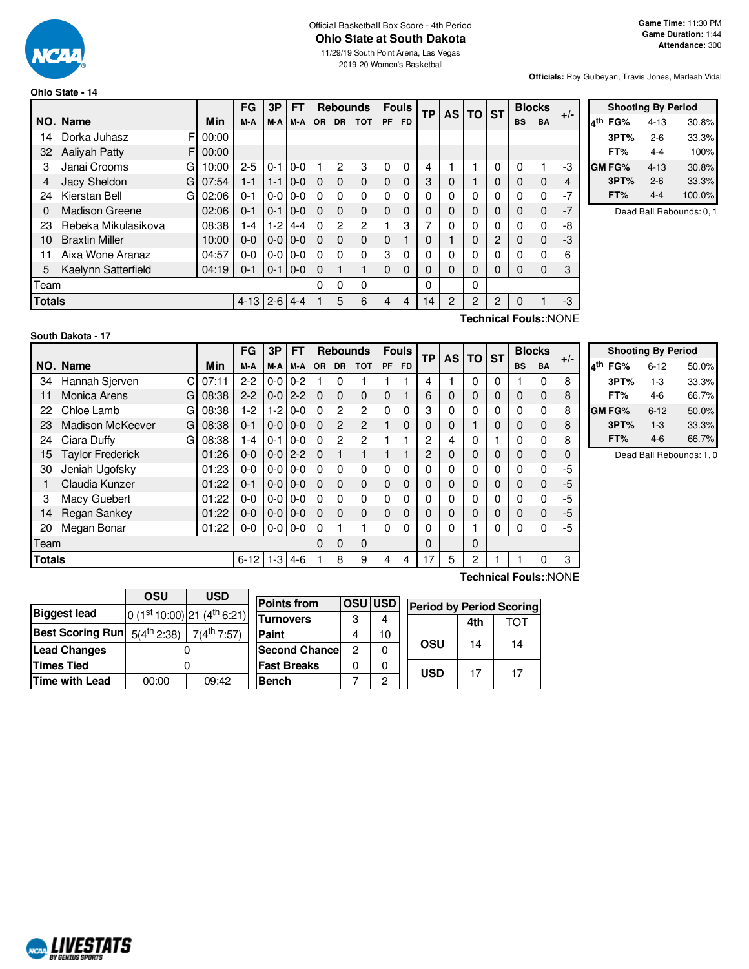

#### **Ohio State - 14**

11/29/19 South Point Arena, Las Vegas 2019-20 Women's Basketball

**Officials:** Roy Gulbeyan, Travis Jones, Marleah Vidal

|                                                 |                       |   |       | FG      | 3P      | <b>FT</b>     |          | <b>Rebounds</b> |            |              | <b>Fouls</b> | <b>TP</b> | <b>AS</b>      | TO ST |    | <b>Blocks</b>    |           | $+/-$          |
|-------------------------------------------------|-----------------------|---|-------|---------|---------|---------------|----------|-----------------|------------|--------------|--------------|-----------|----------------|-------|----|------------------|-----------|----------------|
|                                                 | NO. Name              |   | Min   | M-A     | M-A     | M-A           | OR.      | <b>DR</b>       | <b>TOT</b> | <b>PF</b>    | <b>FD</b>    |           |                |       |    | <b>BS</b>        | <b>BA</b> |                |
| 14                                              | Dorka Juhasz          | F | 00:00 |         |         |               |          |                 |            |              |              |           |                |       |    |                  |           |                |
| 32                                              | <b>Aaliyah Patty</b>  | F | 00:00 |         |         |               |          |                 |            |              |              |           |                |       |    |                  |           |                |
| 3                                               | Janai Crooms          | G | 10:00 | $2 - 5$ | $0 - 1$ | $0-0$         |          | 2               | 3          | 0            | $\Omega$     | 4         |                |       | 0  | $\Omega$         |           | -3             |
| 4                                               | Jacy Sheldon          | G | 07:54 | $1 - 1$ |         | $1 - 1$   0-0 | $\Omega$ | $\Omega$        | $\Omega$   | $\mathbf{0}$ | $\Omega$     | 3         | 0              |       | 0  | 0                | $\Omega$  | $\overline{4}$ |
| 24                                              | Kierstan Bell         | G | 02:06 | $0 - 1$ | $0-0$   | $0 - 0$       | 0        | $\Omega$        | $\Omega$   | 0            | 0            | 0         | 0              | 0     | O. | 0                | 0         | $-7$           |
| 0                                               | <b>Madison Greene</b> |   | 02:06 | $0 - 1$ | $0 - 1$ | $0-0$         | $\Omega$ | $\Omega$        | $\Omega$   | 0            | $\Omega$     | 0         | 0              | 0     | 0  | 0                | $\Omega$  | $-7$           |
| 23                                              | Rebeka Mikulasikova   |   | 08:38 | 1-4     | $1-2$   | 4-4           | 0        | $\overline{2}$  | 2          |              | 3            | 7         | O              | 0     | 0  | 0                | 0         | -8             |
| 10                                              | <b>Braxtin Miller</b> |   | 10:00 | $0 - 0$ |         | $0 - 0 0 - 0$ | $\Omega$ | $\Omega$        | $\Omega$   | 0            |              | 0         |                | 0     | 2  | 0                | $\Omega$  | -3             |
| 11                                              | Aixa Wone Aranaz      |   | 04:57 | $0 - 0$ | $0-0$   | $0 - 0$       | 0        | $\Omega$        | $\Omega$   | 3            | $\Omega$     | 0         | O              | 0     | 0  | 0                | 0         | 6              |
| 5                                               | Kaelynn Satterfield   |   | 04:19 | $0 - 1$ | $0 - 1$ | $0-0$         | 0        |                 | 1          | 0            | 0            | 0         | 0              | 0     | 0  | 0                | 0         | 3              |
| Team                                            |                       |   |       |         |         |               | 0        | 0               | 0          |              |              | 0         |                | 0     |    |                  |           |                |
| <b>Totals</b><br>$2 - 6$<br>$4 - 13$<br>$4 - 4$ |                       |   |       |         |         |               |          | 5               | 6          | 4            | 4            | 14        | $\overline{2}$ | 2     | 2  | 0                |           | -3             |
|                                                 |                       |   |       |         |         |               |          |                 |            |              |              |           |                |       |    | $T_{\text{sub}}$ |           |                |

|     | <b>Shooting By Period</b> |          |        |  |  |  |  |  |  |  |  |  |  |
|-----|---------------------------|----------|--------|--|--|--|--|--|--|--|--|--|--|
| ⊿th | FG%                       | $4 - 13$ | 30.8%  |  |  |  |  |  |  |  |  |  |  |
|     | 3PT%                      | $2-6$    | 33.3%  |  |  |  |  |  |  |  |  |  |  |
|     | FT%                       | 4-4      | 100%   |  |  |  |  |  |  |  |  |  |  |
|     | GM FG%                    | $4 - 13$ | 30.8%  |  |  |  |  |  |  |  |  |  |  |
|     | 3PT%                      | $2 - 6$  | 33.3%  |  |  |  |  |  |  |  |  |  |  |
|     | FT%                       | 4-4      | 100.0% |  |  |  |  |  |  |  |  |  |  |

Dead Ball Rebounds: 0, 1

| South Dakota - 17 |  |
|-------------------|--|
|-------------------|--|

**Technical Fouls:**:NONE

|               |                                  |       | FG       | 3P      | <b>FT</b> |           | <b>Rebounds</b> |                | <b>Fouls</b> |             | <b>TP</b> | <b>AS</b> | TO       | <b>ST</b> |           | <b>Blocks</b> | $+/-$ |
|---------------|----------------------------------|-------|----------|---------|-----------|-----------|-----------------|----------------|--------------|-------------|-----------|-----------|----------|-----------|-----------|---------------|-------|
|               | NO. Name                         |       | M-A      | M-A     | M-A       | <b>OR</b> | <b>DR</b>       | <b>TOT</b>     | PF           | <b>FD</b>   |           |           |          |           | <b>BS</b> | BA            |       |
| 34            | Hannah Sjerven<br>C              | 07:11 | $2-2$    | $0-0$   | $0 - 2$   |           | $\Omega$        |                |              |             | 4         |           | $\Omega$ | $\Omega$  |           | 0             | 8     |
| 11            | Monica Arens<br>G                | 08:38 | $2 - 2$  | $0-0$   | $2 - 2$   | $\Omega$  | $\Omega$        | $\Omega$       | 0            |             | 6         | 0         | $\Omega$ | 0         | $\Omega$  | 0             | 8     |
| 22            | Chloe Lamb<br>G                  | 08:38 | 1-2      | $1-2$   | $0 - 0$   | $\Omega$  | $\overline{2}$  | $\overline{c}$ | $\Omega$     | 0           | 3         | 0         | $\Omega$ | $\Omega$  | $\Omega$  | 0             | 8     |
| 23            | Madison McKeever<br>G            | 08:38 | $0 - 1$  | $0 - 0$ | $0 - 0$   | $\Omega$  | 2               | $\mathcal{P}$  | 1            | $\mathbf 0$ | $\Omega$  | 0         |          | $\Omega$  | $\Omega$  | 0             | 8     |
| 24            | Ciara Duffy<br>G                 | 08:38 | 1-4      | $0 - 1$ | $0-0$     | $\Omega$  | $\overline{2}$  | $\overline{c}$ |              |             | 2         | 4         | 0        |           | 0         | 0             | 8     |
| 15            | <b>Taylor Frederick</b><br>01:26 |       | $0 - 0$  | $0-0$   | $2 - 2$   | $\Omega$  | 1               |                |              | 4           | 2         | 0         | 0        | 0         | $\Omega$  | 0             | 0     |
| 30            | Jeniah Ugofsky                   | 01:23 | $0 - 0$  | $0-0$   | $0 - 0$   | $\Omega$  | $\Omega$        | $\Omega$       | 0            | $\Omega$    | 0         | 0         | 0        | 0         | $\Omega$  | 0             | $-5$  |
|               | Claudia Kunzer                   | 01:22 | $0 - 1$  | $0 - 0$ | $0 - 0$   | $\Omega$  | $\Omega$        | $\Omega$       | 0            | $\Omega$    | $\Omega$  | 0         | $\Omega$ | $\Omega$  | $\Omega$  | $\Omega$      | -5    |
| 3             | Macy Guebert                     | 01:22 | $0 - 0$  | $0-0$   | $0-0$     | $\Omega$  | $\Omega$        | $\Omega$       | $\Omega$     | $\Omega$    | 0         | 0         | $\Omega$ | $\Omega$  | $\Omega$  | 0             | -5    |
| 14            | <b>Regan Sankey</b>              | 01:22 | $0 - 0$  | $0-0$   | $0 - 0$   | $\Omega$  | $\Omega$        | $\Omega$       | $\mathbf 0$  | $\Omega$    | $\Omega$  | 0         | $\Omega$ | $\Omega$  | $\Omega$  | 0             | $-5$  |
| 20            | Megan Bonar<br>01:22             |       | $0 - 0$  | $0-0$   | $0 - 0$   | 0         |                 |                | 0            | 0           | 0         | 0         |          |           | 0         | 0             | -5    |
| Team          |                                  |       |          |         |           | $\Omega$  | 0               | $\Omega$       |              |             | $\Omega$  |           | $\Omega$ |           |           |               |       |
| <b>Totals</b> |                                  |       | $6 - 12$ | $1 - 3$ | $4-6$     |           | 8               | 9              | 4            | 4           | 17        | 5         | 2        |           | 3         |               |       |

| <b>Shooting By Period</b> |               |          |       |  |  |  |  |  |  |  |
|---------------------------|---------------|----------|-------|--|--|--|--|--|--|--|
| ⊿th                       | FG%           | $6 - 12$ | 50.0% |  |  |  |  |  |  |  |
|                           | 3PT%          | $1-3$    | 33.3% |  |  |  |  |  |  |  |
|                           | FT%           | 4-6      | 66.7% |  |  |  |  |  |  |  |
|                           | <b>GM FG%</b> | $6 - 12$ | 50.0% |  |  |  |  |  |  |  |
|                           | 3PT%          | $1 - 3$  | 33.3% |  |  |  |  |  |  |  |
|                           | FT%           | $4-6$    | 66.7% |  |  |  |  |  |  |  |

Dead Ball Rebounds: 1, 0

|                         | OSU              | <b>USD</b>                      |                      |                |               |                                 |     |     |
|-------------------------|------------------|---------------------------------|----------------------|----------------|---------------|---------------------------------|-----|-----|
|                         |                  |                                 | <b>Points from</b>   |                | <b>OSUUSD</b> | <b>Period by Period Scoring</b> |     |     |
| Biggest lead            |                  | $ 0 (1st 10:00) 21 (4th 6:21) $ | <b>Turnovers</b>     | 3              | 4             |                                 | 4th | тот |
| <b>Best Scoring Run</b> | $5(4^{th} 2:38)$ | $7(4^{\text{th}} 7:57)$         | Paint                | 4              | 10            |                                 |     |     |
| <b>Lead Changes</b>     |                  |                                 | <b>Second Chance</b> | $\overline{c}$ | 0             | <b>OSU</b>                      | 14  | 14  |
| <b>Times Tied</b>       |                  |                                 | <b>Fast Breaks</b>   | 0              | 0             | <b>USD</b>                      | 17  | 17  |
| Time with Lead          | 00:00            | 09:42                           | <b>Bench</b>         |                | 0             |                                 |     |     |
|                         |                  |                                 |                      |                |               |                                 |     |     |

**Technical Fouls:**:NONE

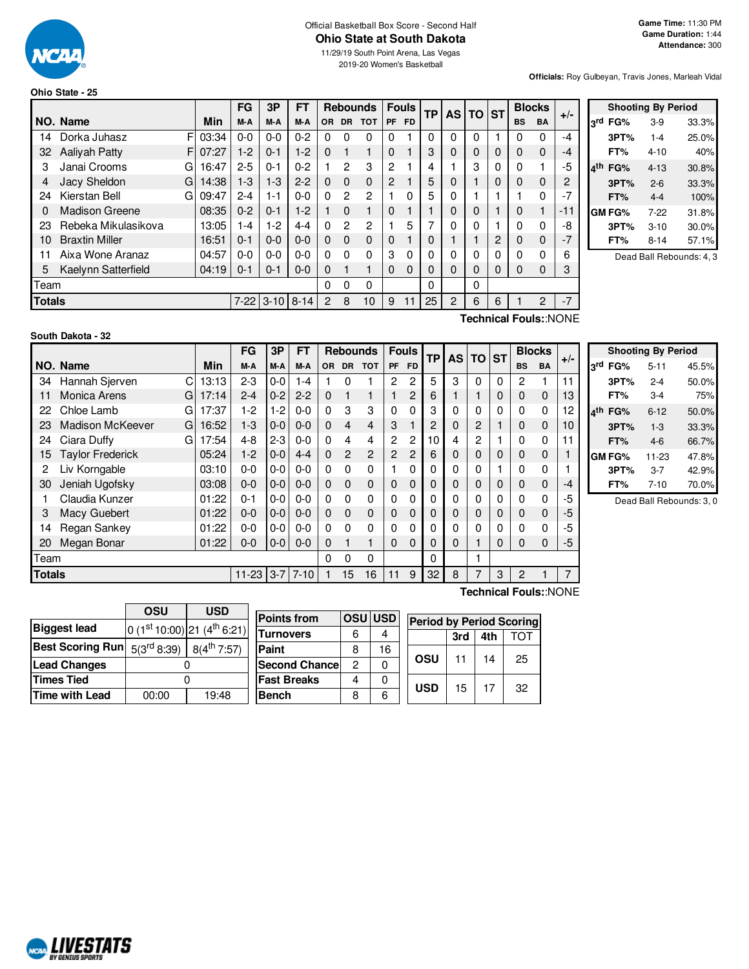

#### Official Basketball Box Score - Second Half **Ohio State at South Dakota**

11/29/19 South Point Arena, Las Vegas 2019-20 Women's Basketball

**Officials:** Roy Gulbeyan, Travis Jones, Marleah Vidal

#### **Ohio State - 25**

|               |                       |       | FG       | 3P       | FT       | <b>Rebounds</b> |           |               |                | <b>Fouls</b> |    | ТP |          | <b>AS TO</b> |           | <b>Blocks</b> |       |  |
|---------------|-----------------------|-------|----------|----------|----------|-----------------|-----------|---------------|----------------|--------------|----|----|----------|--------------|-----------|---------------|-------|--|
|               | NO. Name              | Min   | M-A      | M-A      | M-A      | <b>OR</b>       | <b>DR</b> | <b>TOT</b>    | <b>PF</b>      | <b>FD</b>    |    |    |          | <b>ST</b>    | <b>BS</b> | <b>BA</b>     | $+/-$ |  |
| 14            | Dorka Juhasz<br>F     | 03:34 | $0 - 0$  | $0 - 0$  | $0 - 2$  | 0               | 0         | $\Omega$      | 0              |              | 0  | 0  | 0        |              | 0         | 0             | -4    |  |
| 32            | <b>Aalivah Patty</b>  | 07:27 | $1-2$    | $0 - 1$  | $1-2$    | 0               |           | 1             | $\Omega$       |              | 3  | 0  | 0        | 0            | 0         | 0             | -4    |  |
| 3             | Janai Crooms<br>G     | 16:47 | $2 - 5$  | $0 - 1$  | $0 - 2$  |                 | 2         | 3             | 2              |              | 4  |    | 3        | 0            | 0         |               | -5    |  |
| 4             | Jacy Sheldon<br>G     | 14:38 | $1-3$    | 1-3      | $2 - 2$  | $\Omega$        | 0         | 0             | $\overline{2}$ |              | 5  | 0  |          | 0            | 0         | 0             | 2     |  |
| 24            | Kierstan Bell<br>G    | 09:47 | $2 - 4$  | $1 - 1$  | $0 - 0$  | $\Omega$        | 2         | $\mathcal{P}$ |                | 0            | 5  | 0  |          |              |           | 0             | $-7$  |  |
| 0             | <b>Madison Greene</b> | 08:35 | $0 - 2$  | $0 - 1$  | $1-2$    |                 | 0         | 1             | $\Omega$       |              |    | 0  | 0        |              | 0         |               | -11   |  |
| 23            | Rebeka Mikulasikova   | 13:05 | 1-4      | $1-2$    | 4-4      | $\Omega$        | 2         | 2             |                | 5            | 7  | 0  | 0        |              | 0         | 0             | -8    |  |
| 10            | <b>Braxtin Miller</b> | 16:51 | $0 - 1$  | $0 - 0$  | $0-0$    | $\Omega$        | 0         | 0             | $\Omega$       |              | 0  |    |          | 2            | 0         | 0             | $-7$  |  |
| 11            | Aixa Wone Aranaz      | 04:57 | $0 - 0$  | $0 - 0$  | $0 - 0$  | $\Omega$        | 0         | $\Omega$      | 3              | 0            | 0  | 0  | 0        | 0            | 0         | 0             | 6     |  |
| 5             | Kaelynn Satterfield   | 04:19 | $0 - 1$  | $0 - 1$  | $0-0$    | $\Omega$        |           | 1             | $\Omega$       | $\Omega$     | 0  | 0  | $\Omega$ | 0            | $\Omega$  | 0             | 3     |  |
| Team          |                       |       |          |          |          | 0               | 0         | 0             |                |              | 0  |    | 0        |              |           |               |       |  |
| <b>Totals</b> |                       |       | $7 - 22$ | $3 - 10$ | $8 - 14$ | 2               | 8         | 10            | 9              | 11           | 25 | 2  | 6        | 6            |           | 2             | $-7$  |  |
|               | Toobnical FoulouNONE  |       |          |          |          |                 |           |               |                |              |    |    |          |              |           |               |       |  |

|     |        | <b>Shooting By Period</b> |       |
|-----|--------|---------------------------|-------|
| لاد | FG%    | $3-9$                     | 33.3% |
|     | 3PT%   | $1 - 4$                   | 25.0% |
|     | FT%    | 4-10                      | 40%   |
|     | FG%    | $4 - 13$                  | 30.8% |
|     | 3PT%   | $2 - 6$                   | 33.3% |
|     | FT%    | $4 - 4$                   | 100%  |
|     | GM FG% | $7-22$                    | 31.8% |
|     | 3PT%   | $3 - 10$                  | 30.0% |
|     | FT%    | 8-14                      | 57.1% |

Dead Ball Rebounds: 4, 3

## **South Dakota - 32**

**Technical Fouls:**:NONE

|                |                              |       | FG        | 3P      | <b>FT</b>  | <b>Rebounds</b> |                |             |                | <b>Fouls</b><br><b>TP</b> |             | <b>AS</b> | <b>TO</b>   | <b>ST</b> |             | <b>Blocks</b> | $+/-$ |
|----------------|------------------------------|-------|-----------|---------|------------|-----------------|----------------|-------------|----------------|---------------------------|-------------|-----------|-------------|-----------|-------------|---------------|-------|
|                | NO. Name                     | Min   | M-A       | M-A     | M-A        | <b>OR</b>       | <b>DR</b>      | <b>TOT</b>  | <b>PF</b>      | <b>FD</b>                 |             |           |             |           | <b>BS</b>   | <b>BA</b>     |       |
| 34             | С<br>Hannah Sjerven          | 13:13 | $2 - 3$   | $0 - 0$ | $1 - 4$    |                 | 0              |             | 2              | 2                         | 5           | 3         | 0           | $\Omega$  | 2           |               | 11    |
| 11             | <b>Monica Arens</b><br>G     | 17:14 | $2 - 4$   | $0 - 2$ | $2 - 2$    | $\mathbf{0}$    |                |             |                | 2                         | 6           |           |             | 0         | $\mathbf 0$ | $\mathbf 0$   | 13    |
| 22             | Chloe Lamb<br>G              | 17:37 | $1-2$     | 1-2     | $0 - 0$    | 0               | 3              | 3           | 0              | 0                         | 3           | 0         | 0           | 0         | 0           | 0             | 12    |
| 23             | <b>Madison McKeever</b><br>G | 16:52 | $1 - 3$   | $0 - 0$ | $0 - 0$    | $\Omega$        | $\overline{4}$ | 4           | 3              |                           | 2           | 0         | 2           |           | 0           | $\Omega$      | 10    |
| 24             | Ciara Duffy<br>G             | 17:54 | $4 - 8$   | $2 - 3$ | $0 - 0$    | 0               | 4              | 4           | 2              | 2                         | 10          | 4         | 2           |           | 0           | $\Omega$      | 11    |
| 15             | <b>Taylor Frederick</b>      | 05:24 | $1-2$     | $0 - 0$ | $4 - 4$    | $\mathbf{0}$    | $\overline{2}$ | 2           | $\overline{2}$ | $\overline{c}$            | 6           | 0         | $\mathbf 0$ | 0         | 0           | $\mathbf 0$   |       |
| $\overline{2}$ | Liv Korngable                | 03:10 | $0 - 0$   | $0 - 0$ | $0 - 0$    | 0               | 0              | 0           |                | 0                         | $\Omega$    | $\Omega$  | 0           |           | 0           | $\Omega$      |       |
| 30             | Jeniah Ugofsky               | 03:08 | $0 - 0$   | $0 - 0$ | $0 - 0$    | $\Omega$        | $\Omega$       | $\mathbf 0$ | $\Omega$       | 0                         | $\mathbf 0$ | 0         | 0           | 0         | $\mathbf 0$ | $\Omega$      | $-4$  |
|                | Claudia Kunzer               | 01:22 | $0 - 1$   | $0-0$   | $0-0$      | 0               | 0              | 0           | 0              | 0                         | $\Omega$    | 0         | 0           | $\Omega$  | 0           | $\Omega$      | -5    |
| 3              | Macy Guebert                 | 01:22 | $0 - 0$   | $0 - 0$ | $0 - 0$    | $\Omega$        | $\Omega$       | 0           | 0              | 0                         | $\mathbf 0$ | 0         | 0           | 0         | $\mathbf 0$ | $\Omega$      | -5    |
| 14             | Regan Sankey                 | 01:22 | $0 - 0$   | $0 - 0$ | $0 - 0$    | 0               | 0              | $\Omega$    | 0              | 0                         | $\Omega$    | 0         | 0           | 0         | 0           | $\Omega$      | -5    |
| 20             | Megan Bonar                  | 01:22 | $0-0$     | $0-0$   | $0 - 0$    | $\mathbf{0}$    |                |             | $\Omega$       | 0                         | $\Omega$    | 0         |             | 0         | 0           | $\Omega$      | -5    |
| <b>Team</b>    |                              |       |           |         |            | 0               | 0              | 0           |                |                           | 0           |           |             |           |             |               |       |
| <b>Totals</b>  |                              |       | $11 - 23$ |         | $3-7$ 7-10 |                 | 15             | 16          | 11             | 9                         | 32          | 8         | 7           | 3         | 2           |               | 7     |
|                | <b>Technical Fouls::NONE</b> |       |           |         |            |                 |                |             |                |                           |             |           |             |           |             |               |       |

|            |        | <b>Shooting By Period</b> |       |
|------------|--------|---------------------------|-------|
| <b>ord</b> | FG%    | $5 - 11$                  | 45.5% |
|            | 3PT%   | $2 - 4$                   | 50.0% |
|            | FT%    | $3-4$                     | 75%   |
|            | FG%    | $6 - 12$                  | 50.0% |
|            | 3PT%   | $1 - 3$                   | 33.3% |
|            | FT%    | $4 - 6$                   | 66.7% |
|            | GM FG% | 11-23                     | 47.8% |
|            | 3PT%   | $3 - 7$                   | 42.9% |
|            | FT%    | $7 - 10$                  | 70.0% |

Dead Ball Rebounds: 3, 0

|                         | OSU                                      | <b>USD</b>                              |  |  |  |
|-------------------------|------------------------------------------|-----------------------------------------|--|--|--|
| <b>Biggest lead</b>     |                                          | 0 (1st 10:00) 21 (4 <sup>th</sup> 6:21) |  |  |  |
| <b>Best Scoring Run</b> | $5(3^{rd} 8:39)$ 8(4 <sup>th</sup> 7:57) |                                         |  |  |  |
| <b>Lead Changes</b>     |                                          |                                         |  |  |  |
| <b>Times Tied</b>       |                                          |                                         |  |  |  |
| <b>Time with Lead</b>   | 00:00                                    | 19:48                                   |  |  |  |

**NORD LIVESTATS** 

| <b>Points from</b>    | <b>OSUIUSD</b> |    | <b>Period by Period Scoring</b> |            |     |     |     |  |  |  |  |
|-----------------------|----------------|----|---------------------------------|------------|-----|-----|-----|--|--|--|--|
| Turnovers             |                |    |                                 |            | 3rd | 4th | ΤΩΤ |  |  |  |  |
| Paint                 |                | 16 |                                 |            |     |     |     |  |  |  |  |
| <b>Second Chancel</b> | 2              |    |                                 | OSU        | 11  | 14  | 25  |  |  |  |  |
| <b>Fast Breaks</b>    |                |    |                                 |            |     |     | 32  |  |  |  |  |
| Bench                 | ጸ              |    |                                 | <b>USD</b> | 15  | 17  |     |  |  |  |  |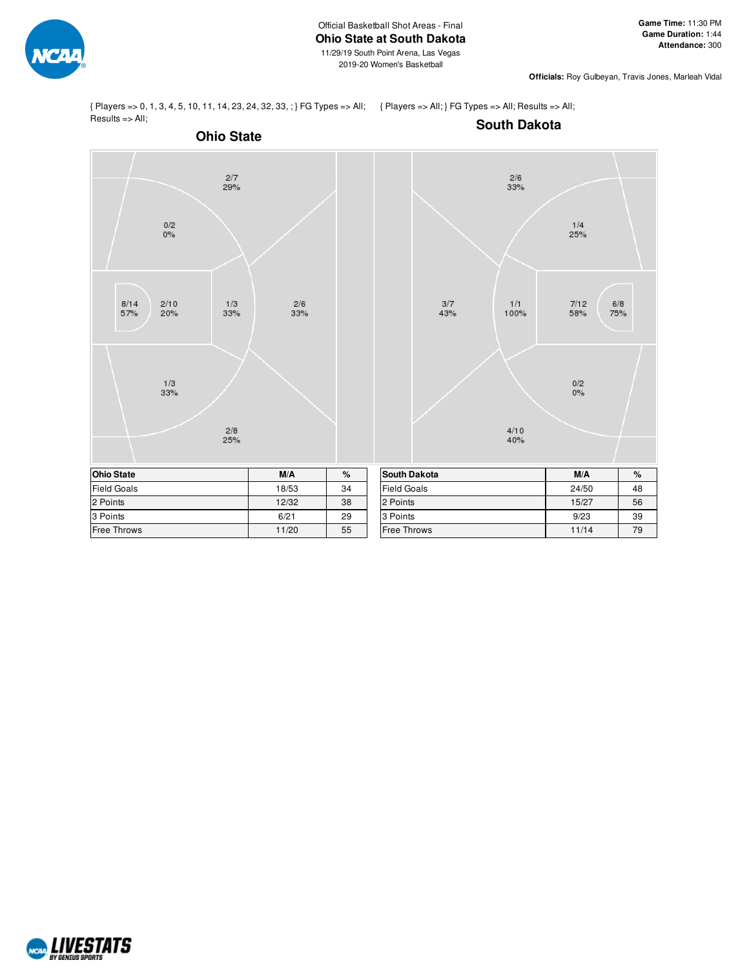

{ Players => 0, 1, 3, 4, 5, 10, 11, 14, 23, 24, 32, 33, ; } FG Types => All; { Players => All; } FG Types => All; Results => All; Results => All;

**South Dakota**



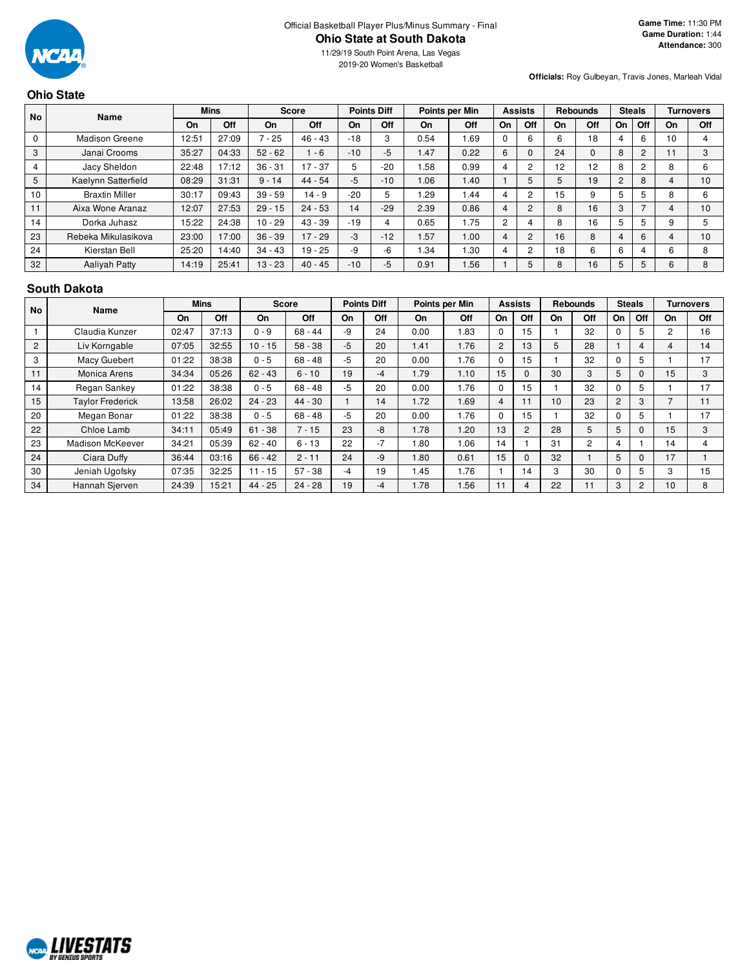

11/29/19 South Point Arena, Las Vegas 2019-20 Women's Basketball

**Officials:** Roy Gulbeyan, Travis Jones, Marleah Vidal

# **Ohio State**

|    | <b>No</b><br>Name     |       | <b>Mins</b> |           | <b>Score</b> |       | <b>Points Diff</b> |      | Points per Min |                | <b>Assists</b> |             | <b>Rebounds</b> |        | <b>Steals</b>  |              | <b>Turnovers</b> |
|----|-----------------------|-------|-------------|-----------|--------------|-------|--------------------|------|----------------|----------------|----------------|-------------|-----------------|--------|----------------|--------------|------------------|
|    |                       | On    | Off         | On        | Off          | On    | Off                | On   | Off            | On             | Off            | On          | Off             | On     | Off            | On           | Off              |
| 0  | <b>Madison Greene</b> | 12:51 | 27:09       | $7 - 25$  | $46 - 43$    | $-18$ | 3                  | 0.54 | 1.69           | 0              | 6              | $\sim$<br>h | 18              |        | 6              | 10           |                  |
| 3  | Janai Crooms          | 35:27 | 04:33       | $52 - 62$ | $-6$         | $-10$ | $-5$               | 1.47 | 0.22           | 6              |                | 24          | $\Omega$        | 8      | $\overline{2}$ | $\mathbf{L}$ |                  |
| 4  | Jacy Sheldon          | 22:48 | 17:12       | $36 - 31$ | $17 - 37$    | 5     | $-20$              | . 58 | 0.99           | 4              | $\overline{c}$ | 12          | 12              | 8      | 2              | 8            |                  |
| 5  | Kaelynn Satterfield   | 08:29 | 31:31       | $9 - 14$  | $44 - 54$    | $-5$  | $-10$              | 0.06 | 1.40           |                | 5              | 5           | 19              | $\sim$ | 8              | 4            | 10 <sup>1</sup>  |
| 10 | <b>Braxtin Miller</b> | 30:17 | 09:43       | $39 - 59$ | $14 - 9$     | $-20$ |                    | . 29 | 1.44           | 4              | 2              | 15          | 9               |        | 5              | 8            |                  |
| 11 | Aixa Wone Aranaz      | 12:07 | 27:53       | $29 - 15$ | $24 - 53$    | 14    | $-29$              | 2.39 | 0.86           | 4              | 2              | 8           | 16              |        |                |              | 10               |
| 14 | Dorka Juhasz          | 15:22 | 24:38       | $10 - 29$ | $43 - 39$    | $-19$ |                    | 0.65 | 1.75           | $\overline{2}$ | 4              | 8           | 16              |        | 5              | 9            |                  |
| 23 | Rebeka Mikulasikova   | 23:00 | 17:00       | $36 - 39$ | $17 - 29$    | -3    | $-12$              | .57  | 1.00           | 4              | $\overline{2}$ | 16          | 8               | 4      | 6              | 4            | 10               |
| 24 | Kierstan Bell         | 25:20 | 14:40       | $34 - 43$ | $19 - 25$    | $-9$  | -6                 | 1.34 | 1.30           | 4              | 2              | 18          | 6               | 6      | 4              | 6            |                  |
| 32 | <b>Aalivah Patty</b>  | 14:19 | 25:41       | $13 - 23$ | $40 - 45$    | $-10$ | -5                 | 0.91 | 1.56           |                | 5              | 8           | 16              | 5      | 5              | 6            |                  |

#### **South Dakota**

|    | <b>No</b><br>Name       |       | <b>Mins</b> |           | <b>Score</b> |      | <b>Points Diff</b> |      | Points per Min |    | <b>Assists</b> | Rebounds |     | <b>Steals</b> |                | <b>Turnovers</b> |     |
|----|-------------------------|-------|-------------|-----------|--------------|------|--------------------|------|----------------|----|----------------|----------|-----|---------------|----------------|------------------|-----|
|    |                         | On    | Off         | On        | <b>Off</b>   | On   | Off                | On   | <b>Off</b>     | On | Off            | On       | Off | On            | Off            | On               | Off |
|    | Claudia Kunzer          | 02:47 | 37:13       | $0 - 9$   | $68 - 44$    | -9   | 24                 | 0.00 | l.83           |    | 15             |          | 32  | 0             | 5              | 2                | 16  |
| 2  | Liv Korngable           | 07:05 | 32:55       | $10 - 15$ | $58 - 38$    | $-5$ | 20                 | 1.41 | 1.76           | 2  | 13             | 5        | 28  |               | 4              | 4                | 14  |
| 3  | <b>Macy Guebert</b>     | 01:22 | 38:38       | $0 - 5$   | $68 - 48$    | -5   | 20                 | 0.00 | I.76           |    | 15             |          | 32  | $\Omega$      | 5              |                  | 17  |
| 11 | Monica Arens            | 34:34 | 05:26       | $62 - 43$ | $6 - 10$     | 19   | $-4$               | 1.79 | 1.10           | 15 | $\Omega$       | 30       | 3   | 5             | 0              | 15               | 3   |
| 14 | Regan Sankey            | 01:22 | 38:38       | $0 - 5$   | $68 - 48$    | -5   | 20                 | 0.00 | 1.76           |    | 15             |          | 32  | $\Omega$      | 5              |                  | 17  |
| 15 | <b>Taylor Frederick</b> | 13:58 | 26:02       | $24 - 23$ | $44 - 30$    |      | 14                 | 1.72 | 1.69           | 4  | 11             | 10       | 23  | 2             | 3              |                  | 11  |
| 20 | Megan Bonar             | 01:22 | 38:38       | $0 - 5$   | $68 - 48$    | -5   | 20                 | 0.00 | 1.76           |    | 15             |          | 32  | 0             | 5              |                  | 17  |
| 22 | Chloe Lamb              | 34:11 | 05:49       | $61 - 38$ | $7 - 15$     | 23   | -8                 | 1.78 | 1.20           | 13 | 2              | 28       | 5   | 5             | 0              | 15               | 3   |
| 23 | <b>Madison McKeever</b> | 34:21 | 05:39       | $62 - 40$ | $6 - 13$     | 22   | $-7$               | 1.80 | 1.06           | 14 |                | 31       | 2   | 4             |                | 14               | 4   |
| 24 | Ciara Duffy             | 36:44 | 03:16       | $66 - 42$ | $2 - 11$     | 24   | -9                 | 1.80 | 0.61           | 15 | $\Omega$       | 32       |     | 5             | 0              | 17               |     |
| 30 | Jeniah Ugofsky          | 07:35 | 32:25       | $11 - 15$ | $57 - 38$    | -4   | 19                 | 1.45 | 1.76           |    | 14             | 3        | 30  | $\Omega$      | 5              | 3                | 15  |
| 34 | Hannah Sierven          | 24:39 | 15:21       | 44 - 25   | $24 - 28$    | 19   | $-4$               | 1.78 | .56            | 11 | 4              | 22       | 11  | 3             | $\overline{c}$ | 10               | 8   |

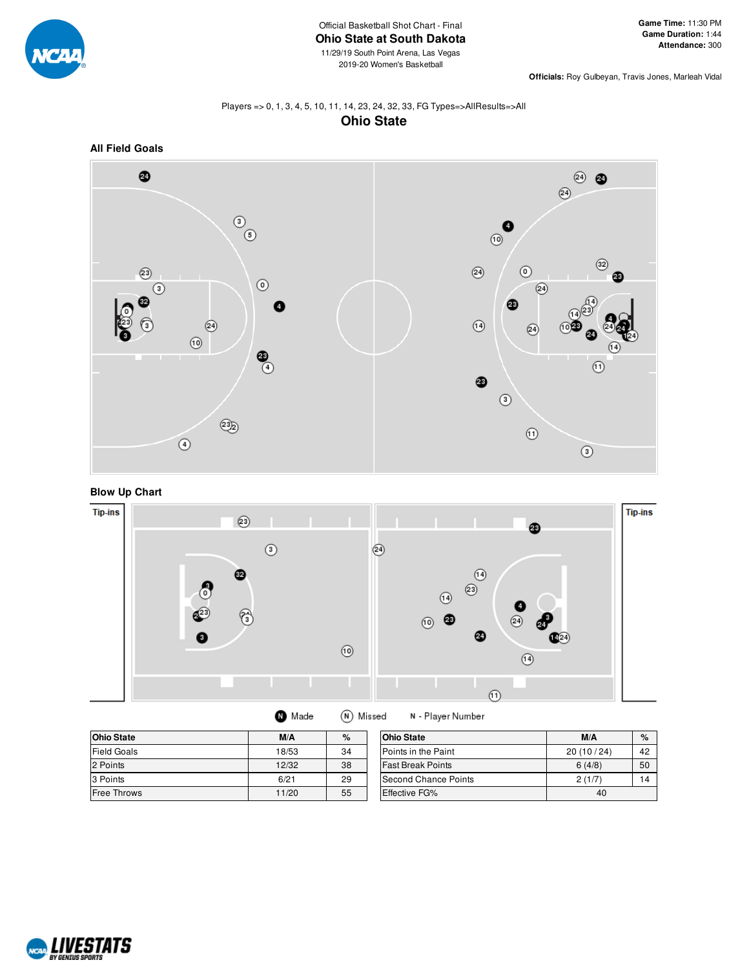

**Officials:** Roy Gulbeyan, Travis Jones, Marleah Vidal

## Players => 0, 1, 3, 4, 5, 10, 11, 14, 23, 24, 32, 33, FG Types=>AllResults=>All **Ohio State**



**Blow Up Chart**



| <b>Ohio State</b>  | M/A   | %  | <b>Ohio State</b>        | M/A       | $\%$ |
|--------------------|-------|----|--------------------------|-----------|------|
| <b>Field Goals</b> | 18/53 | 34 | Points in the Paint      | 20(10/24) | 42   |
| 2 Points           | 12/32 | 38 | <b>Fast Break Points</b> | 6(4/8)    | 50   |
| 3 Points           | 6/21  | 29 | Second Chance Points     | 2(1/7)    | 14   |
| <b>Free Throws</b> | 11/20 | 55 | <b>Effective FG%</b>     | 40        |      |

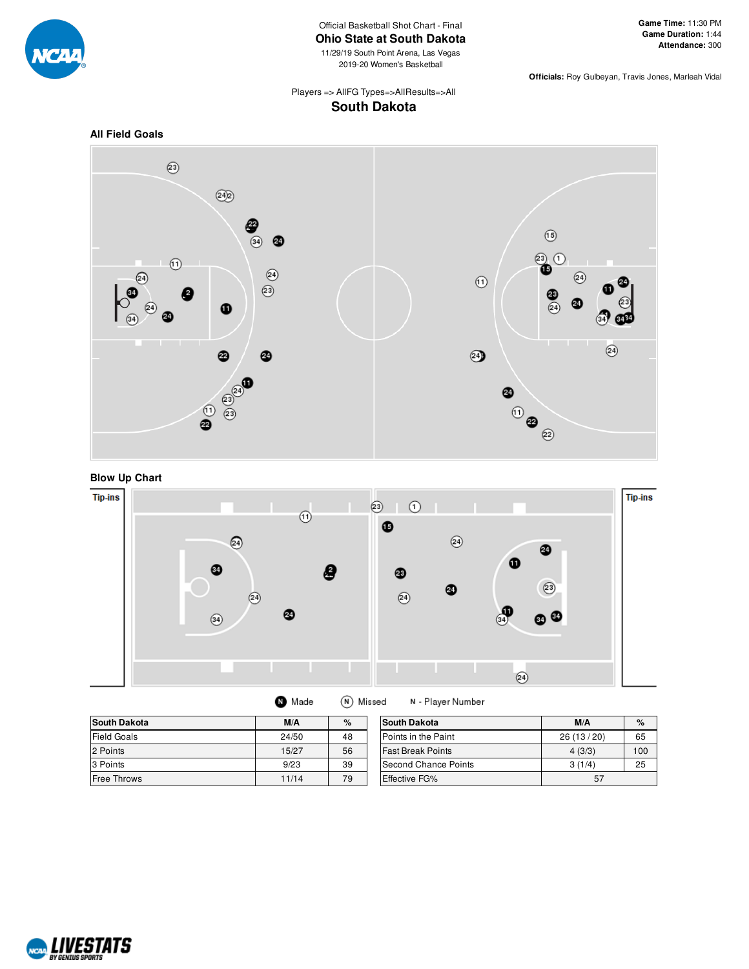

Official Basketball Shot Chart - Final **Ohio State at South Dakota**

11/29/19 South Point Arena, Las Vegas 2019-20 Women's Basketball

**Officials:** Roy Gulbeyan, Travis Jones, Marleah Vidal

Players => AllFG Types=>AllResults=>All **South Dakota**





**Blow Up Chart**



(N) Missed **O** Made N - Player Number

| <b>South Dakota</b> | M/A   | %  | <b>South Dakota</b>      | M/A       | $\%$ |
|---------------------|-------|----|--------------------------|-----------|------|
| <b>Field Goals</b>  | 24/50 | 48 | Points in the Paint      | 26(13/20) | 65   |
| 2 Points            | 15/27 | 56 | <b>Fast Break Points</b> | 4(3/3)    | 100  |
| 3 Points            | 9/23  | 39 | Second Chance Points     | 3(1/4)    | 25   |
| <b>Free Throws</b>  | 11/14 | 79 | <b>Effective FG%</b>     | 57        |      |

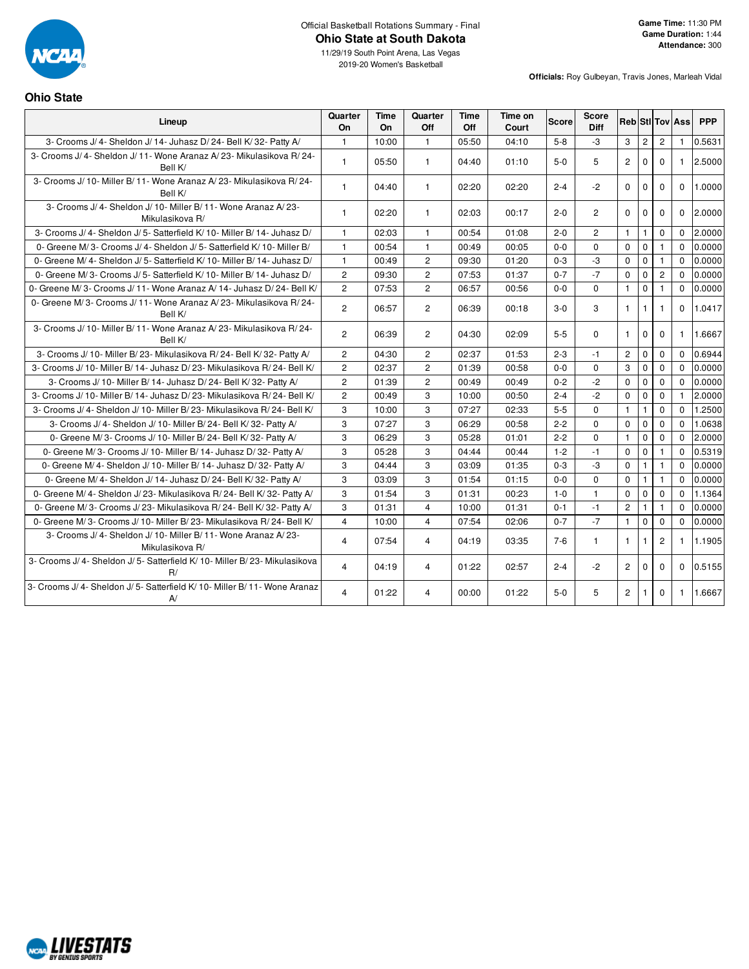

**Ohio State**

11/29/19 South Point Arena, Las Vegas 2019-20 Women's Basketball

**Officials:** Roy Gulbeyan, Travis Jones, Marleah Vidal

| Lineup                                                                             | Quarter<br>On  | Time<br>On | Quarter<br><b>Off</b> | <b>Time</b><br><b>Off</b> | Time on<br>Court | <b>Score</b> | <b>Score</b><br><b>Diff</b> |                |                |                | <b>Reb</b> StilTov Ass | <b>PPP</b> |
|------------------------------------------------------------------------------------|----------------|------------|-----------------------|---------------------------|------------------|--------------|-----------------------------|----------------|----------------|----------------|------------------------|------------|
| 3- Crooms J/4- Sheldon J/14- Juhasz D/24- Bell K/32- Patty A/                      | $\mathbf{1}$   | 10:00      | $\mathbf{1}$          | 05:50                     | 04:10            | $5 - 8$      | -3                          | 3              | $\overline{c}$ | $\overline{c}$ | $\mathbf{1}$           | 0.5631     |
| 3- Crooms J/4- Sheldon J/11- Wone Aranaz A/23- Mikulasikova R/24-<br>Bell K/       | $\mathbf{1}$   | 05:50      | $\mathbf{1}$          | 04:40                     | 01:10            | $5-0$        | 5                           | $\overline{2}$ | $\Omega$       | $\Omega$       | $\mathbf{1}$           | 2.5000     |
| 3- Crooms J/ 10- Miller B/ 11- Wone Aranaz A/ 23- Mikulasikova R/ 24-<br>Bell K/   | $\mathbf{1}$   | 04:40      | $\mathbf{1}$          | 02:20                     | 02:20            | $2 - 4$      | $-2$                        | $\Omega$       | $\mathbf 0$    | $\Omega$       | $\Omega$               | 1.0000     |
| 3- Crooms J/ 4- Sheldon J/ 10- Miller B/ 11- Wone Aranaz A/ 23-<br>Mikulasikova R/ | $\mathbf{1}$   | 02:20      | $\mathbf{1}$          | 02:03                     | 00:17            | $2 - 0$      | $\overline{2}$              | $\Omega$       | $\Omega$       | $\Omega$       | $\Omega$               | 2.0000     |
| 3- Crooms J/4- Sheldon J/5- Satterfield K/10- Miller B/14- Juhasz D/               | $\mathbf{1}$   | 02:03      | $\mathbf{1}$          | 00:54                     | 01:08            | $2 - 0$      | $\overline{2}$              | $\mathbf{1}$   | $\mathbf{1}$   | $\mathbf 0$    | $\Omega$               | 2.0000     |
| 0- Greene M/3- Crooms J/4- Sheldon J/5- Satterfield K/10- Miller B/                | $\mathbf{1}$   | 00:54      | $\mathbf{1}$          | 00:49                     | 00:05            | $0-0$        | $\Omega$                    | $\mathbf 0$    | $\mathbf 0$    | $\mathbf{1}$   | $\Omega$               | 0.0000     |
| 0- Greene M/4- Sheldon J/5- Satterfield K/10- Miller B/14- Juhasz D/               | $\mathbf{1}$   | 00:49      | $\overline{2}$        | 09:30                     | 01:20            | $0 - 3$      | $-3$                        | $\mathbf 0$    | $\mathbf 0$    | $\mathbf{1}$   | $\Omega$               | 0.0000     |
| 0- Greene M/3- Crooms J/5- Satterfield K/10- Miller B/14- Juhasz D/                | $\overline{2}$ | 09:30      | $\overline{2}$        | 07:53                     | 01:37            | $0 - 7$      | $-7$                        | $\mathbf 0$    | $\mathbf 0$    | $\overline{2}$ | $\Omega$               | 0.0000     |
| 0- Greene M/3- Crooms J/11- Wone Aranaz A/14- Juhasz D/24- Bell K/                 | $\overline{2}$ | 07:53      | $\overline{2}$        | 06:57                     | 00:56            | $0 - 0$      | $\Omega$                    | $\mathbf{1}$   | $\mathbf 0$    | $\mathbf{1}$   | $\Omega$               | 0.0000     |
| 0- Greene M/3- Crooms J/11- Wone Aranaz A/23- Mikulasikova R/24-<br>Bell K/        | $\overline{2}$ | 06:57      | $\overline{2}$        | 06:39                     | 00:18            | $3 - 0$      | 3                           | $\mathbf{1}$   | $\mathbf{1}$   | $\mathbf{1}$   | $\Omega$               | 1.0417     |
| 3- Crooms J/ 10- Miller B/ 11- Wone Aranaz A/ 23- Mikulasikova R/ 24-<br>Bell K/   | $\overline{2}$ | 06:39      | $\overline{2}$        | 04:30                     | 02:09            | $5-5$        | $\Omega$                    | $\mathbf{1}$   | $\mathbf 0$    | $\Omega$       | $\mathbf{1}$           | 1.6667     |
| 3- Crooms J/ 10- Miller B/ 23- Mikulasikova R/ 24- Bell K/ 32- Patty A/            | $\overline{2}$ | 04:30      | $\overline{2}$        | 02:37                     | 01:53            | $2 - 3$      | $-1$                        | $\overline{2}$ | $\mathbf 0$    | $\mathbf 0$    | $\Omega$               | 0.6944     |
| 3- Crooms J/ 10- Miller B/ 14- Juhasz D/ 23- Mikulasikova R/ 24- Bell K/           | $\overline{2}$ | 02:37      | $\overline{2}$        | 01:39                     | 00:58            | $0-0$        | $\Omega$                    | 3              | $\mathbf 0$    | $\Omega$       | $\Omega$               | 0.0000     |
| 3- Crooms J/ 10- Miller B/ 14- Juhasz D/ 24- Bell K/ 32- Patty A/                  | $\overline{2}$ | 01:39      | $\overline{2}$        | 00:49                     | 00:49            | $0 - 2$      | $-2$                        | $\mathsf 0$    | $\mathbf 0$    | $\mathbf 0$    | $\Omega$               | 0.0000     |
| 3- Crooms J/ 10- Miller B/ 14- Juhasz D/ 23- Mikulasikova R/ 24- Bell K/           | $\overline{2}$ | 00:49      | 3                     | 10:00                     | 00:50            | $2 - 4$      | $-2$                        | $\mathbf 0$    | $\mathbf 0$    | $\mathbf{0}$   | $\mathbf{1}$           | 2.0000     |
| 3- Crooms J/ 4- Sheldon J/ 10- Miller B/ 23- Mikulasikova R/ 24- Bell K/           | 3              | 10:00      | 3                     | 07:27                     | 02:33            | $5-5$        | $\Omega$                    | $\mathbf{1}$   | $\mathbf{1}$   | $\mathbf 0$    | $\Omega$               | 1.2500     |
| 3- Crooms J/ 4- Sheldon J/ 10- Miller B/ 24- Bell K/ 32- Patty A/                  | 3              | 07:27      | 3                     | 06:29                     | 00:58            | $2 - 2$      | $\Omega$                    | $\Omega$       | $\mathbf 0$    | $\Omega$       | $\Omega$               | 1.0638     |
| 0- Greene M/3- Crooms J/10- Miller B/24- Bell K/32- Patty A/                       | 3              | 06:29      | 3                     | 05:28                     | 01:01            | $2 - 2$      | $\Omega$                    | $\overline{1}$ | $\Omega$       | $\Omega$       | $\Omega$               | 2.0000     |
| 0- Greene M/3- Crooms J/10- Miller B/14- Juhasz D/32- Patty A/                     | 3              | 05:28      | 3                     | 04:44                     | 00:44            | $1 - 2$      | $-1$                        | $\mathbf 0$    | $\mathbf 0$    | $\mathbf{1}$   | $\Omega$               | 0.5319     |
| 0- Greene M/4- Sheldon J/10- Miller B/14- Juhasz D/32- Patty A/                    | 3              | 04:44      | 3                     | 03:09                     | 01:35            | $0 - 3$      | -3                          | $\mathbf 0$    | $\mathbf{1}$   | $\mathbf{1}$   | $\Omega$               | 0.0000     |
| 0- Greene M/4- Sheldon J/14- Juhasz D/24- Bell K/32- Patty A/                      | 3              | 03:09      | 3                     | 01:54                     | 01:15            | $0 - 0$      | $\Omega$                    | $\Omega$       | $\mathbf{1}$   | $\mathbf{1}$   | $\Omega$               | 0.0000     |
| 0- Greene M/4- Sheldon J/23- Mikulasikova R/24- Bell K/32- Patty A/                | 3              | 01:54      | 3                     | 01:31                     | 00:23            | $1 - 0$      | $\mathbf{1}$                | $\mathbf 0$    | $\mathbf 0$    | $\Omega$       | $\Omega$               | 1.1364     |
| 0- Greene M/3- Crooms J/23- Mikulasikova R/24- Bell K/32- Patty A/                 | 3              | 01:31      | $\overline{4}$        | 10:00                     | 01:31            | $0 - 1$      | $-1$                        | $\overline{c}$ | $\mathbf{1}$   | $\mathbf{1}$   | $\Omega$               | 0.0000     |
| 0- Greene M/3- Crooms J/10- Miller B/23- Mikulasikova R/24- Bell K/                | $\overline{4}$ | 10:00      | $\overline{4}$        | 07:54                     | 02:06            | $0 - 7$      | $-7$                        | $\mathbf{1}$   | $\mathbf 0$    | $\mathbf 0$    | $\Omega$               | 0.0000     |
| 3- Crooms J/ 4- Sheldon J/ 10- Miller B/ 11- Wone Aranaz A/ 23-<br>Mikulasikova R/ | 4              | 07:54      | $\overline{4}$        | 04:19                     | 03:35            | $7-6$        | $\mathbf{1}$                | $\mathbf{1}$   | $\mathbf{1}$   | $\overline{2}$ | $\mathbf{1}$           | 1.1905     |
| 3- Crooms J/ 4- Sheldon J/ 5- Satterfield K/ 10- Miller B/ 23- Mikulasikova<br>R/  | $\overline{4}$ | 04:19      | $\overline{4}$        | 01:22                     | 02:57            | $2 - 4$      | $-2$                        | $\overline{2}$ | $\mathbf{0}$   | $\mathbf 0$    | $\Omega$               | 0.5155     |
| 3- Crooms J/ 4- Sheldon J/ 5- Satterfield K/ 10- Miller B/ 11- Wone Aranaz<br>A    | $\overline{4}$ | 01:22      | 4                     | 00:00                     | 01:22            | $5-0$        | 5                           | $\overline{2}$ | $\mathbf{1}$   | $\Omega$       | $\mathbf{1}$           | 1.6667     |

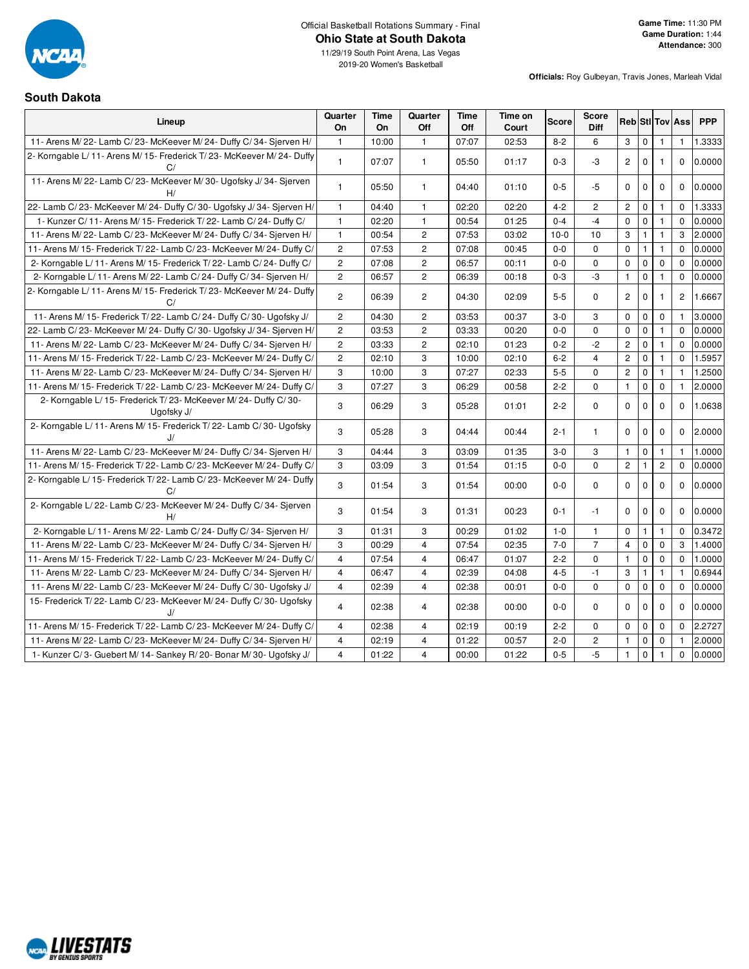

2019-20 Women's Basketball

#### **South Dakota**

| Lineup                                                                          | Quarter<br>On  | Time<br>On | Quarter<br>Off | <b>Time</b><br>Off | Time on<br>Court | Score   | <b>Score</b><br>Diff |                      |              |                | <b>Reb StilTov Ass</b> | <b>PPP</b> |
|---------------------------------------------------------------------------------|----------------|------------|----------------|--------------------|------------------|---------|----------------------|----------------------|--------------|----------------|------------------------|------------|
| 11- Arens M/22- Lamb C/23- McKeever M/24- Duffy C/34- Sjerven H/                | $\mathbf{1}$   | 10:00      | $\mathbf{1}$   | 07:07              | 02:53            | $8 - 2$ | 6                    | 3                    | $\mathbf 0$  | 1              | $\mathbf{1}$           | 1.3333     |
| 2- Korngable L/11- Arens M/15- Frederick T/23- McKeever M/24- Duffy<br>C/       | $\mathbf{1}$   | 07:07      | $\mathbf{1}$   | 05:50              | 01:17            | $0 - 3$ | -3                   | $\mathbf{2}^{\circ}$ | $\Omega$     |                | $\Omega$               | 0.0000     |
| 11- Arens M/22- Lamb C/23- McKeever M/30- Ugofsky J/34- Sjerven<br>H/           | $\mathbf{1}$   | 05:50      | $\mathbf{1}$   | 04:40              | 01:10            | $0-5$   | $-5$                 | $\mathbf 0$          | $\mathbf 0$  | $\mathbf 0$    | $\mathbf{0}$           | 0.0000     |
| 22- Lamb C/23- McKeever M/24- Duffy C/30- Ugofsky J/34- Sjerven H/              | $\mathbf{1}$   | 04:40      | $\mathbf{1}$   | 02:20              | 02:20            | $4 - 2$ | 2                    | $\overline{c}$       | $\mathbf 0$  | $\mathbf{1}$   | $\mathbf 0$            | 1.3333     |
| 1- Kunzer C/ 11- Arens M/ 15- Frederick T/ 22- Lamb C/ 24- Duffy C/             | $\mathbf{1}$   | 02:20      | $\mathbf{1}$   | 00:54              | 01:25            | $0 - 4$ | $-4$                 | 0                    | $\mathbf 0$  | $\mathbf{1}$   | $\Omega$               | 0.0000     |
| 11- Arens M/22- Lamb C/23- McKeever M/24- Duffy C/34- Sjerven H/                | $\mathbf{1}$   | 00:54      | $\overline{2}$ | 07:53              | 03:02            | $10-0$  | 10                   | 3                    | $\mathbf{1}$ | 1              | 3                      | 2.0000     |
| 11- Arens M/ 15- Frederick T/ 22- Lamb C/ 23- McKeever M/ 24- Duffy C/          | $\overline{2}$ | 07:53      | $\overline{c}$ | 07:08              | 00:45            | $0-0$   | 0                    | $\mathbf 0$          | $\mathbf{1}$ | $\mathbf{1}$   | $\Omega$               | 0.0000     |
| 2- Korngable L/ 11- Arens M/ 15- Frederick T/ 22- Lamb C/ 24- Duffy C/          | $\overline{c}$ | 07:08      | $\overline{c}$ | 06:57              | 00:11            | $0 - 0$ | 0                    | $\pmb{0}$            | $\mathbf 0$  | $\mathbf 0$    | $\mathbf 0$            | 0.0000     |
| 2- Korngable L/ 11- Arens M/ 22- Lamb C/ 24- Duffy C/ 34- Sjerven H/            | $\mathbf{2}$   | 06:57      | $\mathbf{2}$   | 06:39              | 00:18            | $0 - 3$ | -3                   | $\mathbf{1}$         | $\mathbf 0$  | $\mathbf{1}$   | 0                      | 0.0000     |
| 2- Korngable L/11- Arens M/15- Frederick T/23- McKeever M/24- Duffy<br>C/       | $\overline{2}$ | 06:39      | $\overline{c}$ | 04:30              | 02:09            | $5 - 5$ | 0                    | $\overline{c}$       | $\mathbf 0$  | $\mathbf{1}$   | $\overline{2}$         | 1.6667     |
| 11- Arens M/ 15- Frederick T/ 22- Lamb C/ 24- Duffy C/ 30- Ugofsky J/           | $\overline{2}$ | 04:30      | $\overline{2}$ | 03:53              | 00:37            | $3 - 0$ | 3                    | $\mathbf 0$          | $\mathbf 0$  | $\mathbf 0$    |                        | 3.0000     |
| 22- Lamb C/23- McKeever M/24- Duffy C/30- Ugofsky J/34- Sjerven H/              | $\overline{2}$ | 03:53      | $\overline{2}$ | 03:33              | 00:20            | $0 - 0$ | 0                    | $\mathbf 0$          | $\mathbf 0$  | $\mathbf{1}$   | $\Omega$               | 0.0000     |
| 11- Arens M/22- Lamb C/23- McKeever M/24- Duffy C/34- Sjerven H/                | $\overline{c}$ | 03:33      | $\overline{c}$ | 02:10              | 01:23            | $0 - 2$ | $-2$                 | $\overline{c}$       | $\mathbf 0$  | $\mathbf{1}$   | $\mathbf 0$            | 0.0000     |
| 11- Arens M/ 15- Frederick T/ 22- Lamb C/ 23- McKeever M/ 24- Duffy C/          | $\overline{2}$ | 02:10      | 3              | 10:00              | 02:10            | $6 - 2$ | $\overline{4}$       | $\overline{c}$       | $\mathbf 0$  | $\mathbf{1}$   | $\mathbf 0$            | 1.5957     |
| 11- Arens M/22- Lamb C/23- McKeever M/24- Duffy C/34- Sjerven H/                | 3              | 10:00      | 3              | 07:27              | 02:33            | $5-5$   | 0                    | $\overline{c}$       | $\mathbf 0$  | $\mathbf{1}$   | $\mathbf{1}$           | 1.2500     |
| 11- Arens M/ 15- Frederick T/ 22- Lamb C/ 23- McKeever M/ 24- Duffy C/          | 3              | 07:27      | 3              | 06:29              | 00:58            | $2 - 2$ | $\mathbf 0$          | $\mathbf{1}$         | $\mathbf 0$  | $\mathbf 0$    | $\mathbf{1}$           | 2.0000     |
| 2- Korngable L/ 15- Frederick T/ 23- McKeever M/ 24- Duffy C/ 30-<br>Ugofsky J/ | 3              | 06:29      | 3              | 05:28              | 01:01            | $2 - 2$ | $\mathbf 0$          | $\mathbf 0$          | $\mathbf 0$  | $\Omega$       | $\Omega$               | 1.0638     |
| 2- Korngable L/11- Arens M/15- Frederick T/22- Lamb C/30- Ugofsky               | 3              | 05:28      | 3              | 04:44              | 00:44            | $2 - 1$ | $\mathbf{1}$         | $\mathbf 0$          | $\mathbf 0$  | $\mathbf 0$    | $\mathbf 0$            | 2.0000     |
| 11- Arens M/22- Lamb C/23- McKeever M/24- Duffy C/34- Sierven H/                | 3              | 04:44      | 3              | 03:09              | 01:35            | $3-0$   | 3                    | $\mathbf{1}$         | $\mathbf 0$  | $\mathbf{1}$   | $\mathbf{1}$           | 1.0000     |
| 11- Arens M/ 15- Frederick T/ 22- Lamb C/ 23- McKeever M/ 24- Duffy C/          | 3              | 03:09      | 3              | 01:54              | 01:15            | $0 - 0$ | 0                    | $\overline{c}$       | 1            | $\overline{2}$ | $\Omega$               | 0.0000     |
| 2- Korngable L/ 15- Frederick T/ 22- Lamb C/ 23- McKeever M/ 24- Duffy<br>C/    | 3              | 01:54      | 3              | 01:54              | 00:00            | $0 - 0$ | $\mathbf 0$          | $\mathbf 0$          | $\mathbf 0$  | $\mathbf 0$    | $\Omega$               | 0.0000     |
| 2- Korngable L/22- Lamb C/23- McKeever M/24- Duffy C/34- Sjerven<br>H/          | 3              | 01:54      | 3              | 01:31              | 00:23            | $0 - 1$ | $-1$                 | $\mathbf 0$          | 0            | 0              | $\mathbf 0$            | 0.0000     |
| 2- Korngable L/ 11- Arens M/ 22- Lamb C/ 24- Duffy C/ 34- Sjerven H/            | 3              | 01:31      | 3              | 00:29              | 01:02            | $1 - 0$ | $\mathbf{1}$         | $\mathbf 0$          | $\mathbf{1}$ | 1              | $\Omega$               | 0.3472     |
| 11- Arens M/22- Lamb C/23- McKeever M/24- Duffy C/34- Sjerven H/                | 3              | 00:29      | $\overline{4}$ | 07:54              | 02:35            | $7 - 0$ | $\overline{7}$       | $\overline{4}$       | $\mathbf 0$  | $\mathbf 0$    | 3                      | 1.4000     |
| 11- Arens M/ 15- Frederick T/ 22- Lamb C/ 23- McKeever M/ 24- Duffy C/          | $\overline{4}$ | 07:54      | $\overline{4}$ | 06:47              | 01:07            | $2 - 2$ | 0                    | $\mathbf{1}$         | $\mathbf 0$  | $\mathbf 0$    | $\Omega$               | 1.0000     |
| 11- Arens M/22- Lamb C/23- McKeever M/24- Duffy C/34- Sjerven H/                | $\overline{4}$ | 06:47      | $\overline{4}$ | 02:39              | 04:08            | $4 - 5$ | $-1$                 | 3                    |              | $\mathbf{1}$   | 1                      | 0.6944     |
| 11- Arens M/22- Lamb C/23- McKeever M/24- Duffy C/30- Ugofsky J/                | 4              | 02:39      | $\overline{4}$ | 02:38              | 00:01            | $0-0$   | 0                    | $\mathbf 0$          | $\mathbf 0$  | 0              | $\mathbf{0}$           | 0.0000     |
| 15- Frederick T/22- Lamb C/23- McKeever M/24- Duffy C/30- Ugofsky               | 4              | 02:38      | 4              | 02:38              | 00:00            | $0-0$   | $\mathbf 0$          | $\mathbf 0$          | $\mathbf 0$  | $\mathbf 0$    | $\mathbf 0$            | 0.0000     |
| 11- Arens M/ 15- Frederick T/ 22- Lamb C/ 23- McKeever M/ 24- Duffy C/          | 4              | 02:38      | $\overline{4}$ | 02:19              | 00:19            | $2 - 2$ | 0                    | $\mathbf 0$          | $\mathbf 0$  | $\mathbf 0$    | $\Omega$               | 2.2727     |
| 11- Arens M/22- Lamb C/23- McKeever M/24- Duffy C/34- Sjerven H/                | $\overline{4}$ | 02:19      | $\overline{4}$ | 01:22              | 00:57            | $2 - 0$ | $\overline{c}$       | $\mathbf{1}$         | $\mathbf 0$  | $\mathbf 0$    | $\mathbf{1}$           | 2.0000     |
| 1- Kunzer C/3- Guebert M/14- Sankey R/20- Bonar M/30- Ugofsky J/                | $\overline{4}$ | 01:22      | $\overline{4}$ | 00:00              | 01:22            | $0 - 5$ | $-5$                 | $\mathbf{1}$         | $\Omega$     |                | $\mathbf 0$            | 0.0000     |

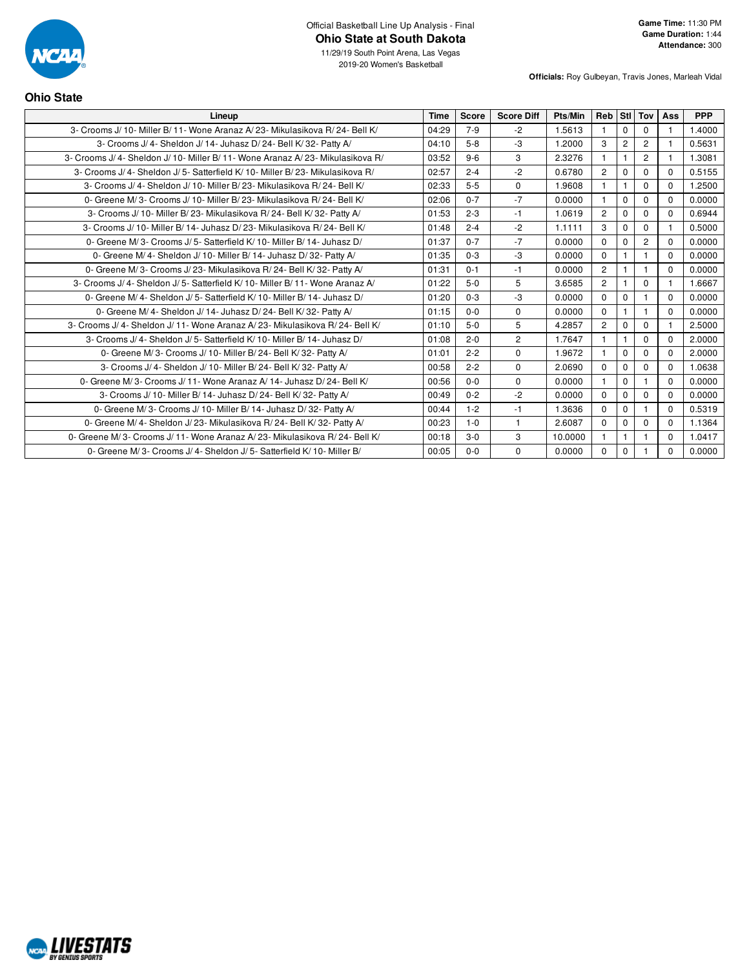

**Ohio State**

2019-20 Women's Basketball

**Officials:** Roy Gulbeyan, Travis Jones, Marleah Vidal

| Lineup                                                                          | <b>Time</b> | <b>Score</b> | <b>Score Diff</b> | Pts/Min | Reb            | <b>Stl</b>     | Tov            | Ass      | <b>PPP</b> |
|---------------------------------------------------------------------------------|-------------|--------------|-------------------|---------|----------------|----------------|----------------|----------|------------|
| 3- Crooms J/ 10- Miller B/ 11- Wone Aranaz A/ 23- Mikulasikova R/ 24- Bell K/   | 04:29       | $7 - 9$      | $-2$              | 1.5613  |                | $\Omega$       | 0              |          | 1.4000     |
| 3- Crooms J/4- Sheldon J/14- Juhasz D/24- Bell K/32- Patty A/<br>04:10          |             | $5 - 8$      | $-3$              | 1.2000  | 3              | $\overline{2}$ | $\overline{2}$ |          | 0.5631     |
| 3- Crooms J/ 4- Sheldon J/ 10- Miller B/ 11- Wone Aranaz A/ 23- Mikulasikova R/ | 03:52       | $9-6$        | 3                 | 2.3276  |                | 1              | $\overline{c}$ |          | 1.3081     |
| 3- Crooms J/4- Sheldon J/5- Satterfield K/10- Miller B/23- Mikulasikova R/      | 02:57       | $2 - 4$      | $-2$              | 0.6780  | $\overline{c}$ | $\Omega$       | $\Omega$       | 0        | 0.5155     |
| 3- Crooms J/4- Sheldon J/10- Miller B/23- Mikulasikova R/24- Bell K/            | 02:33       | $5 - 5$      | $\mathbf 0$       | 1.9608  | 1              | $\mathbf{1}$   | $\Omega$       | $\Omega$ | 1.2500     |
| 0- Greene M/3- Crooms J/10- Miller B/23- Mikulasikova R/24- Bell K/             | 02:06       | $0 - 7$      | $-7$              | 0.0000  |                | $\Omega$       | $\Omega$       | $\Omega$ | 0.0000     |
| 3- Crooms J/ 10- Miller B/ 23- Mikulasikova R/ 24- Bell K/ 32- Patty A/         | 01:53       | $2 - 3$      | $-1$              | 1.0619  | 2              | $\Omega$       | 0              | 0        | 0.6944     |
| 3- Crooms J/10- Miller B/14- Juhasz D/23- Mikulasikova R/24- Bell K/            | 01:48       | $2 - 4$      | $-2$              | 1.1111  | 3              | $\mathbf 0$    | 0              |          | 0.5000     |
| 0- Greene M/3- Crooms J/5- Satterfield K/10- Miller B/14- Juhasz D/             | 01:37       | $0 - 7$      | $-7$              | 0.0000  | 0              | 0              | $\overline{2}$ | $\Omega$ | 0.0000     |
| 0- Greene M/4- Sheldon J/10- Miller B/14- Juhasz D/32- Patty A/                 | 01:35       | $0 - 3$      | $-3$              | 0.0000  | 0              | $\mathbf{1}$   | $\mathbf 1$    | $\Omega$ | 0.0000     |
| 0- Greene M/3- Crooms J/23- Mikulasikova R/24- Bell K/32- Patty A/              | 01:31       | $0 - 1$      | $-1$              | 0.0000  | $\overline{2}$ | 1              | $\mathbf{1}$   | $\Omega$ | 0.0000     |
| 3- Crooms J/4- Sheldon J/5- Satterfield K/10- Miller B/11- Wone Aranaz A/       | 01:22       | $5-0$        | 5                 | 3.6585  | $\overline{c}$ | $\mathbf{1}$   | $\Omega$       |          | 1.6667     |
| 0- Greene M/4- Sheldon J/5- Satterfield K/10- Miller B/14- Juhasz D/            | 01:20       | $0 - 3$      | $-3$              | 0.0000  | $\Omega$       | $\Omega$       | 1              | $\Omega$ | 0.0000     |
| 0- Greene M/4- Sheldon J/14- Juhasz D/24- Bell K/32- Patty A/                   | 01:15       | $0 - 0$      | $\Omega$          | 0.0000  | $\Omega$       | 1              | 1              | $\Omega$ | 0.0000     |
| 3- Crooms J/ 4- Sheldon J/ 11- Wone Aranaz A/ 23- Mikulasikova R/ 24- Bell K/   | 01:10       | $5-0$        | 5                 | 4.2857  | $\overline{2}$ | $\Omega$       | $\Omega$       |          | 2.5000     |
| 3- Crooms J/ 4- Sheldon J/ 5- Satterfield K/ 10- Miller B/ 14- Juhasz D/        | 01:08       | $2 - 0$      | $\overline{2}$    | 1.7647  | 1              | 1              | $\Omega$       | $\Omega$ | 2.0000     |
| 0- Greene M/3- Crooms J/10- Miller B/24- Bell K/32- Patty A/                    | 01:01       | $2 - 2$      | $\Omega$          | 1.9672  |                | $\Omega$       | 0              | $\Omega$ | 2.0000     |
| 3- Crooms J/4- Sheldon J/10- Miller B/24- Bell K/32- Patty A/                   | 00:58       | $2 - 2$      | $\Omega$          | 2.0690  | 0              | 0              | 0              | $\Omega$ | 1.0638     |
| 0- Greene M/3- Crooms J/11- Wone Aranaz A/14- Juhasz D/24- Bell K/              | 00:56       | $0 - 0$      | $\Omega$          | 0.0000  |                | $\Omega$       |                | $\Omega$ | 0.0000     |
| 3- Crooms J/ 10- Miller B/ 14- Juhasz D/ 24- Bell K/ 32- Patty A/               | 00:49       | $0 - 2$      | $-2$              | 0.0000  | 0              | 0              | 0              | $\Omega$ | 0.0000     |
| 0- Greene M/3- Crooms J/10- Miller B/14- Juhasz D/32- Patty A/                  | 00:44       | $1 - 2$      | $-1$              | 1.3636  | 0              | 0              |                | $\Omega$ | 0.5319     |
| 0- Greene M/4- Sheldon J/23- Mikulasikova R/24- Bell K/32- Patty A/             | 00:23       | $1 - 0$      | $\overline{1}$    | 2.6087  | 0              | 0              | $\Omega$       | $\Omega$ | 1.1364     |
| 0- Greene M/3- Crooms J/11- Wone Aranaz A/23- Mikulasikova R/24- Bell K/        | 00:18       | $3 - 0$      | 3                 | 10.0000 |                |                | $\mathbf 1$    | $\Omega$ | 1.0417     |
| 0- Greene M/3- Crooms J/4- Sheldon J/5- Satterfield K/10- Miller B/             | 00:05       | $0 - 0$      | $\Omega$          | 0.0000  | 0              | 0              |                | $\Omega$ | 0.0000     |